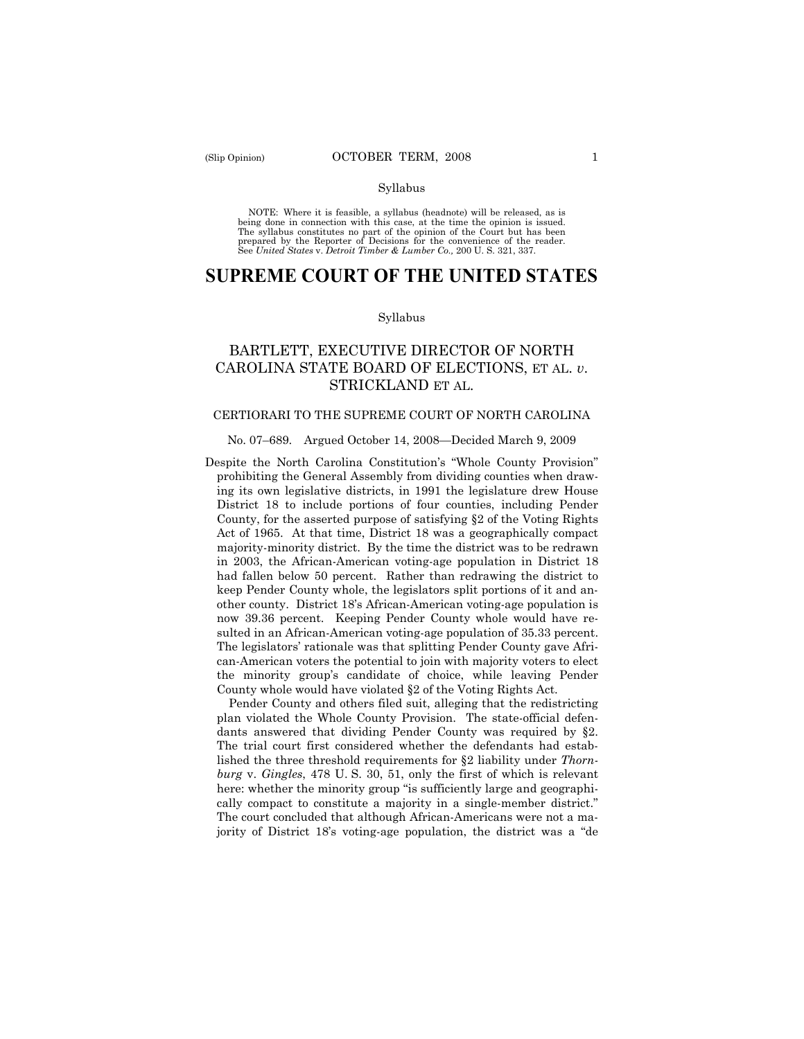NOTE: Where it is feasible, a syllabus (headnote) will be released, as is being done in connection with this case, at the time the opinion is issued. The syllabus constitutes no part of the opinion of the Court but has been<br>prepared by the Reporter of Decisions for the convenience of the reader.<br>See United States v. Detroit Timber & Lumber Co., 200 U. S. 321, 337.

# **SUPREME COURT OF THE UNITED STATES**

#### Syllabus

# BARTLETT, EXECUTIVE DIRECTOR OF NORTH CAROLINA STATE BOARD OF ELECTIONS, ET AL. *v*. STRICKLAND ET AL.

### CERTIORARI TO THE SUPREME COURT OF NORTH CAROLINA

### No. 07–689. Argued October 14, 2008—Decided March 9, 2009

Despite the North Carolina Constitution's "Whole County Provision" prohibiting the General Assembly from dividing counties when drawing its own legislative districts, in 1991 the legislature drew House District 18 to include portions of four counties, including Pender County, for the asserted purpose of satisfying §2 of the Voting Rights Act of 1965. At that time, District 18 was a geographically compact majority-minority district. By the time the district was to be redrawn in 2003, the African-American voting-age population in District 18 had fallen below 50 percent. Rather than redrawing the district to keep Pender County whole, the legislators split portions of it and another county. District 18's African-American voting-age population is now 39.36 percent. Keeping Pender County whole would have resulted in an African-American voting-age population of 35.33 percent. The legislators' rationale was that splitting Pender County gave African-American voters the potential to join with majority voters to elect the minority group's candidate of choice, while leaving Pender County whole would have violated §2 of the Voting Rights Act.

Pender County and others filed suit, alleging that the redistricting plan violated the Whole County Provision. The state-official defendants answered that dividing Pender County was required by §2. The trial court first considered whether the defendants had established the three threshold requirements for §2 liability under *Thornburg* v. *Gingles*, 478 U. S. 30, 51, only the first of which is relevant here: whether the minority group "is sufficiently large and geographically compact to constitute a majority in a single-member district." The court concluded that although African-Americans were not a majority of District 18's voting-age population, the district was a "de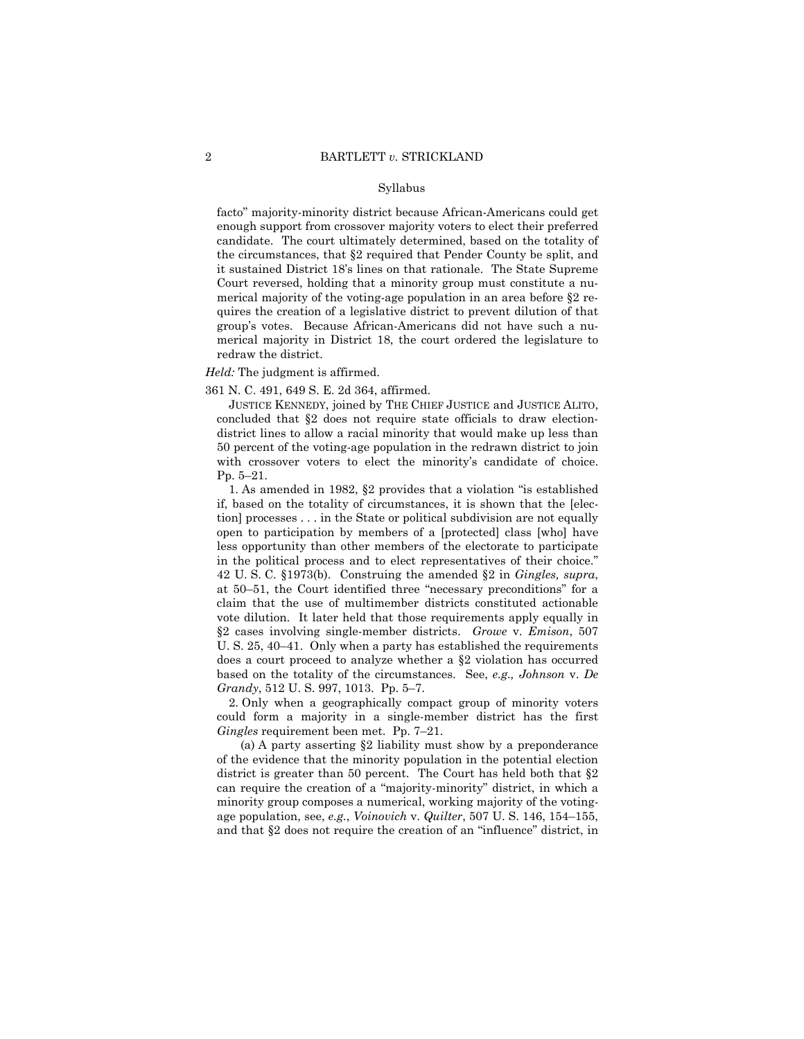facto" majority-minority district because African-Americans could get enough support from crossover majority voters to elect their preferred candidate. The court ultimately determined, based on the totality of the circumstances, that §2 required that Pender County be split, and it sustained District 18's lines on that rationale. The State Supreme Court reversed, holding that a minority group must constitute a numerical majority of the voting-age population in an area before §2 requires the creation of a legislative district to prevent dilution of that group's votes. Because African-Americans did not have such a numerical majority in District 18, the court ordered the legislature to redraw the district.

### *Held:* The judgment is affirmed.

361 N. C. 491, 649 S. E. 2d 364, affirmed.

 JUSTICE KENNEDY, joined by THE CHIEF JUSTICE and JUSTICE ALITO, concluded that §2 does not require state officials to draw electiondistrict lines to allow a racial minority that would make up less than 50 percent of the voting-age population in the redrawn district to join with crossover voters to elect the minority's candidate of choice. Pp. 5–21.

1. As amended in 1982, §2 provides that a violation "is established if, based on the totality of circumstances, it is shown that the [election] processes . . . in the State or political subdivision are not equally open to participation by members of a [protected] class [who] have less opportunity than other members of the electorate to participate in the political process and to elect representatives of their choice." 42 U. S. C. §1973(b). Construing the amended §2 in *Gingles, supra*, at 50–51, the Court identified three "necessary preconditions" for a claim that the use of multimember districts constituted actionable vote dilution. It later held that those requirements apply equally in §2 cases involving single-member districts. *Growe* v. *Emison*, 507 U. S. 25, 40–41. Only when a party has established the requirements does a court proceed to analyze whether a §2 violation has occurred based on the totality of the circumstances. See, *e.g., Johnson* v. *De Grandy*, 512 U. S. 997, 1013. Pp. 5–7.

2. Only when a geographically compact group of minority voters could form a majority in a single-member district has the first *Gingles* requirement been met. Pp. 7–21.

(a) A party asserting §2 liability must show by a preponderance of the evidence that the minority population in the potential election district is greater than 50 percent. The Court has held both that §2 can require the creation of a "majority-minority" district, in which a minority group composes a numerical, working majority of the votingage population, see, *e.g.*, *Voinovich* v. *Quilter*, 507 U. S. 146, 154–155, and that §2 does not require the creation of an "influence" district, in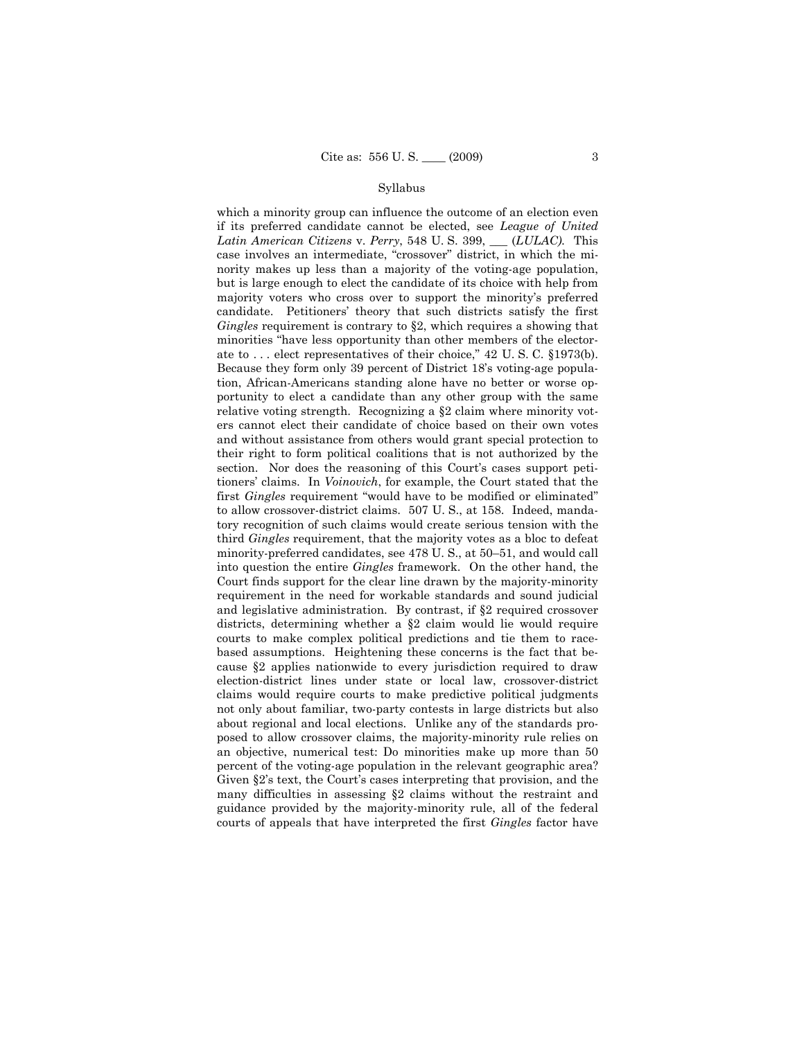which a minority group can influence the outcome of an election even if its preferred candidate cannot be elected, see *League of United Latin American Citizens* v. *Perry*, 548 U. S. 399, \_\_\_ (*LULAC).* This case involves an intermediate, "crossover" district, in which the minority makes up less than a majority of the voting-age population, but is large enough to elect the candidate of its choice with help from majority voters who cross over to support the minority's preferred candidate. Petitioners' theory that such districts satisfy the first *Gingles* requirement is contrary to §2, which requires a showing that minorities "have less opportunity than other members of the electorate to . . . elect representatives of their choice," 42 U. S. C. §1973(b). Because they form only 39 percent of District 18's voting-age population, African-Americans standing alone have no better or worse opportunity to elect a candidate than any other group with the same relative voting strength. Recognizing a §2 claim where minority voters cannot elect their candidate of choice based on their own votes and without assistance from others would grant special protection to their right to form political coalitions that is not authorized by the section. Nor does the reasoning of this Court's cases support petitioners' claims. In *Voinovich*, for example, the Court stated that the first *Gingles* requirement "would have to be modified or eliminated" to allow crossover-district claims. 507 U. S., at 158. Indeed, mandatory recognition of such claims would create serious tension with the third *Gingles* requirement, that the majority votes as a bloc to defeat minority-preferred candidates, see 478 U. S., at 50–51, and would call into question the entire *Gingles* framework. On the other hand, the Court finds support for the clear line drawn by the majority-minority requirement in the need for workable standards and sound judicial and legislative administration. By contrast, if §2 required crossover districts, determining whether a §2 claim would lie would require courts to make complex political predictions and tie them to racebased assumptions. Heightening these concerns is the fact that because §2 applies nationwide to every jurisdiction required to draw election-district lines under state or local law, crossover-district claims would require courts to make predictive political judgments not only about familiar, two-party contests in large districts but also about regional and local elections. Unlike any of the standards proposed to allow crossover claims, the majority-minority rule relies on an objective, numerical test: Do minorities make up more than 50 percent of the voting-age population in the relevant geographic area? Given §2's text, the Court's cases interpreting that provision, and the many difficulties in assessing §2 claims without the restraint and guidance provided by the majority-minority rule, all of the federal courts of appeals that have interpreted the first *Gingles* factor have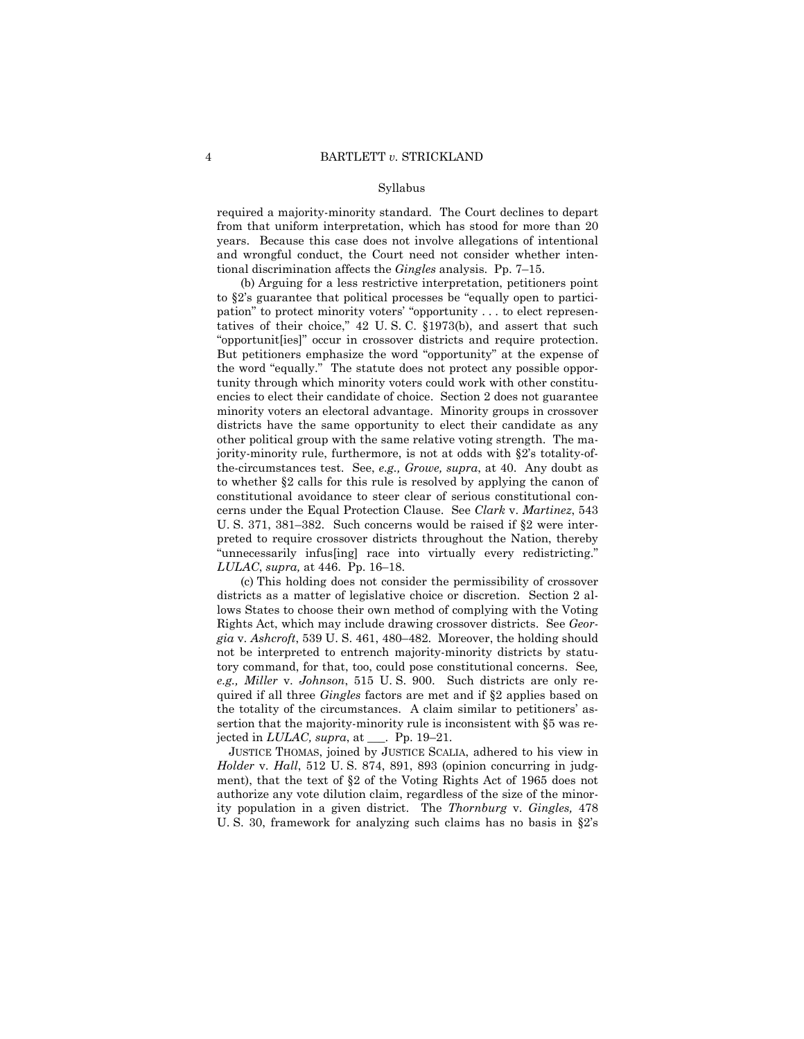required a majority-minority standard. The Court declines to depart from that uniform interpretation, which has stood for more than 20 years. Because this case does not involve allegations of intentional and wrongful conduct, the Court need not consider whether intentional discrimination affects the *Gingles* analysis. Pp. 7–15.

(b) Arguing for a less restrictive interpretation, petitioners point to §2's guarantee that political processes be "equally open to participation" to protect minority voters' "opportunity . . . to elect representatives of their choice," 42 U. S. C. §1973(b), and assert that such "opportunit[ies]" occur in crossover districts and require protection. But petitioners emphasize the word "opportunity" at the expense of the word "equally." The statute does not protect any possible opportunity through which minority voters could work with other constituencies to elect their candidate of choice. Section 2 does not guarantee minority voters an electoral advantage. Minority groups in crossover districts have the same opportunity to elect their candidate as any other political group with the same relative voting strength. The majority-minority rule, furthermore, is not at odds with §2's totality-ofthe-circumstances test. See, *e.g., Growe, supra*, at 40. Any doubt as to whether §2 calls for this rule is resolved by applying the canon of constitutional avoidance to steer clear of serious constitutional concerns under the Equal Protection Clause. See *Clark* v. *Martinez*, 543 U. S. 371, 381–382. Such concerns would be raised if §2 were interpreted to require crossover districts throughout the Nation, thereby "unnecessarily infus[ing] race into virtually every redistricting." *LULAC*, *supra,* at 446. Pp. 16–18.

(c) This holding does not consider the permissibility of crossover districts as a matter of legislative choice or discretion. Section 2 allows States to choose their own method of complying with the Voting Rights Act, which may include drawing crossover districts. See *Georgia* v. *Ashcroft*, 539 U. S. 461, 480–482. Moreover, the holding should not be interpreted to entrench majority-minority districts by statutory command, for that, too, could pose constitutional concerns. See*, e.g., Miller* v. *Johnson*, 515 U. S. 900. Such districts are only required if all three *Gingles* factors are met and if §2 applies based on the totality of the circumstances. A claim similar to petitioners' assertion that the majority-minority rule is inconsistent with §5 was rejected in *LULAC, supra*, at \_\_\_. Pp. 19–21.

JUSTICE THOMAS, joined by JUSTICE SCALIA, adhered to his view in *Holder* v. *Hall*, 512 U. S. 874, 891, 893 (opinion concurring in judgment), that the text of §2 of the Voting Rights Act of 1965 does not authorize any vote dilution claim, regardless of the size of the minority population in a given district. The *Thornburg* v. *Gingles,* 478 U. S. 30, framework for analyzing such claims has no basis in §2's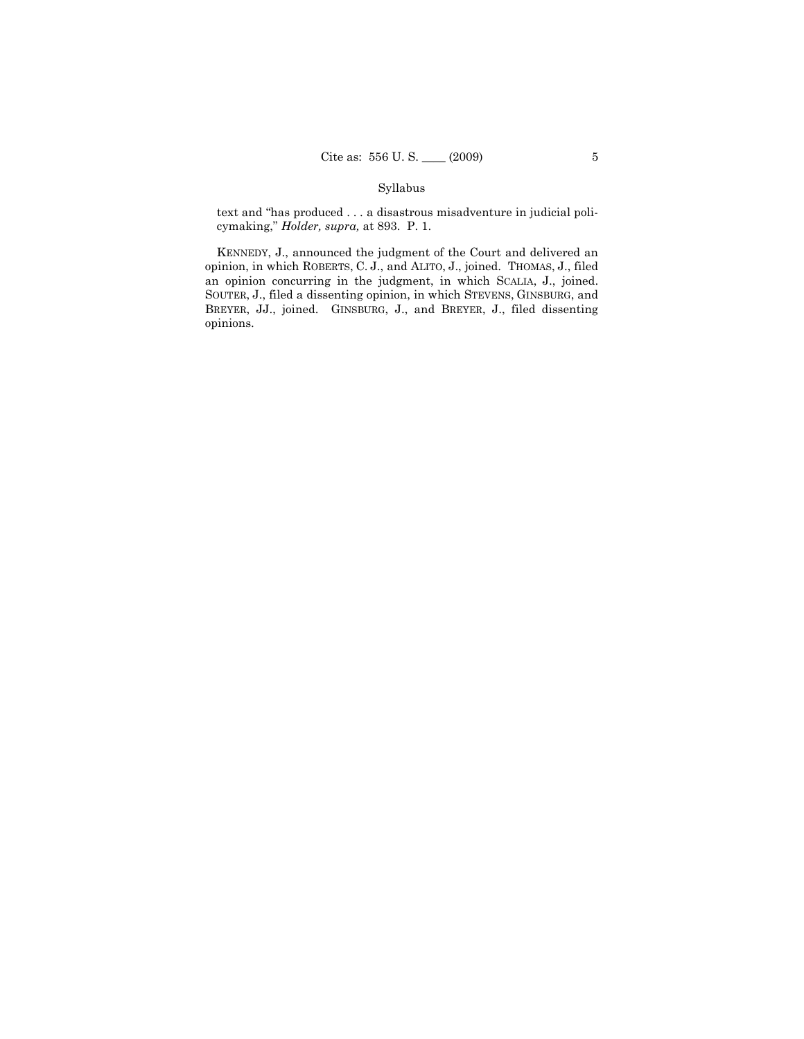text and "has produced . . . a disastrous misadventure in judicial policymaking," *Holder, supra,* at 893. P. 1.

KENNEDY, J., announced the judgment of the Court and delivered an opinion, in which ROBERTS, C. J., and ALITO, J., joined. THOMAS, J., filed an opinion concurring in the judgment, in which SCALIA, J., joined. SOUTER, J., filed a dissenting opinion, in which STEVENS, GINSBURG, and BREYER, JJ., joined. GINSBURG, J., and BREYER, J., filed dissenting opinions.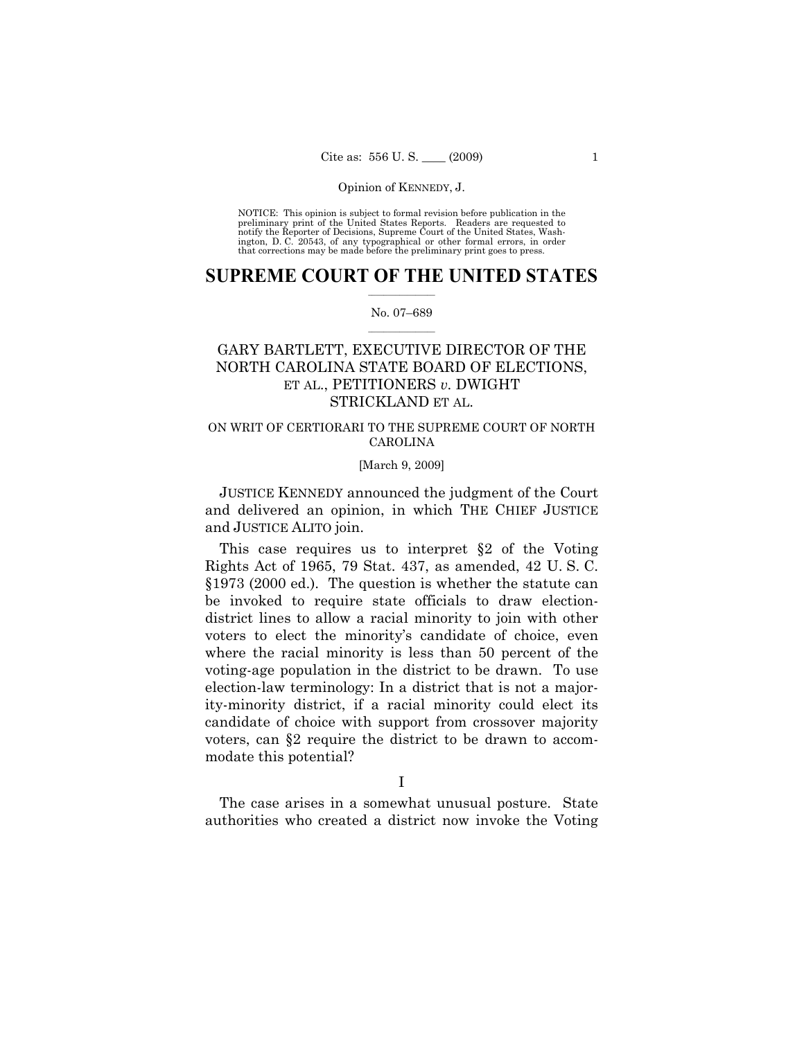NOTICE: This opinion is subject to formal revision before publication in the preliminary print of the United States Reports. Readers are requested to notify the Reporter of Decisions, Supreme Court of the United States, Washington, D. C. 20543, of any typographical or other formal errors, in order that corrections may be made before the preliminary print goes to press.

## $\frac{1}{2}$  ,  $\frac{1}{2}$  ,  $\frac{1}{2}$  ,  $\frac{1}{2}$  ,  $\frac{1}{2}$  ,  $\frac{1}{2}$  ,  $\frac{1}{2}$ **SUPREME COURT OF THE UNITED STATES**

### $\frac{1}{2}$  ,  $\frac{1}{2}$  ,  $\frac{1}{2}$  ,  $\frac{1}{2}$  ,  $\frac{1}{2}$  ,  $\frac{1}{2}$ No. 07–689

# GARY BARTLETT, EXECUTIVE DIRECTOR OF THE NORTH CAROLINA STATE BOARD OF ELECTIONS, ET AL., PETITIONERS *v.* DWIGHT STRICKLAND ET AL.

## ON WRIT OF CERTIORARI TO THE SUPREME COURT OF NORTH CAROLINA

### [March 9, 2009]

JUSTICE KENNEDY announced the judgment of the Court and delivered an opinion, in which THE CHIEF JUSTICE and JUSTICE ALITO join.

This case requires us to interpret §2 of the Voting Rights Act of 1965, 79 Stat. 437, as amended, 42 U. S. C. §1973 (2000 ed.). The question is whether the statute can be invoked to require state officials to draw electiondistrict lines to allow a racial minority to join with other voters to elect the minority's candidate of choice, even where the racial minority is less than 50 percent of the voting-age population in the district to be drawn. To use election-law terminology: In a district that is not a majority-minority district, if a racial minority could elect its candidate of choice with support from crossover majority voters, can §2 require the district to be drawn to accommodate this potential?

The case arises in a somewhat unusual posture. State authorities who created a district now invoke the Voting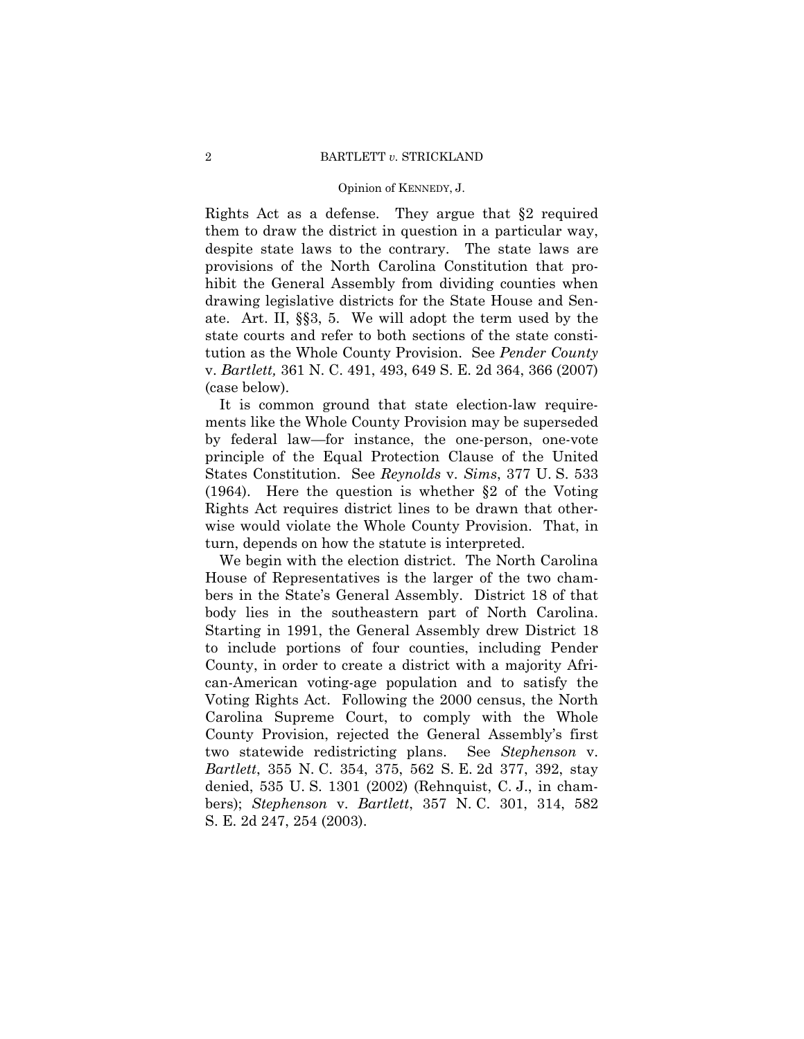Rights Act as a defense. They argue that §2 required them to draw the district in question in a particular way, despite state laws to the contrary. The state laws are provisions of the North Carolina Constitution that prohibit the General Assembly from dividing counties when drawing legislative districts for the State House and Senate. Art. II, §§3, 5. We will adopt the term used by the state courts and refer to both sections of the state constitution as the Whole County Provision. See *Pender County*  v. *Bartlett,* 361 N. C. 491, 493, 649 S. E. 2d 364, 366 (2007) (case below).

It is common ground that state election-law requirements like the Whole County Provision may be superseded by federal law—for instance, the one-person, one-vote principle of the Equal Protection Clause of the United States Constitution. See *Reynolds* v. *Sims*, 377 U. S. 533 (1964). Here the question is whether §2 of the Voting Rights Act requires district lines to be drawn that otherwise would violate the Whole County Provision. That, in turn, depends on how the statute is interpreted.

We begin with the election district. The North Carolina House of Representatives is the larger of the two chambers in the State's General Assembly. District 18 of that body lies in the southeastern part of North Carolina. Starting in 1991, the General Assembly drew District 18 to include portions of four counties, including Pender County, in order to create a district with a majority African-American voting-age population and to satisfy the Voting Rights Act. Following the 2000 census, the North Carolina Supreme Court, to comply with the Whole County Provision, rejected the General Assembly's first two statewide redistricting plans. See *Stephenson* v. *Bartlett*, 355 N. C. 354, 375, 562 S. E. 2d 377, 392, stay denied, 535 U. S. 1301 (2002) (Rehnquist, C. J., in chambers); *Stephenson* v. *Bartlett*, 357 N. C. 301, 314, 582 S. E. 2d 247, 254 (2003).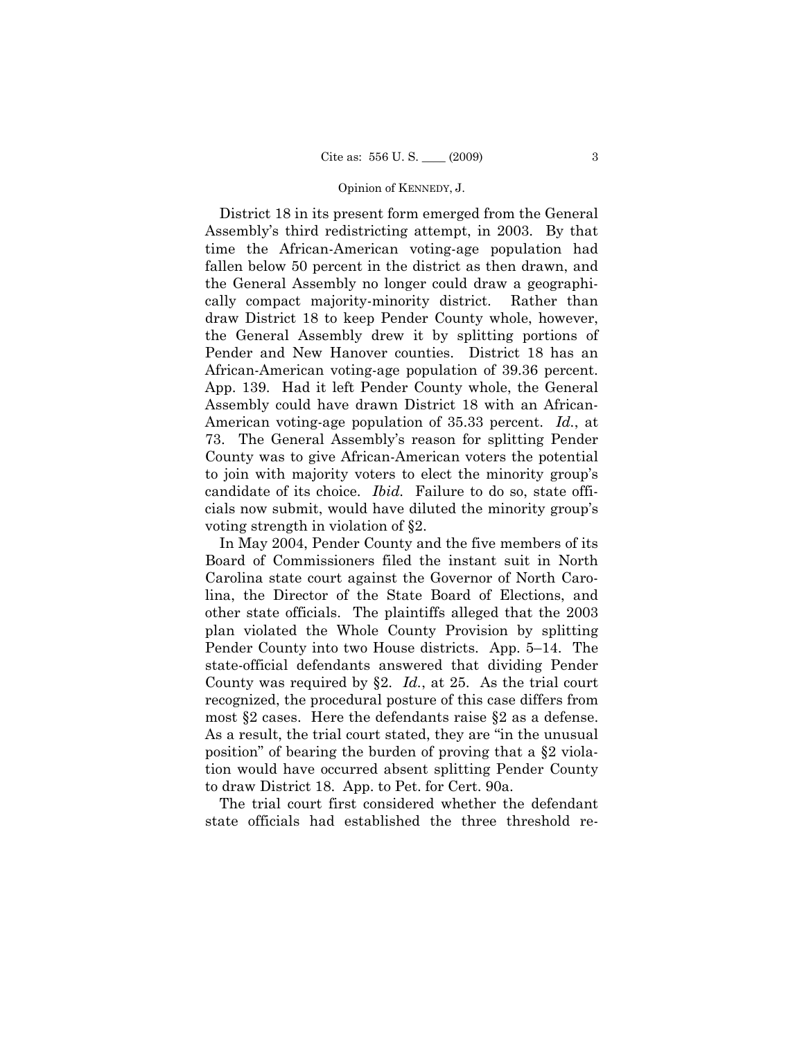District 18 in its present form emerged from the General Assembly's third redistricting attempt, in 2003. By that time the African-American voting-age population had fallen below 50 percent in the district as then drawn, and the General Assembly no longer could draw a geographically compact majority-minority district. Rather than draw District 18 to keep Pender County whole, however, the General Assembly drew it by splitting portions of Pender and New Hanover counties. District 18 has an African-American voting-age population of 39.36 percent. App. 139. Had it left Pender County whole, the General Assembly could have drawn District 18 with an African-American voting-age population of 35.33 percent. *Id.*, at 73. The General Assembly's reason for splitting Pender County was to give African-American voters the potential to join with majority voters to elect the minority group's candidate of its choice. *Ibid.* Failure to do so, state officials now submit, would have diluted the minority group's voting strength in violation of §2.

In May 2004, Pender County and the five members of its Board of Commissioners filed the instant suit in North Carolina state court against the Governor of North Carolina, the Director of the State Board of Elections, and other state officials. The plaintiffs alleged that the 2003 plan violated the Whole County Provision by splitting Pender County into two House districts. App. 5–14. The state-official defendants answered that dividing Pender County was required by §2. *Id.*, at 25. As the trial court recognized, the procedural posture of this case differs from most §2 cases. Here the defendants raise §2 as a defense. As a result, the trial court stated, they are "in the unusual position" of bearing the burden of proving that a §2 violation would have occurred absent splitting Pender County to draw District 18. App. to Pet. for Cert. 90a.

The trial court first considered whether the defendant state officials had established the three threshold re-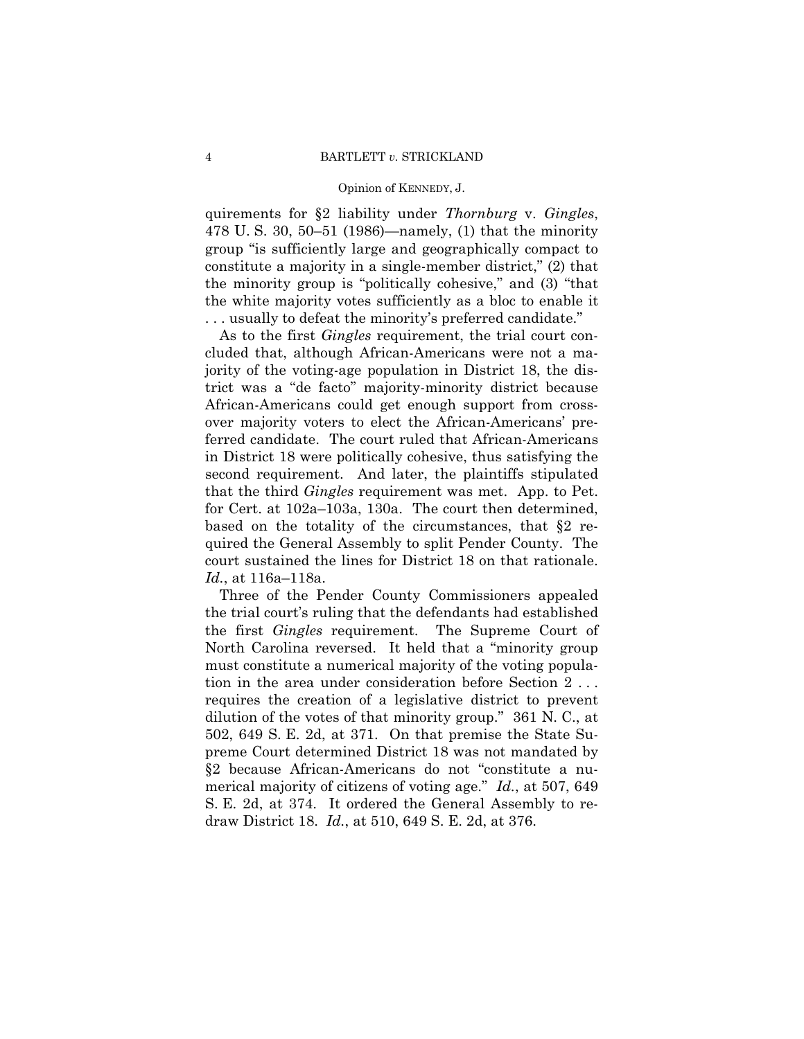quirements for §2 liability under *Thornburg* v. *Gingles*, 478 U. S. 30, 50–51 (1986)—namely, (1) that the minority group "is sufficiently large and geographically compact to constitute a majority in a single-member district," (2) that the minority group is "politically cohesive," and (3) "that the white majority votes sufficiently as a bloc to enable it . . . usually to defeat the minority's preferred candidate."

As to the first *Gingles* requirement, the trial court concluded that, although African-Americans were not a majority of the voting-age population in District 18, the district was a "de facto" majority-minority district because African-Americans could get enough support from crossover majority voters to elect the African-Americans' preferred candidate. The court ruled that African-Americans in District 18 were politically cohesive, thus satisfying the second requirement. And later, the plaintiffs stipulated that the third *Gingles* requirement was met. App. to Pet. for Cert. at 102a–103a, 130a. The court then determined, based on the totality of the circumstances, that §2 required the General Assembly to split Pender County. The court sustained the lines for District 18 on that rationale. *Id.*, at 116a–118a.

Three of the Pender County Commissioners appealed the trial court's ruling that the defendants had established the first *Gingles* requirement. The Supreme Court of North Carolina reversed. It held that a "minority group must constitute a numerical majority of the voting population in the area under consideration before Section 2 . . . requires the creation of a legislative district to prevent dilution of the votes of that minority group." 361 N. C., at 502, 649 S. E. 2d, at 371. On that premise the State Supreme Court determined District 18 was not mandated by §2 because African-Americans do not "constitute a numerical majority of citizens of voting age." *Id.*, at 507, 649 S. E. 2d, at 374. It ordered the General Assembly to redraw District 18. *Id.*, at 510, 649 S. E. 2d, at 376.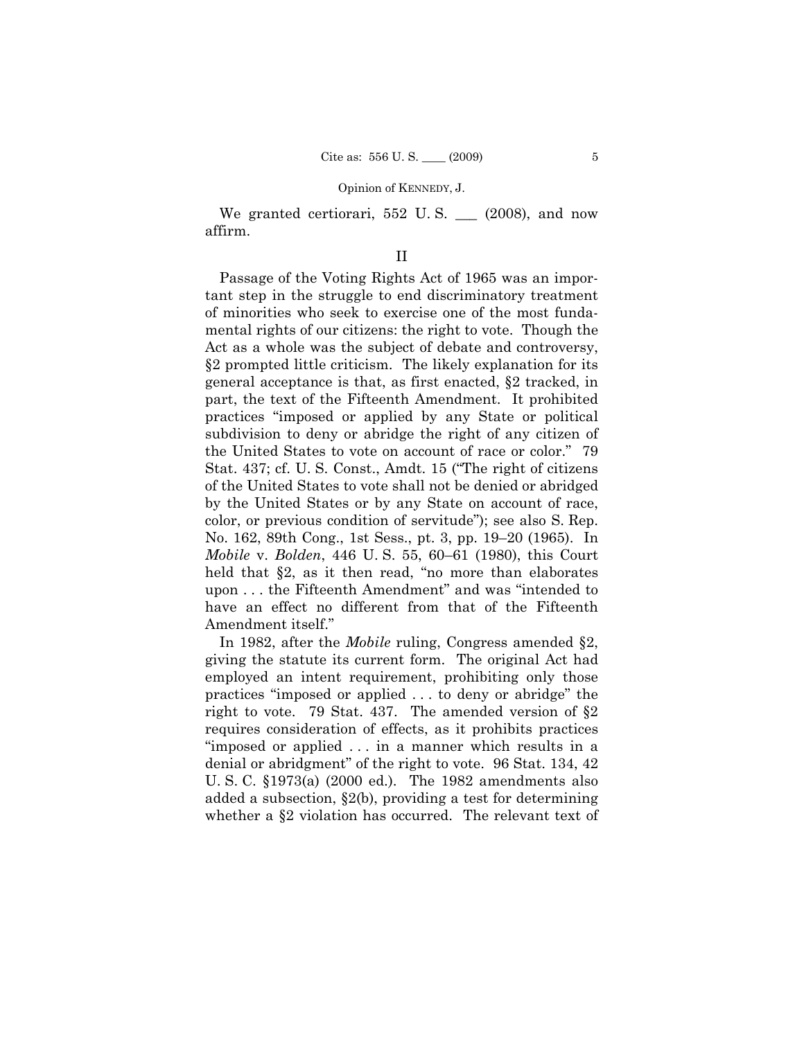We granted certiorari, 552 U.S. (2008), and now affirm.

## II

Passage of the Voting Rights Act of 1965 was an important step in the struggle to end discriminatory treatment of minorities who seek to exercise one of the most fundamental rights of our citizens: the right to vote. Though the Act as a whole was the subject of debate and controversy, §2 prompted little criticism. The likely explanation for its general acceptance is that, as first enacted, §2 tracked, in part, the text of the Fifteenth Amendment. It prohibited practices "imposed or applied by any State or political subdivision to deny or abridge the right of any citizen of the United States to vote on account of race or color." 79 Stat. 437; cf. U. S. Const., Amdt. 15 ("The right of citizens of the United States to vote shall not be denied or abridged by the United States or by any State on account of race, color, or previous condition of servitude"); see also S. Rep. No. 162, 89th Cong., 1st Sess., pt. 3, pp. 19–20 (1965). In *Mobile* v. *Bolden*, 446 U. S. 55, 60–61 (1980), this Court held that §2, as it then read, "no more than elaborates" upon . . . the Fifteenth Amendment" and was "intended to have an effect no different from that of the Fifteenth Amendment itself."

In 1982, after the *Mobile* ruling, Congress amended §2, giving the statute its current form. The original Act had employed an intent requirement, prohibiting only those practices "imposed or applied . . . to deny or abridge" the right to vote. 79 Stat. 437. The amended version of §2 requires consideration of effects, as it prohibits practices "imposed or applied . . . in a manner which results in a denial or abridgment" of the right to vote. 96 Stat. 134, 42 U. S. C. §1973(a) (2000 ed.). The 1982 amendments also added a subsection, §2(b), providing a test for determining whether a §2 violation has occurred. The relevant text of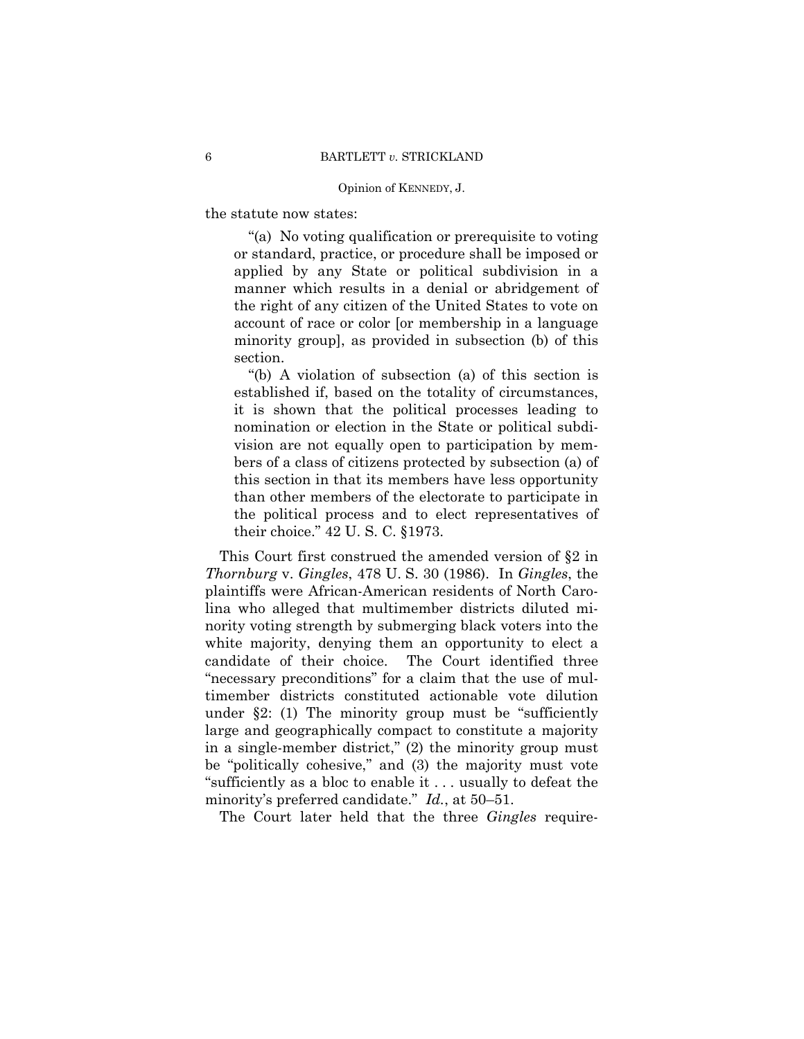the statute now states:

"(a) No voting qualification or prerequisite to voting or standard, practice, or procedure shall be imposed or applied by any State or political subdivision in a manner which results in a denial or abridgement of the right of any citizen of the United States to vote on account of race or color [or membership in a language minority group], as provided in subsection (b) of this section.

"(b) A violation of subsection (a) of this section is established if, based on the totality of circumstances, it is shown that the political processes leading to nomination or election in the State or political subdivision are not equally open to participation by members of a class of citizens protected by subsection (a) of this section in that its members have less opportunity than other members of the electorate to participate in the political process and to elect representatives of their choice." 42 U. S. C. §1973.

This Court first construed the amended version of §2 in *Thornburg* v. *Gingles*, 478 U. S. 30 (1986). In *Gingles*, the plaintiffs were African-American residents of North Carolina who alleged that multimember districts diluted minority voting strength by submerging black voters into the white majority, denying them an opportunity to elect a candidate of their choice. The Court identified three "necessary preconditions" for a claim that the use of multimember districts constituted actionable vote dilution under  $\S2$ : (1) The minority group must be "sufficiently" large and geographically compact to constitute a majority in a single-member district," (2) the minority group must be "politically cohesive," and (3) the majority must vote "sufficiently as a bloc to enable it . . . usually to defeat the minority's preferred candidate." *Id.*, at 50–51.

The Court later held that the three *Gingles* require-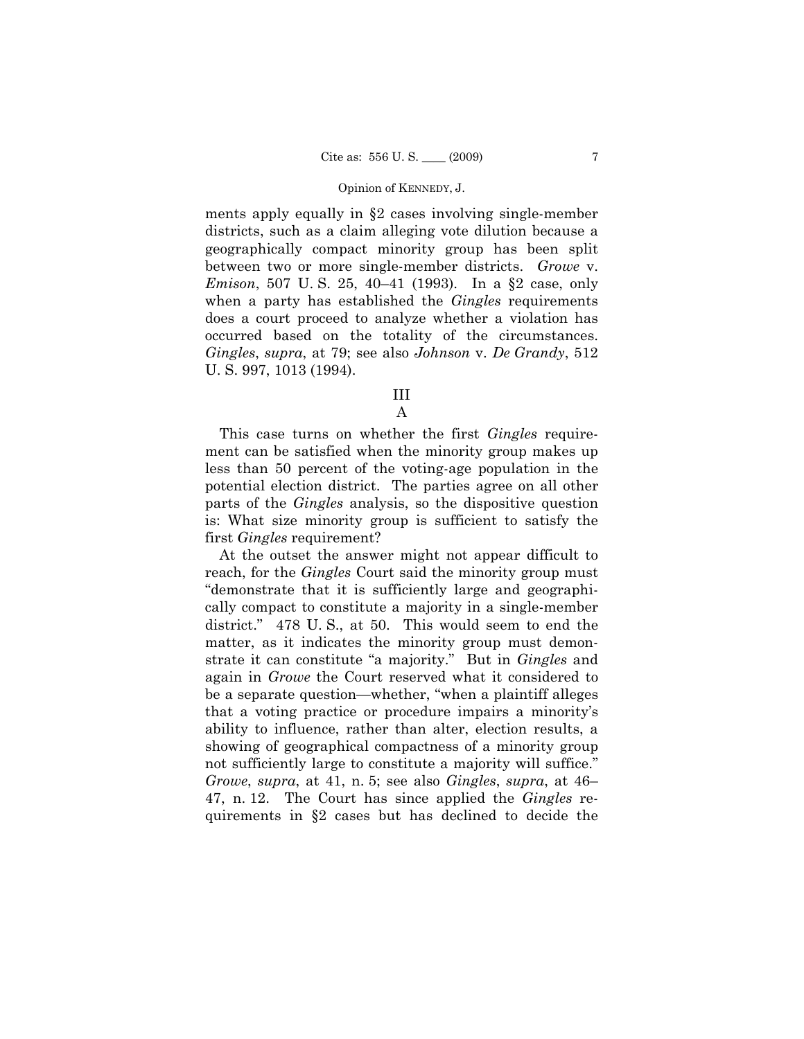ments apply equally in §2 cases involving single-member districts, such as a claim alleging vote dilution because a geographically compact minority group has been split between two or more single-member districts. *Growe* v. *Emison*, 507 U. S. 25, 40–41 (1993). In a §2 case, only when a party has established the *Gingles* requirements does a court proceed to analyze whether a violation has occurred based on the totality of the circumstances. *Gingles*, *supra*, at 79; see also *Johnson* v. *De Grandy*, 512 U. S. 997, 1013 (1994).

# III

## A

This case turns on whether the first *Gingles* requirement can be satisfied when the minority group makes up less than 50 percent of the voting-age population in the potential election district. The parties agree on all other parts of the *Gingles* analysis, so the dispositive question is: What size minority group is sufficient to satisfy the first *Gingles* requirement?

At the outset the answer might not appear difficult to reach, for the *Gingles* Court said the minority group must "demonstrate that it is sufficiently large and geographically compact to constitute a majority in a single-member district." 478 U.S., at 50. This would seem to end the matter, as it indicates the minority group must demonstrate it can constitute "a majority." But in *Gingles* and again in *Growe* the Court reserved what it considered to be a separate question—whether, "when a plaintiff alleges that a voting practice or procedure impairs a minority's ability to influence, rather than alter, election results, a showing of geographical compactness of a minority group not sufficiently large to constitute a majority will suffice." *Growe*, *supra*, at 41, n. 5; see also *Gingles*, *supra*, at 46– 47, n. 12. The Court has since applied the *Gingles* requirements in §2 cases but has declined to decide the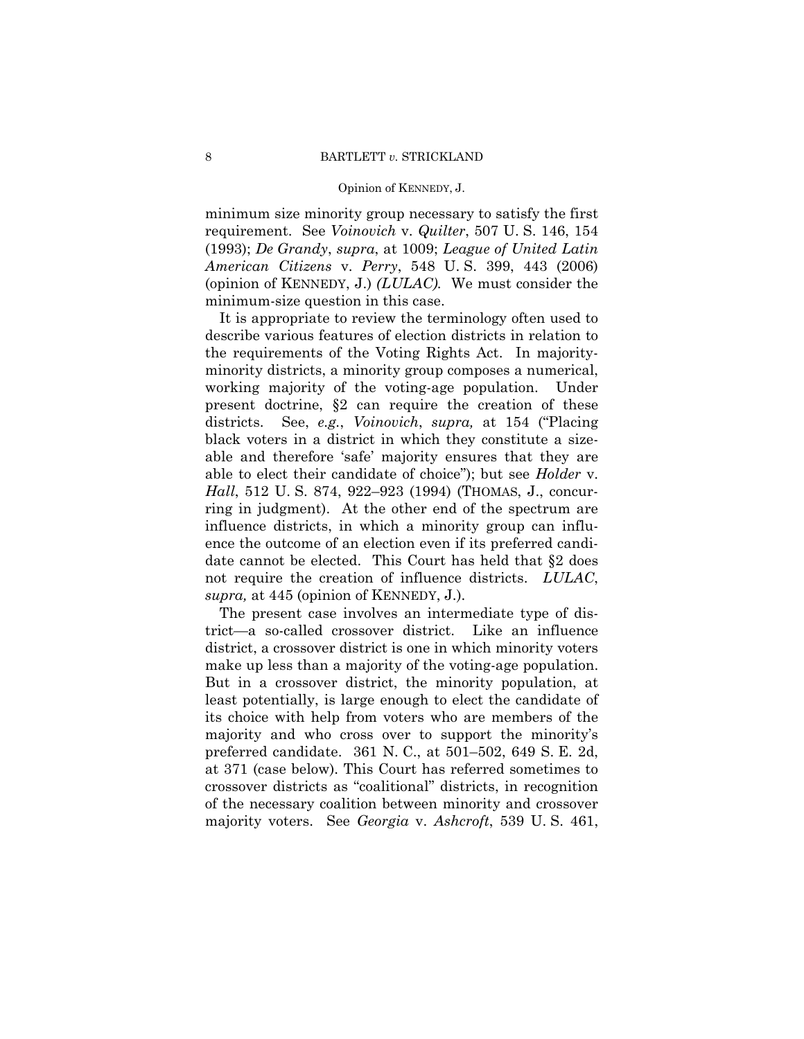minimum size minority group necessary to satisfy the first requirement. See *Voinovich* v. *Quilter*, 507 U. S. 146, 154 (1993); *De Grandy*, *supra*, at 1009; *League of United Latin American Citizens* v. *Perry*, 548 U. S. 399, 443 (2006) (opinion of KENNEDY, J.) *(LULAC).* We must consider the minimum-size question in this case.

It is appropriate to review the terminology often used to describe various features of election districts in relation to the requirements of the Voting Rights Act. In majorityminority districts, a minority group composes a numerical, working majority of the voting-age population. Under present doctrine, §2 can require the creation of these districts. See, *e.g.*, *Voinovich*, *supra,* at 154 ("Placing black voters in a district in which they constitute a sizeable and therefore 'safe' majority ensures that they are able to elect their candidate of choice"); but see *Holder* v. *Hall*, 512 U. S. 874, 922–923 (1994) (THOMAS, J., concurring in judgment). At the other end of the spectrum are influence districts, in which a minority group can influence the outcome of an election even if its preferred candidate cannot be elected. This Court has held that §2 does not require the creation of influence districts. *LULAC*, *supra,* at 445 (opinion of KENNEDY, J.).

The present case involves an intermediate type of district—a so-called crossover district. Like an influence district, a crossover district is one in which minority voters make up less than a majority of the voting-age population. But in a crossover district, the minority population, at least potentially, is large enough to elect the candidate of its choice with help from voters who are members of the majority and who cross over to support the minority's preferred candidate. 361 N. C., at 501–502, 649 S. E. 2d, at 371 (case below). This Court has referred sometimes to crossover districts as "coalitional" districts, in recognition of the necessary coalition between minority and crossover majority voters. See *Georgia* v. *Ashcroft*, 539 U. S. 461,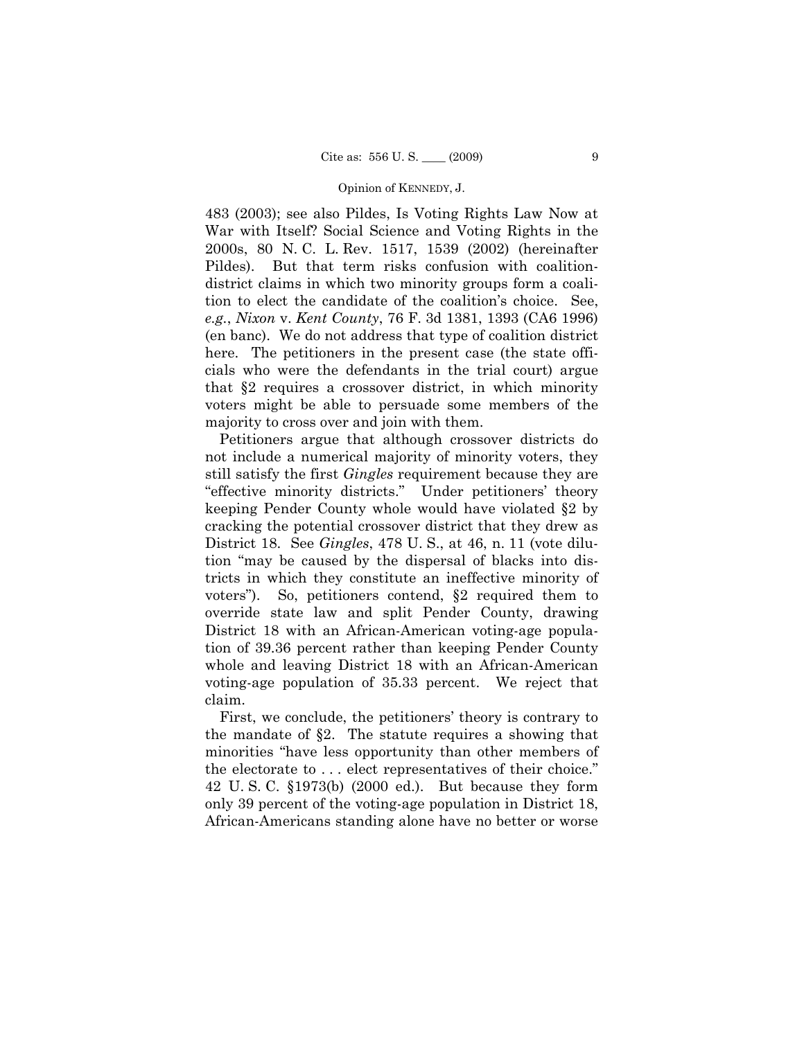483 (2003); see also Pildes, Is Voting Rights Law Now at War with Itself? Social Science and Voting Rights in the 2000s, 80 N. C. L. Rev. 1517, 1539 (2002) (hereinafter Pildes). But that term risks confusion with coalitiondistrict claims in which two minority groups form a coalition to elect the candidate of the coalition's choice. See, *e.g.*, *Nixon* v. *Kent County*, 76 F. 3d 1381, 1393 (CA6 1996) (en banc). We do not address that type of coalition district here. The petitioners in the present case (the state officials who were the defendants in the trial court) argue that §2 requires a crossover district, in which minority voters might be able to persuade some members of the majority to cross over and join with them.

Petitioners argue that although crossover districts do not include a numerical majority of minority voters, they still satisfy the first *Gingles* requirement because they are "effective minority districts." Under petitioners' theory keeping Pender County whole would have violated §2 by cracking the potential crossover district that they drew as District 18. See *Gingles*, 478 U. S., at 46, n. 11 (vote dilution "may be caused by the dispersal of blacks into districts in which they constitute an ineffective minority of voters"). So, petitioners contend, §2 required them to override state law and split Pender County, drawing District 18 with an African-American voting-age population of 39.36 percent rather than keeping Pender County whole and leaving District 18 with an African-American voting-age population of 35.33 percent. We reject that claim.

First, we conclude, the petitioners' theory is contrary to the mandate of §2. The statute requires a showing that minorities "have less opportunity than other members of the electorate to . . . elect representatives of their choice." 42 U. S. C. §1973(b) (2000 ed.). But because they form only 39 percent of the voting-age population in District 18, African-Americans standing alone have no better or worse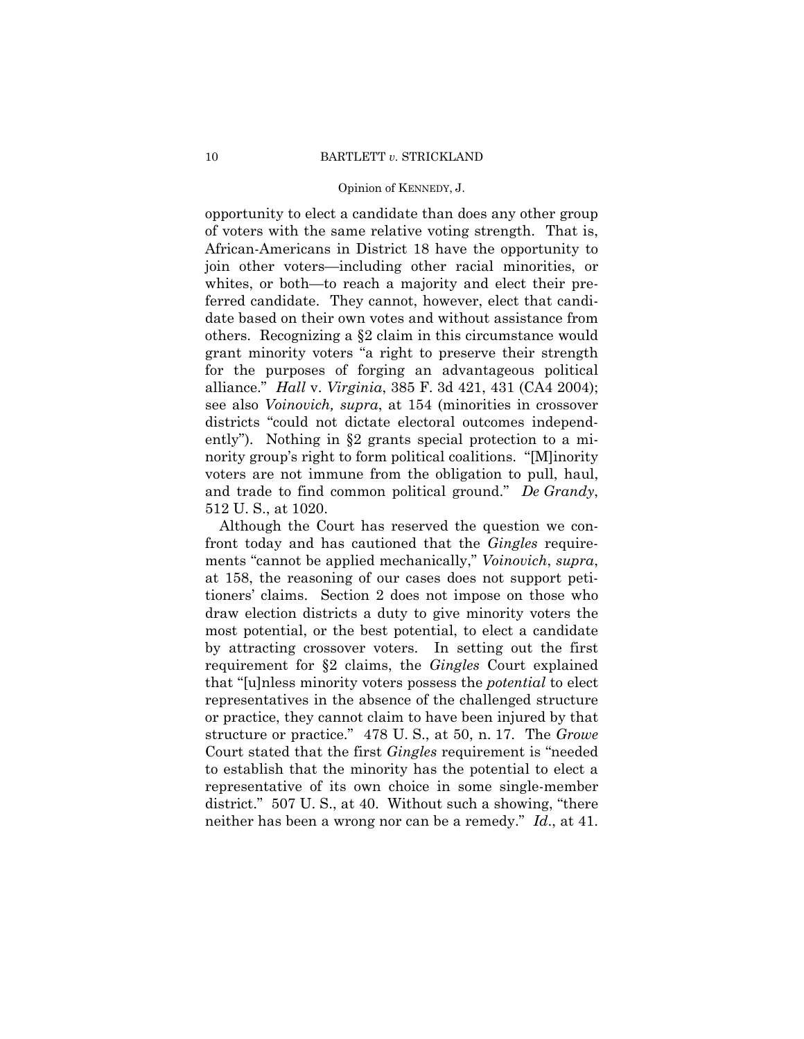opportunity to elect a candidate than does any other group of voters with the same relative voting strength. That is, African-Americans in District 18 have the opportunity to join other voters—including other racial minorities, or whites, or both—to reach a majority and elect their preferred candidate. They cannot, however, elect that candidate based on their own votes and without assistance from others. Recognizing a §2 claim in this circumstance would grant minority voters "a right to preserve their strength for the purposes of forging an advantageous political alliance." *Hall* v. *Virginia*, 385 F. 3d 421, 431 (CA4 2004); see also *Voinovich, supra*, at 154 (minorities in crossover districts "could not dictate electoral outcomes independently"). Nothing in §2 grants special protection to a minority group's right to form political coalitions. "[M]inority voters are not immune from the obligation to pull, haul, and trade to find common political ground." *De Grandy*, 512 U. S., at 1020.

Although the Court has reserved the question we confront today and has cautioned that the *Gingles* requirements "cannot be applied mechanically," *Voinovich*, *supra*, at 158, the reasoning of our cases does not support petitioners' claims. Section 2 does not impose on those who draw election districts a duty to give minority voters the most potential, or the best potential, to elect a candidate by attracting crossover voters. In setting out the first requirement for §2 claims, the *Gingles* Court explained that "[u]nless minority voters possess the *potential* to elect representatives in the absence of the challenged structure or practice, they cannot claim to have been injured by that structure or practice." 478 U. S., at 50, n. 17. The *Growe*  Court stated that the first *Gingles* requirement is "needed to establish that the minority has the potential to elect a representative of its own choice in some single-member district." 507 U. S., at 40. Without such a showing, "there neither has been a wrong nor can be a remedy." *Id*., at 41.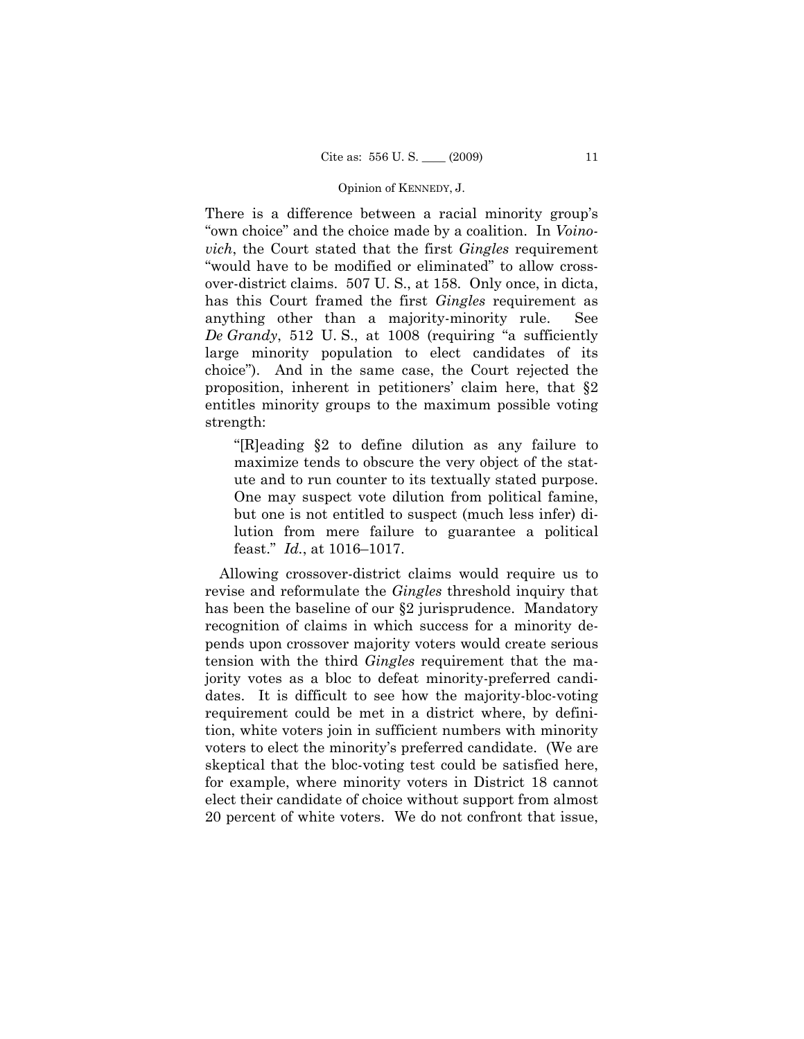There is a difference between a racial minority group's "own choice" and the choice made by a coalition. In *Voinovich*, the Court stated that the first *Gingles* requirement "would have to be modified or eliminated" to allow crossover-district claims. 507 U. S., at 158. Only once, in dicta, has this Court framed the first *Gingles* requirement as anything other than a majority-minority rule. See *De Grandy*, 512 U. S., at 1008 (requiring "a sufficiently large minority population to elect candidates of its choice"). And in the same case, the Court rejected the proposition, inherent in petitioners' claim here, that §2 entitles minority groups to the maximum possible voting strength:

"[R]eading §2 to define dilution as any failure to maximize tends to obscure the very object of the statute and to run counter to its textually stated purpose. One may suspect vote dilution from political famine, but one is not entitled to suspect (much less infer) dilution from mere failure to guarantee a political feast." *Id.*, at 1016–1017.

 Allowing crossover-district claims would require us to revise and reformulate the *Gingles* threshold inquiry that has been the baseline of our §2 jurisprudence. Mandatory recognition of claims in which success for a minority depends upon crossover majority voters would create serious tension with the third *Gingles* requirement that the majority votes as a bloc to defeat minority-preferred candidates. It is difficult to see how the majority-bloc-voting requirement could be met in a district where, by definition, white voters join in sufficient numbers with minority voters to elect the minority's preferred candidate. (We are skeptical that the bloc-voting test could be satisfied here, for example, where minority voters in District 18 cannot elect their candidate of choice without support from almost 20 percent of white voters. We do not confront that issue,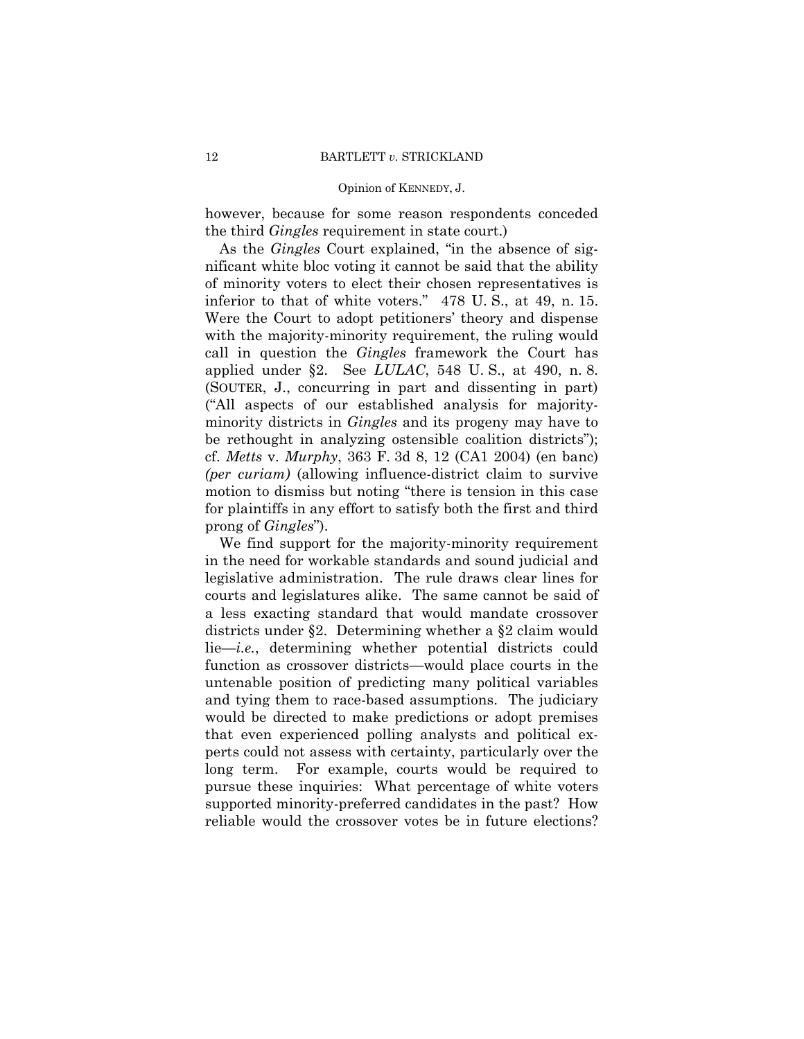however, because for some reason respondents conceded the third *Gingles* requirement in state court.)

 As the *Gingles* Court explained, "in the absence of significant white bloc voting it cannot be said that the ability of minority voters to elect their chosen representatives is inferior to that of white voters." 478 U. S., at 49, n. 15. Were the Court to adopt petitioners' theory and dispense with the majority-minority requirement, the ruling would call in question the *Gingles* framework the Court has applied under §2. See *LULAC*, 548 U. S., at 490, n. 8. (SOUTER, J., concurring in part and dissenting in part) ("All aspects of our established analysis for majorityminority districts in *Gingles* and its progeny may have to be rethought in analyzing ostensible coalition districts"); cf. *Metts* v. *Murphy*, 363 F. 3d 8, 12 (CA1 2004) (en banc) *(per curiam)* (allowing influence-district claim to survive motion to dismiss but noting "there is tension in this case for plaintiffs in any effort to satisfy both the first and third prong of *Gingles*").

We find support for the majority-minority requirement in the need for workable standards and sound judicial and legislative administration. The rule draws clear lines for courts and legislatures alike. The same cannot be said of a less exacting standard that would mandate crossover districts under §2. Determining whether a §2 claim would lie—*i.e.*, determining whether potential districts could function as crossover districts—would place courts in the untenable position of predicting many political variables and tying them to race-based assumptions. The judiciary would be directed to make predictions or adopt premises that even experienced polling analysts and political experts could not assess with certainty, particularly over the long term. For example, courts would be required to pursue these inquiries: What percentage of white voters supported minority-preferred candidates in the past? How reliable would the crossover votes be in future elections?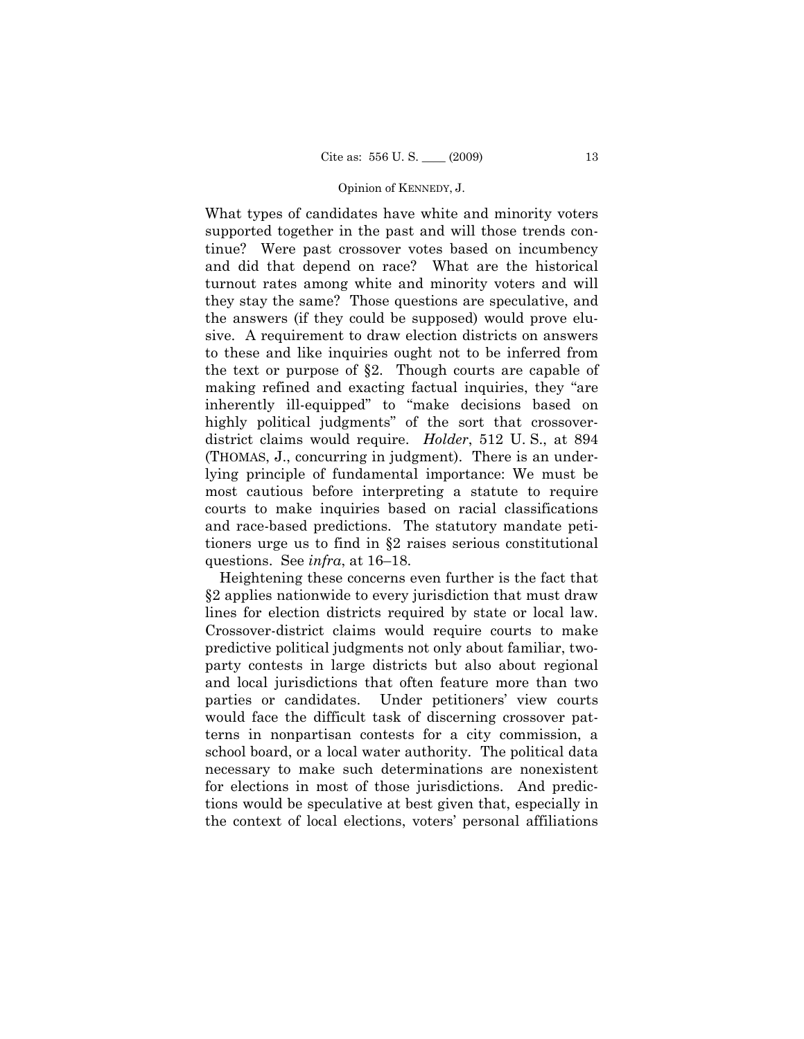What types of candidates have white and minority voters supported together in the past and will those trends continue? Were past crossover votes based on incumbency and did that depend on race? What are the historical turnout rates among white and minority voters and will they stay the same? Those questions are speculative, and the answers (if they could be supposed) would prove elusive. A requirement to draw election districts on answers to these and like inquiries ought not to be inferred from the text or purpose of §2. Though courts are capable of making refined and exacting factual inquiries, they "are inherently ill-equipped" to "make decisions based on highly political judgments" of the sort that crossoverdistrict claims would require. *Holder*, 512 U. S., at 894 (THOMAS, J., concurring in judgment). There is an underlying principle of fundamental importance: We must be most cautious before interpreting a statute to require courts to make inquiries based on racial classifications and race-based predictions. The statutory mandate petitioners urge us to find in §2 raises serious constitutional questions. See *infra*, at 16–18.

Heightening these concerns even further is the fact that §2 applies nationwide to every jurisdiction that must draw lines for election districts required by state or local law. Crossover-district claims would require courts to make predictive political judgments not only about familiar, twoparty contests in large districts but also about regional and local jurisdictions that often feature more than two parties or candidates. Under petitioners' view courts would face the difficult task of discerning crossover patterns in nonpartisan contests for a city commission, a school board, or a local water authority. The political data necessary to make such determinations are nonexistent for elections in most of those jurisdictions. And predictions would be speculative at best given that, especially in the context of local elections, voters' personal affiliations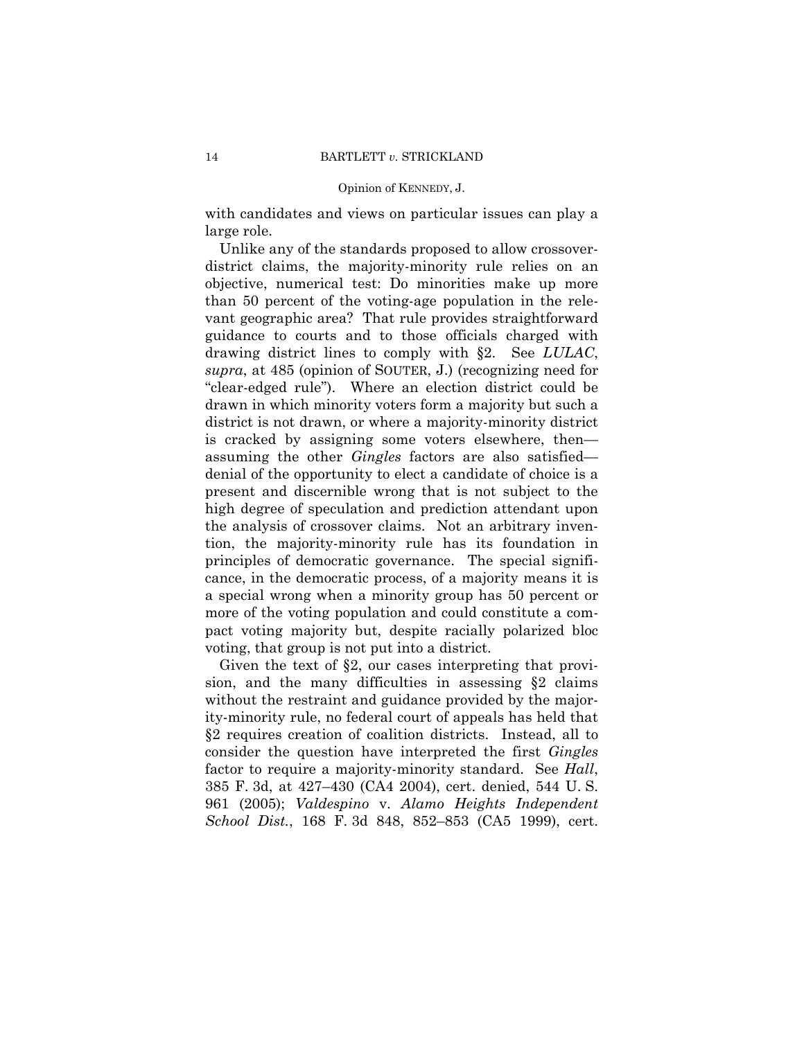with candidates and views on particular issues can play a large role.

Unlike any of the standards proposed to allow crossoverdistrict claims, the majority-minority rule relies on an objective, numerical test: Do minorities make up more than 50 percent of the voting-age population in the relevant geographic area? That rule provides straightforward guidance to courts and to those officials charged with drawing district lines to comply with §2. See *LULAC*, *supra*, at 485 (opinion of SOUTER, J.) (recognizing need for "clear-edged rule"). Where an election district could be drawn in which minority voters form a majority but such a district is not drawn, or where a majority-minority district is cracked by assigning some voters elsewhere, then assuming the other *Gingles* factors are also satisfied denial of the opportunity to elect a candidate of choice is a present and discernible wrong that is not subject to the high degree of speculation and prediction attendant upon the analysis of crossover claims. Not an arbitrary invention, the majority-minority rule has its foundation in principles of democratic governance. The special significance, in the democratic process, of a majority means it is a special wrong when a minority group has 50 percent or more of the voting population and could constitute a compact voting majority but, despite racially polarized bloc voting, that group is not put into a district.

Given the text of §2, our cases interpreting that provision, and the many difficulties in assessing §2 claims without the restraint and guidance provided by the majority-minority rule, no federal court of appeals has held that §2 requires creation of coalition districts. Instead, all to consider the question have interpreted the first *Gingles*  factor to require a majority-minority standard. See *Hall*, 385 F. 3d, at 427–430 (CA4 2004), cert. denied, 544 U. S. 961 (2005); *Valdespino* v. *Alamo Heights Independent School Dist.*, 168 F. 3d 848, 852–853 (CA5 1999), cert.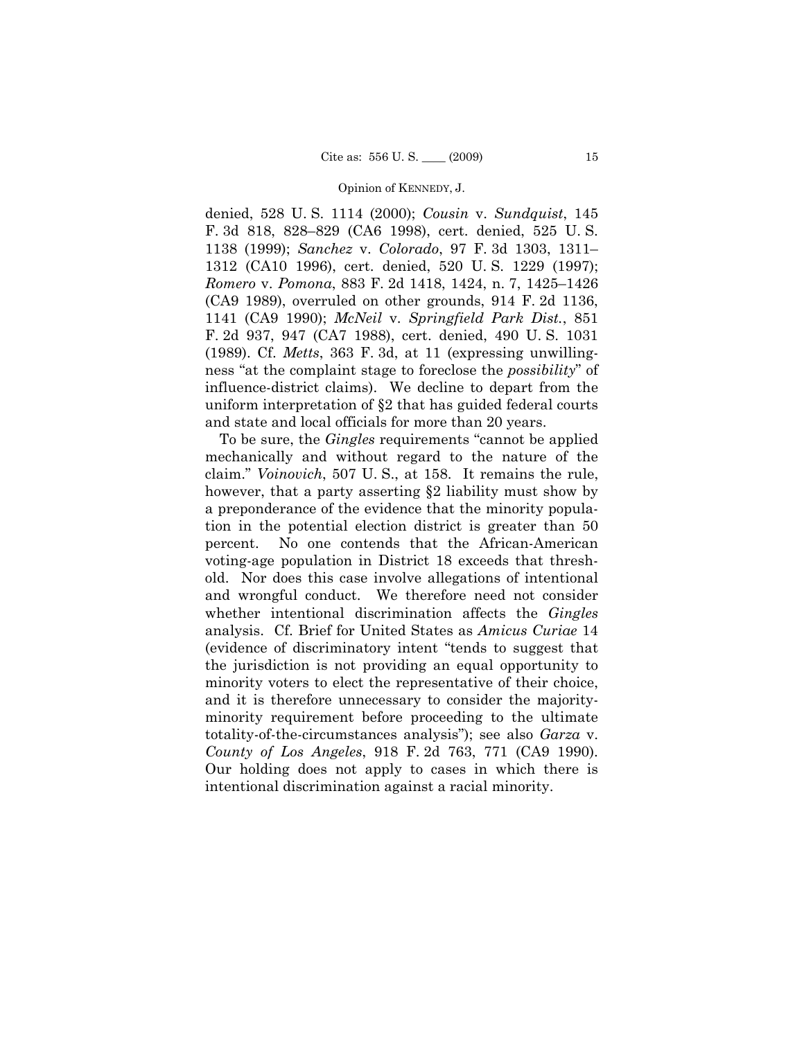denied, 528 U. S. 1114 (2000); *Cousin* v. *Sundquist*, 145 F. 3d 818, 828–829 (CA6 1998), cert. denied, 525 U. S. 1138 (1999); *Sanchez* v. *Colorado*, 97 F. 3d 1303, 1311– 1312 (CA10 1996), cert. denied, 520 U. S. 1229 (1997); *Romero* v. *Pomona*, 883 F. 2d 1418, 1424, n. 7, 1425–1426 (CA9 1989), overruled on other grounds, 914 F. 2d 1136, 1141 (CA9 1990); *McNeil* v. *Springfield Park Dist.*, 851 F. 2d 937, 947 (CA7 1988), cert. denied, 490 U. S. 1031 (1989). Cf. *Metts*, 363 F. 3d, at 11 (expressing unwillingness "at the complaint stage to foreclose the *possibility*" of influence-district claims). We decline to depart from the uniform interpretation of §2 that has guided federal courts and state and local officials for more than 20 years.

To be sure, the *Gingles* requirements "cannot be applied mechanically and without regard to the nature of the claim." *Voinovich*, 507 U. S., at 158. It remains the rule, however, that a party asserting §2 liability must show by a preponderance of the evidence that the minority population in the potential election district is greater than 50 percent. No one contends that the African-American voting-age population in District 18 exceeds that threshold. Nor does this case involve allegations of intentional and wrongful conduct. We therefore need not consider whether intentional discrimination affects the *Gingles*  analysis. Cf. Brief for United States as *Amicus Curiae* 14 (evidence of discriminatory intent "tends to suggest that the jurisdiction is not providing an equal opportunity to minority voters to elect the representative of their choice, and it is therefore unnecessary to consider the majorityminority requirement before proceeding to the ultimate totality-of-the-circumstances analysis"); see also *Garza* v. *County of Los Angeles*, 918 F. 2d 763, 771 (CA9 1990). Our holding does not apply to cases in which there is intentional discrimination against a racial minority.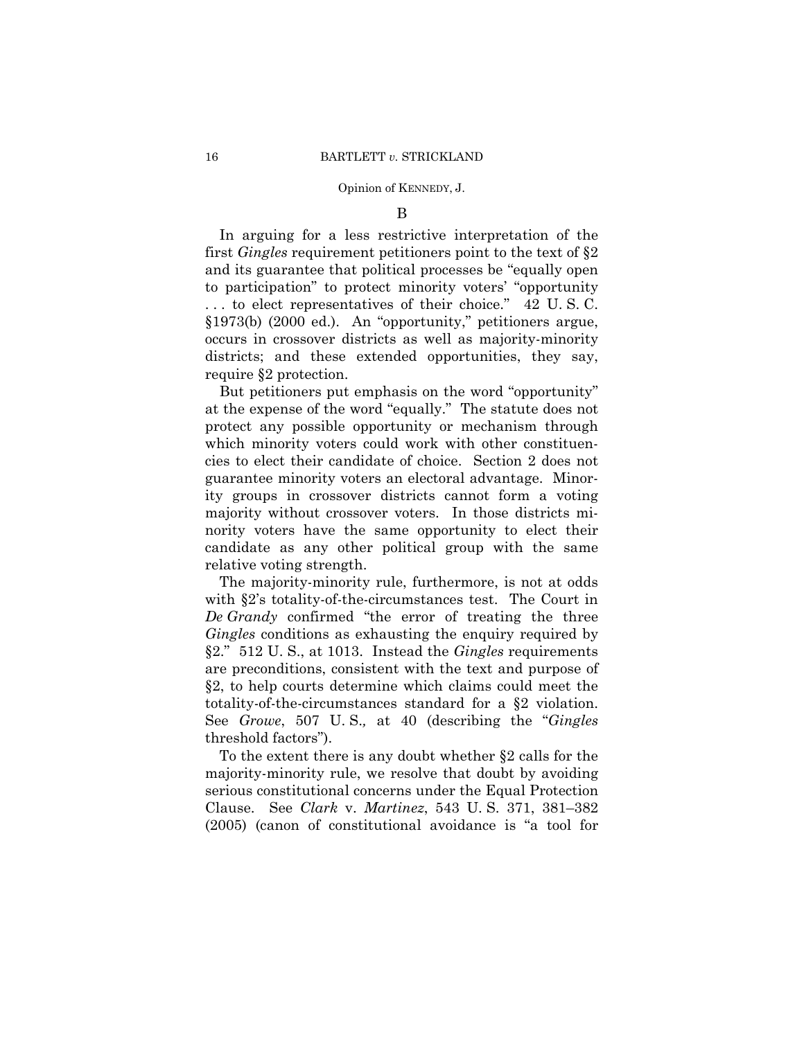B

In arguing for a less restrictive interpretation of the first *Gingles* requirement petitioners point to the text of §2 and its guarantee that political processes be "equally open to participation" to protect minority voters' "opportunity . . . to elect representatives of their choice." 42 U. S. C. §1973(b) (2000 ed.). An "opportunity," petitioners argue, occurs in crossover districts as well as majority-minority districts; and these extended opportunities, they say, require §2 protection.

But petitioners put emphasis on the word "opportunity" at the expense of the word "equally." The statute does not protect any possible opportunity or mechanism through which minority voters could work with other constituencies to elect their candidate of choice. Section 2 does not guarantee minority voters an electoral advantage. Minority groups in crossover districts cannot form a voting majority without crossover voters. In those districts minority voters have the same opportunity to elect their candidate as any other political group with the same relative voting strength.

The majority-minority rule, furthermore, is not at odds with §2's totality-of-the-circumstances test. The Court in *De Grandy* confirmed "the error of treating the three *Gingles* conditions as exhausting the enquiry required by §2." 512 U. S., at 1013. Instead the *Gingles* requirements are preconditions, consistent with the text and purpose of §2, to help courts determine which claims could meet the totality-of-the-circumstances standard for a §2 violation. See *Growe*, 507 U. S.*,* at 40 (describing the "*Gingles*  threshold factors").

To the extent there is any doubt whether §2 calls for the majority-minority rule, we resolve that doubt by avoiding serious constitutional concerns under the Equal Protection Clause. See *Clark* v. *Martinez*, 543 U. S. 371, 381–382 (2005) (canon of constitutional avoidance is "a tool for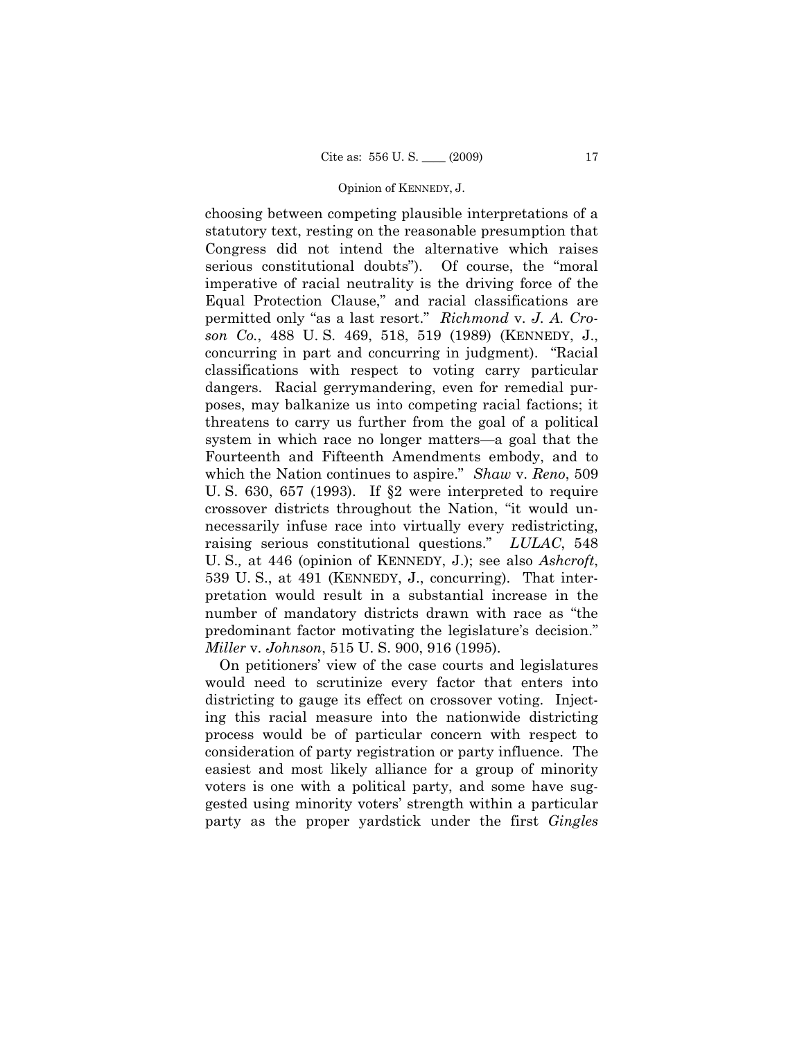choosing between competing plausible interpretations of a statutory text, resting on the reasonable presumption that Congress did not intend the alternative which raises serious constitutional doubts"). Of course, the "moral imperative of racial neutrality is the driving force of the Equal Protection Clause," and racial classifications are permitted only "as a last resort." *Richmond* v. *J. A. Croson Co.*, 488 U. S. 469, 518, 519 (1989) (KENNEDY, J., concurring in part and concurring in judgment). "Racial classifications with respect to voting carry particular dangers. Racial gerrymandering, even for remedial purposes, may balkanize us into competing racial factions; it threatens to carry us further from the goal of a political system in which race no longer matters—a goal that the Fourteenth and Fifteenth Amendments embody, and to which the Nation continues to aspire." *Shaw* v. *Reno*, 509 U. S. 630, 657 (1993). If §2 were interpreted to require crossover districts throughout the Nation, "it would unnecessarily infuse race into virtually every redistricting, raising serious constitutional questions." *LULAC*, 548 U. S.*,* at 446 (opinion of KENNEDY, J.); see also *Ashcroft*, 539 U. S., at 491 (KENNEDY, J., concurring). That interpretation would result in a substantial increase in the number of mandatory districts drawn with race as "the predominant factor motivating the legislature's decision." *Miller* v. *Johnson*, 515 U. S. 900, 916 (1995).

On petitioners' view of the case courts and legislatures would need to scrutinize every factor that enters into districting to gauge its effect on crossover voting. Injecting this racial measure into the nationwide districting process would be of particular concern with respect to consideration of party registration or party influence. The easiest and most likely alliance for a group of minority voters is one with a political party, and some have suggested using minority voters' strength within a particular party as the proper yardstick under the first *Gingles*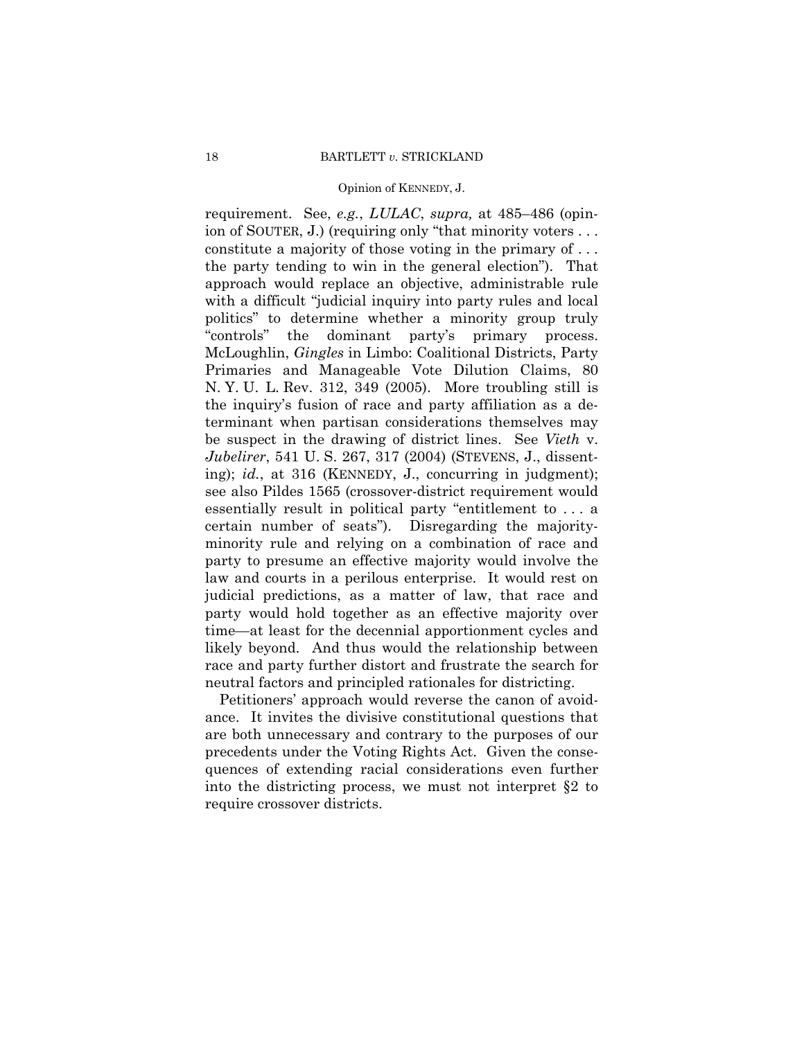requirement. See, *e.g.*, *LULAC*, *supra,* at 485–486 (opinion of SOUTER, J.) (requiring only "that minority voters . . . constitute a majority of those voting in the primary of . . . the party tending to win in the general election"). That approach would replace an objective, administrable rule with a difficult "judicial inquiry into party rules and local politics" to determine whether a minority group truly "controls" the dominant party's primary process. McLoughlin, *Gingles* in Limbo: Coalitional Districts, Party Primaries and Manageable Vote Dilution Claims, 80 N. Y. U. L. Rev. 312, 349 (2005). More troubling still is the inquiry's fusion of race and party affiliation as a determinant when partisan considerations themselves may be suspect in the drawing of district lines. See *Vieth* v. *Jubelirer*, 541 U. S. 267, 317 (2004) (STEVENS, J., dissenting); *id.*, at 316 (KENNEDY, J., concurring in judgment); see also Pildes 1565 (crossover-district requirement would essentially result in political party "entitlement to . . . a certain number of seats"). Disregarding the majorityminority rule and relying on a combination of race and party to presume an effective majority would involve the law and courts in a perilous enterprise. It would rest on judicial predictions, as a matter of law, that race and party would hold together as an effective majority over time—at least for the decennial apportionment cycles and likely beyond. And thus would the relationship between race and party further distort and frustrate the search for neutral factors and principled rationales for districting.

Petitioners' approach would reverse the canon of avoidance. It invites the divisive constitutional questions that are both unnecessary and contrary to the purposes of our precedents under the Voting Rights Act. Given the consequences of extending racial considerations even further into the districting process, we must not interpret §2 to require crossover districts.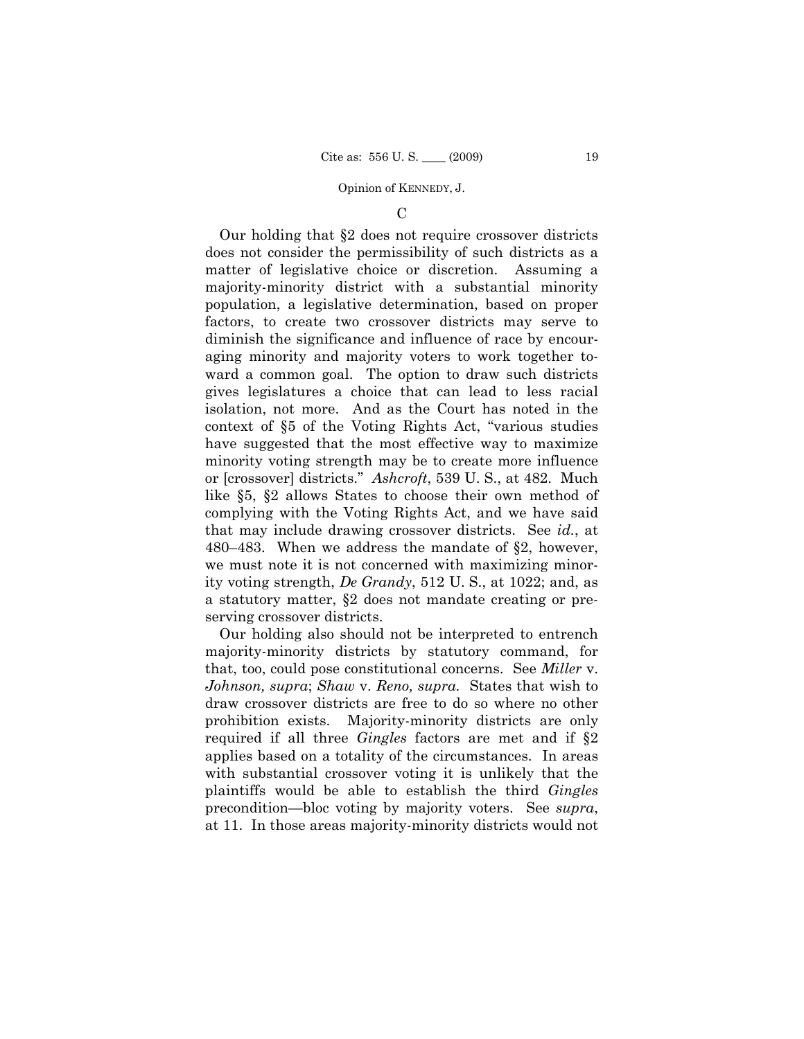### $\mathcal{C}$

Our holding that §2 does not require crossover districts does not consider the permissibility of such districts as a matter of legislative choice or discretion. Assuming a majority-minority district with a substantial minority population, a legislative determination, based on proper factors, to create two crossover districts may serve to diminish the significance and influence of race by encouraging minority and majority voters to work together toward a common goal. The option to draw such districts gives legislatures a choice that can lead to less racial isolation, not more. And as the Court has noted in the context of §5 of the Voting Rights Act, "various studies have suggested that the most effective way to maximize minority voting strength may be to create more influence or [crossover] districts." *Ashcroft*, 539 U. S., at 482. Much like §5, §2 allows States to choose their own method of complying with the Voting Rights Act, and we have said that may include drawing crossover districts. See *id.*, at 480–483. When we address the mandate of §2, however, we must note it is not concerned with maximizing minority voting strength, *De Grandy*, 512 U. S., at 1022; and, as a statutory matter, §2 does not mandate creating or preserving crossover districts.

Our holding also should not be interpreted to entrench majority-minority districts by statutory command, for that, too, could pose constitutional concerns. See *Miller* v. *Johnson, supra*; *Shaw* v. *Reno, supra.* States that wish to draw crossover districts are free to do so where no other prohibition exists. Majority-minority districts are only required if all three *Gingles* factors are met and if §2 applies based on a totality of the circumstances. In areas with substantial crossover voting it is unlikely that the plaintiffs would be able to establish the third *Gingles*  precondition—bloc voting by majority voters. See *supra*, at 11. In those areas majority-minority districts would not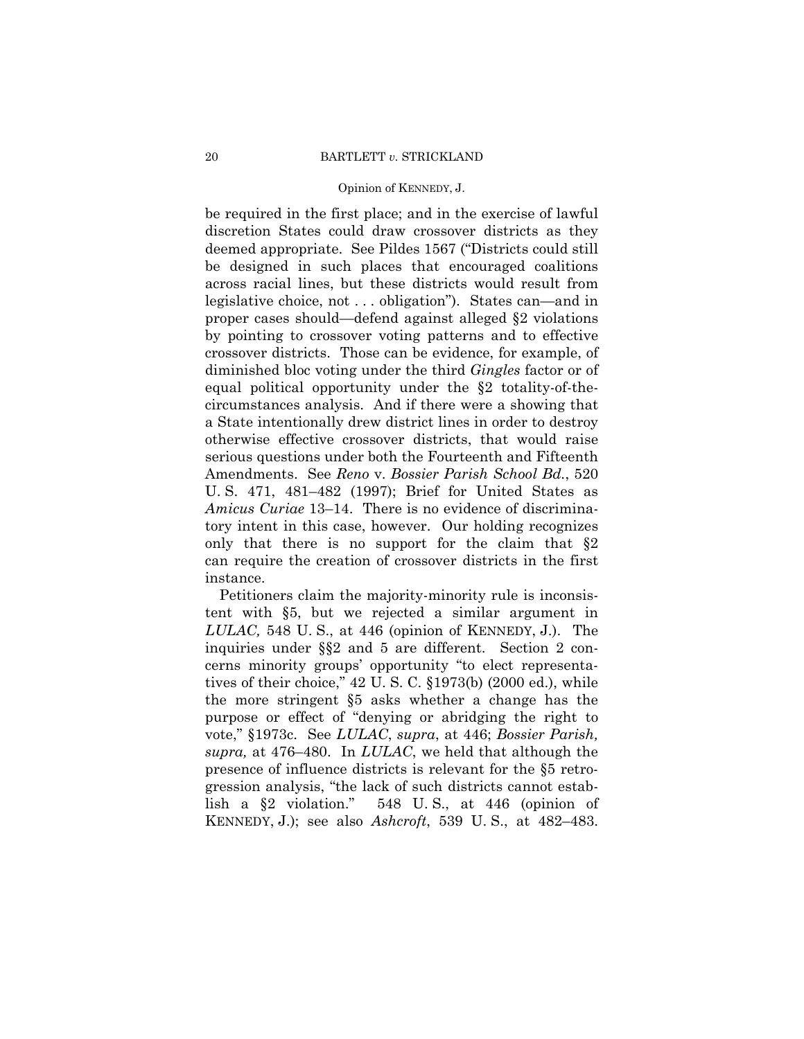be required in the first place; and in the exercise of lawful discretion States could draw crossover districts as they deemed appropriate. See Pildes 1567 ("Districts could still be designed in such places that encouraged coalitions across racial lines, but these districts would result from legislative choice, not . . . obligation"). States can—and in proper cases should—defend against alleged §2 violations by pointing to crossover voting patterns and to effective crossover districts. Those can be evidence, for example, of diminished bloc voting under the third *Gingles* factor or of equal political opportunity under the §2 totality-of-thecircumstances analysis. And if there were a showing that a State intentionally drew district lines in order to destroy otherwise effective crossover districts, that would raise serious questions under both the Fourteenth and Fifteenth Amendments. See *Reno* v. *Bossier Parish School Bd.*, 520 U. S. 471, 481–482 (1997); Brief for United States as *Amicus Curiae* 13–14. There is no evidence of discriminatory intent in this case, however. Our holding recognizes only that there is no support for the claim that  $\S2$ can require the creation of crossover districts in the first instance.

Petitioners claim the majority-minority rule is inconsistent with §5, but we rejected a similar argument in *LULAC,* 548 U. S., at 446 (opinion of KENNEDY, J.). The inquiries under §§2 and 5 are different. Section 2 concerns minority groups' opportunity "to elect representatives of their choice," 42 U. S. C. §1973(b) (2000 ed.), while the more stringent §5 asks whether a change has the purpose or effect of "denying or abridging the right to vote," §1973c. See *LULAC*, *supra*, at 446; *Bossier Parish, supra,* at 476–480. In *LULAC*, we held that although the presence of influence districts is relevant for the §5 retrogression analysis, "the lack of such districts cannot establish a §2 violation." 548 U. S., at 446 (opinion of KENNEDY, J.); see also *Ashcroft*, 539 U. S., at 482–483.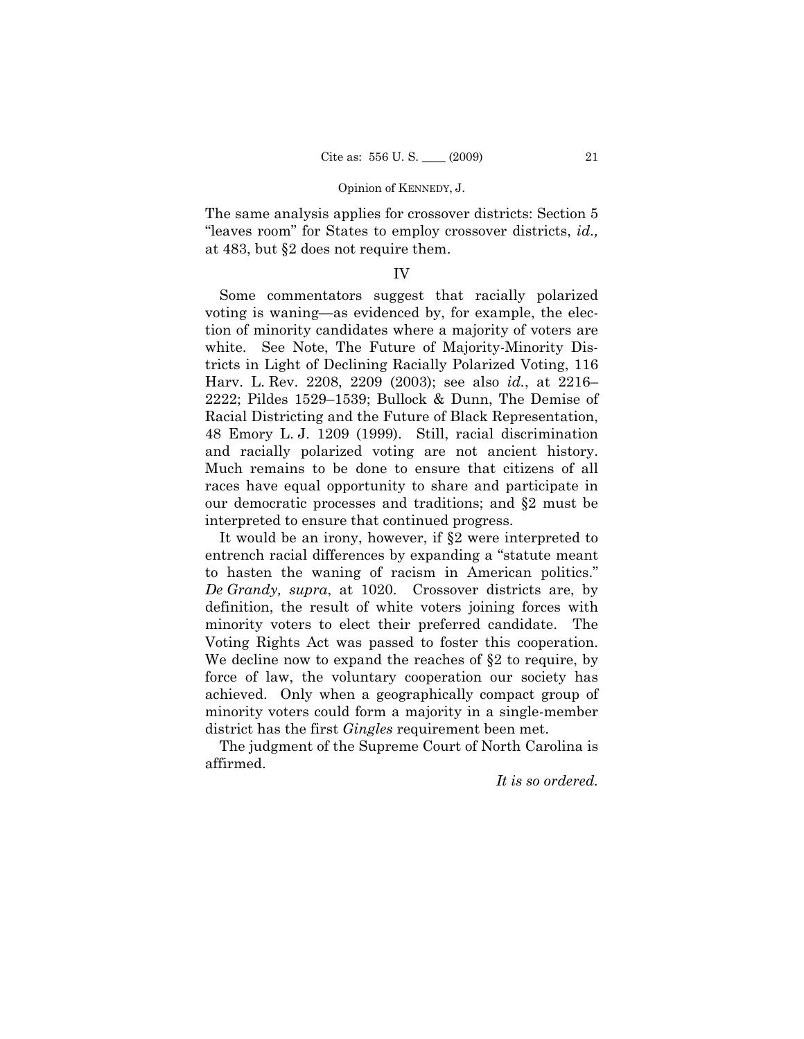The same analysis applies for crossover districts: Section 5 "leaves room" for States to employ crossover districts, *id.,*  at 483, but §2 does not require them.

## IV

Some commentators suggest that racially polarized voting is waning—as evidenced by, for example, the election of minority candidates where a majority of voters are white. See Note, The Future of Majority-Minority Districts in Light of Declining Racially Polarized Voting, 116 Harv. L. Rev. 2208, 2209 (2003); see also *id.*, at 2216– 2222; Pildes 1529–1539; Bullock & Dunn, The Demise of Racial Districting and the Future of Black Representation, 48 Emory L. J. 1209 (1999). Still, racial discrimination and racially polarized voting are not ancient history. Much remains to be done to ensure that citizens of all races have equal opportunity to share and participate in our democratic processes and traditions; and §2 must be interpreted to ensure that continued progress.

It would be an irony, however, if §2 were interpreted to entrench racial differences by expanding a "statute meant to hasten the waning of racism in American politics." *De Grandy, supra*, at 1020. Crossover districts are, by definition, the result of white voters joining forces with minority voters to elect their preferred candidate. The Voting Rights Act was passed to foster this cooperation. We decline now to expand the reaches of §2 to require, by force of law, the voluntary cooperation our society has achieved. Only when a geographically compact group of minority voters could form a majority in a single-member district has the first *Gingles* requirement been met.

The judgment of the Supreme Court of North Carolina is affirmed.

*It is so ordered.*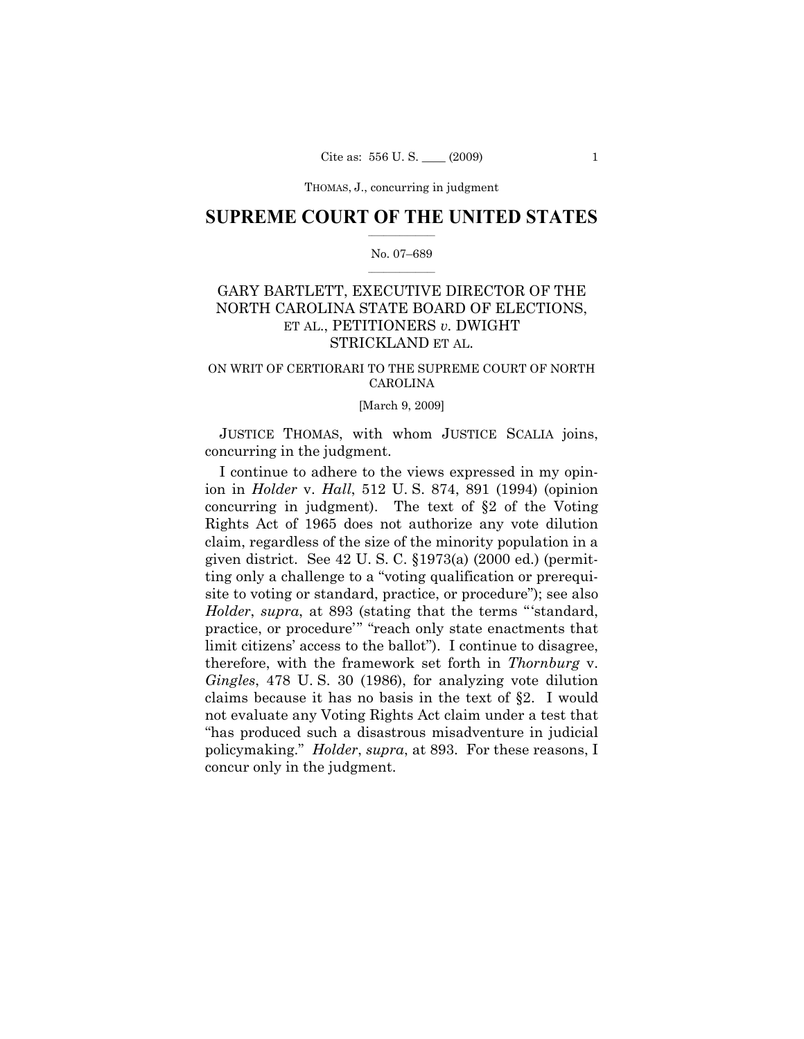THOMAS, J., concurring in judgment

## $\frac{1}{2}$  ,  $\frac{1}{2}$  ,  $\frac{1}{2}$  ,  $\frac{1}{2}$  ,  $\frac{1}{2}$  ,  $\frac{1}{2}$  ,  $\frac{1}{2}$ **SUPREME COURT OF THE UNITED STATES**

## $\frac{1}{2}$  ,  $\frac{1}{2}$  ,  $\frac{1}{2}$  ,  $\frac{1}{2}$  ,  $\frac{1}{2}$  ,  $\frac{1}{2}$ No. 07–689

# GARY BARTLETT, EXECUTIVE DIRECTOR OF THE NORTH CAROLINA STATE BOARD OF ELECTIONS, ET AL., PETITIONERS *v.* DWIGHT STRICKLAND ET AL.

## ON WRIT OF CERTIORARI TO THE SUPREME COURT OF NORTH CAROLINA

### [March 9, 2009]

JUSTICE THOMAS, with whom JUSTICE SCALIA joins, concurring in the judgment.

I continue to adhere to the views expressed in my opinion in *Holder* v. *Hall*, 512 U. S. 874, 891 (1994) (opinion concurring in judgment). The text of §2 of the Voting Rights Act of 1965 does not authorize any vote dilution claim, regardless of the size of the minority population in a given district. See 42 U. S. C. §1973(a) (2000 ed.) (permitting only a challenge to a "voting qualification or prerequisite to voting or standard, practice, or procedure"); see also *Holder*, *supra*, at 893 (stating that the terms "'standard, practice, or procedure'" "reach only state enactments that limit citizens' access to the ballot"). I continue to disagree, therefore, with the framework set forth in *Thornburg* v. *Gingles*, 478 U. S. 30 (1986), for analyzing vote dilution claims because it has no basis in the text of §2. I would not evaluate any Voting Rights Act claim under a test that "has produced such a disastrous misadventure in judicial policymaking." *Holder*, *supra*, at 893. For these reasons, I concur only in the judgment.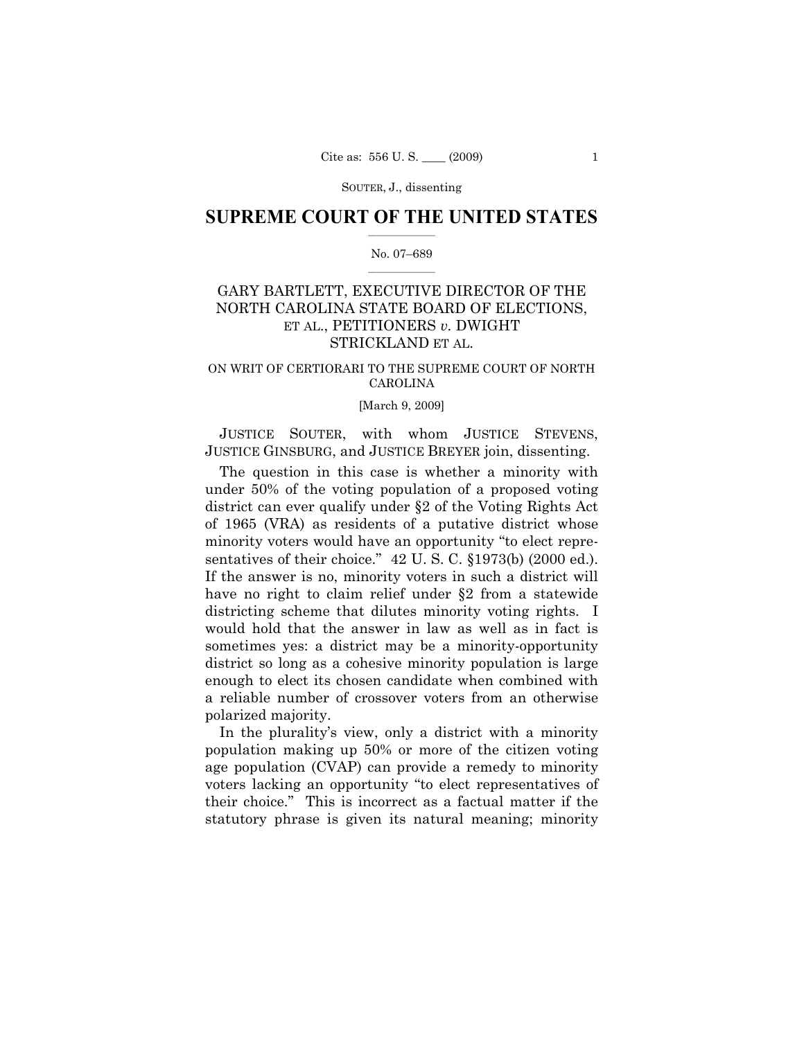## $\frac{1}{2}$  ,  $\frac{1}{2}$  ,  $\frac{1}{2}$  ,  $\frac{1}{2}$  ,  $\frac{1}{2}$  ,  $\frac{1}{2}$  ,  $\frac{1}{2}$ **SUPREME COURT OF THE UNITED STATES**

## $\frac{1}{2}$  ,  $\frac{1}{2}$  ,  $\frac{1}{2}$  ,  $\frac{1}{2}$  ,  $\frac{1}{2}$  ,  $\frac{1}{2}$ No. 07–689

# GARY BARTLETT, EXECUTIVE DIRECTOR OF THE NORTH CAROLINA STATE BOARD OF ELECTIONS, ET AL., PETITIONERS *v.* DWIGHT STRICKLAND ET AL.

## ON WRIT OF CERTIORARI TO THE SUPREME COURT OF NORTH CAROLINA

### [March 9, 2009]

JUSTICE SOUTER, with whom JUSTICE STEVENS, JUSTICE GINSBURG, and JUSTICE BREYER join, dissenting.

The question in this case is whether a minority with under 50% of the voting population of a proposed voting district can ever qualify under §2 of the Voting Rights Act of 1965 (VRA) as residents of a putative district whose minority voters would have an opportunity "to elect representatives of their choice." 42 U.S.C. §1973(b) (2000 ed.). If the answer is no, minority voters in such a district will have no right to claim relief under §2 from a statewide districting scheme that dilutes minority voting rights. I would hold that the answer in law as well as in fact is sometimes yes: a district may be a minority-opportunity district so long as a cohesive minority population is large enough to elect its chosen candidate when combined with a reliable number of crossover voters from an otherwise polarized majority.

In the plurality's view, only a district with a minority population making up 50% or more of the citizen voting age population (CVAP) can provide a remedy to minority voters lacking an opportunity "to elect representatives of their choice." This is incorrect as a factual matter if the statutory phrase is given its natural meaning; minority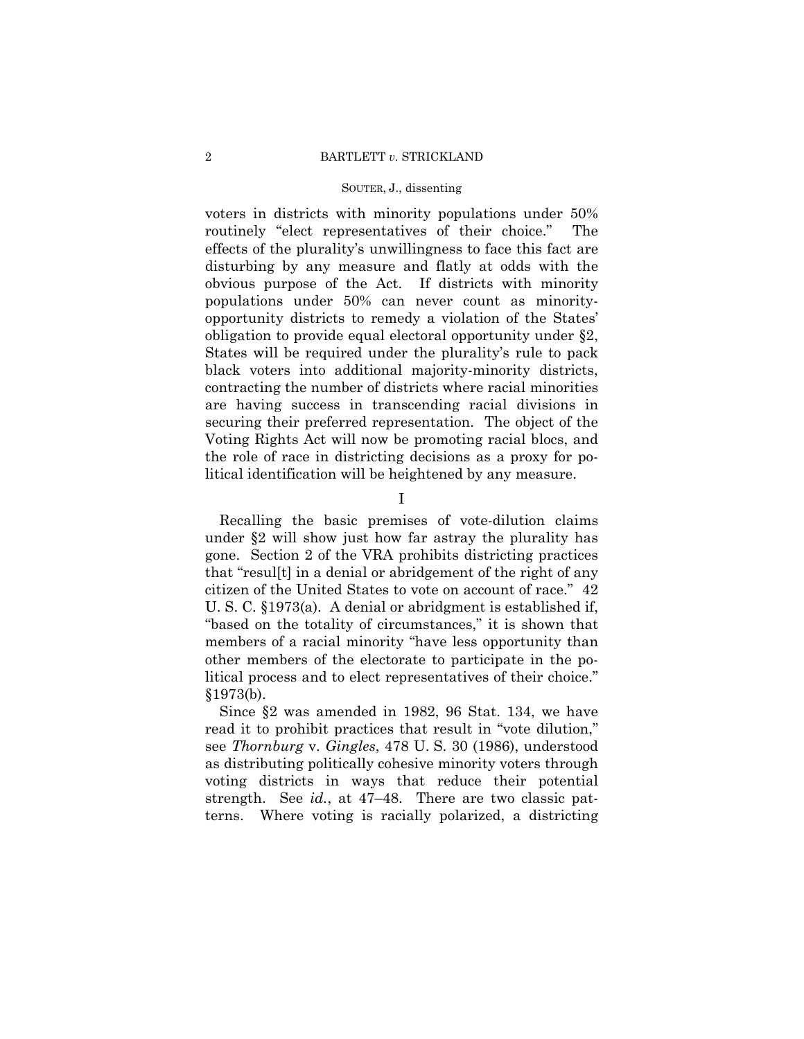voters in districts with minority populations under 50% routinely "elect representatives of their choice." The effects of the plurality's unwillingness to face this fact are disturbing by any measure and flatly at odds with the obvious purpose of the Act. If districts with minority populations under 50% can never count as minorityopportunity districts to remedy a violation of the States' obligation to provide equal electoral opportunity under §2, States will be required under the plurality's rule to pack black voters into additional majority-minority districts, contracting the number of districts where racial minorities are having success in transcending racial divisions in securing their preferred representation. The object of the Voting Rights Act will now be promoting racial blocs, and the role of race in districting decisions as a proxy for political identification will be heightened by any measure.

I

Recalling the basic premises of vote-dilution claims under §2 will show just how far astray the plurality has gone. Section 2 of the VRA prohibits districting practices that "resul[t] in a denial or abridgement of the right of any citizen of the United States to vote on account of race." 42 U. S. C. §1973(a). A denial or abridgment is established if, "based on the totality of circumstances," it is shown that members of a racial minority "have less opportunity than other members of the electorate to participate in the political process and to elect representatives of their choice." §1973(b).

Since §2 was amended in 1982, 96 Stat. 134, we have read it to prohibit practices that result in "vote dilution," see *Thornburg* v. *Gingles*, 478 U. S. 30 (1986), understood as distributing politically cohesive minority voters through voting districts in ways that reduce their potential strength. See *id.*, at 47–48. There are two classic patterns. Where voting is racially polarized, a districting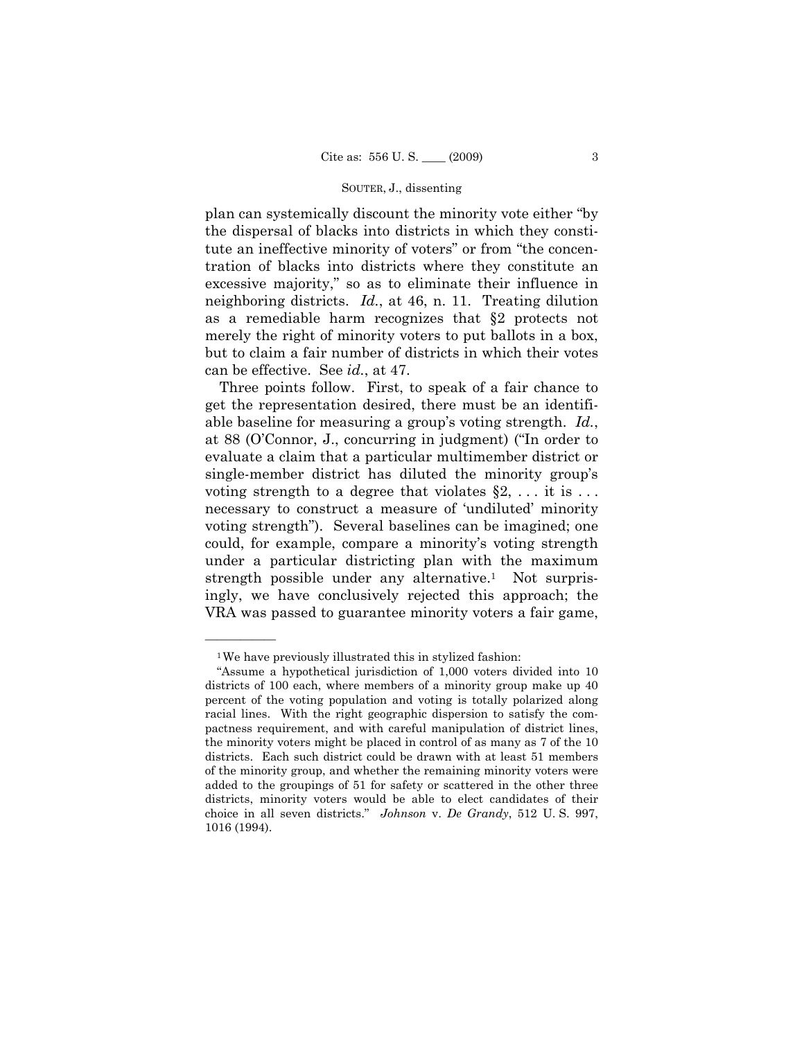plan can systemically discount the minority vote either "by the dispersal of blacks into districts in which they constitute an ineffective minority of voters" or from "the concentration of blacks into districts where they constitute an excessive majority," so as to eliminate their influence in neighboring districts. *Id.*, at 46, n. 11. Treating dilution as a remediable harm recognizes that §2 protects not merely the right of minority voters to put ballots in a box, but to claim a fair number of districts in which their votes can be effective. See *id.*, at 47.

Three points follow. First, to speak of a fair chance to get the representation desired, there must be an identifiable baseline for measuring a group's voting strength. *Id.*, at 88 (O'Connor, J., concurring in judgment) ("In order to evaluate a claim that a particular multimember district or single-member district has diluted the minority group's voting strength to a degree that violates  $\S 2, \ldots$  it is ... necessary to construct a measure of 'undiluted' minority voting strength"). Several baselines can be imagined; one could, for example, compare a minority's voting strength under a particular districting plan with the maximum strength possible under any alternative.<sup>1</sup> Not surprisingly, we have conclusively rejected this approach; the VRA was passed to guarantee minority voters a fair game,

——————

<sup>1</sup>We have previously illustrated this in stylized fashion:

<sup>&</sup>quot;Assume a hypothetical jurisdiction of 1,000 voters divided into 10 districts of 100 each, where members of a minority group make up 40 percent of the voting population and voting is totally polarized along racial lines. With the right geographic dispersion to satisfy the compactness requirement, and with careful manipulation of district lines, the minority voters might be placed in control of as many as 7 of the 10 districts. Each such district could be drawn with at least 51 members of the minority group, and whether the remaining minority voters were added to the groupings of 51 for safety or scattered in the other three districts, minority voters would be able to elect candidates of their choice in all seven districts." *Johnson* v. *De Grandy*, 512 U. S. 997, 1016 (1994).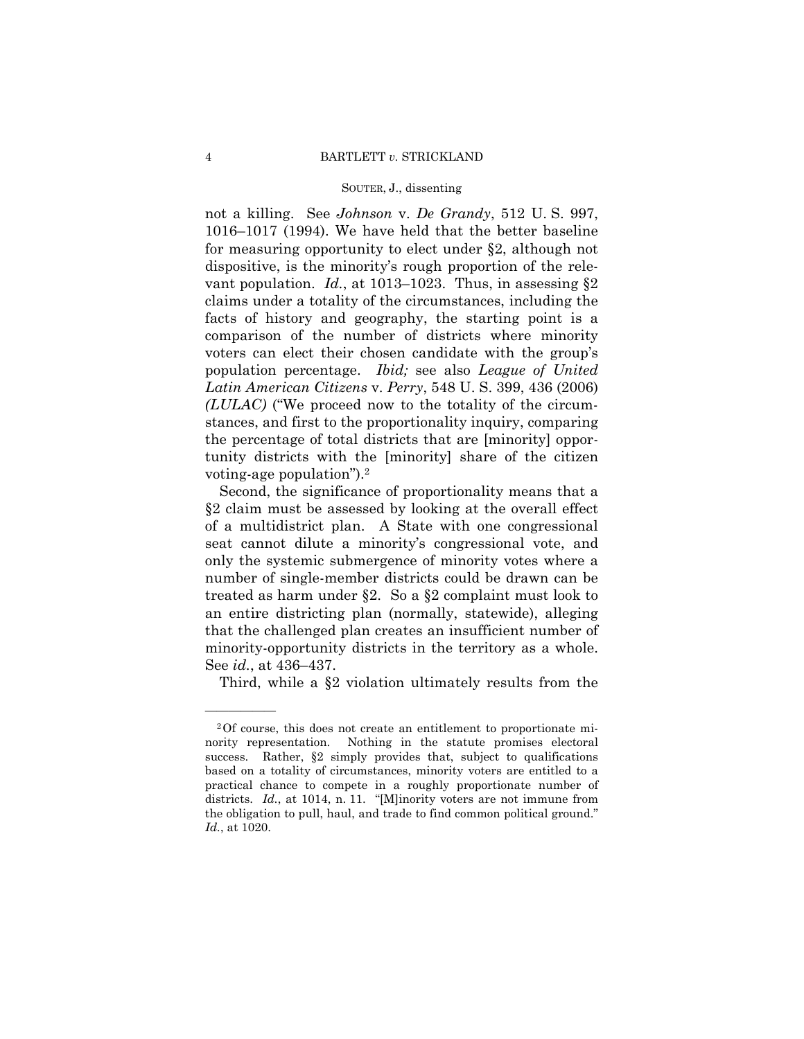not a killing. See *Johnson* v. *De Grandy*, 512 U. S. 997, 1016–1017 (1994). We have held that the better baseline for measuring opportunity to elect under §2, although not dispositive, is the minority's rough proportion of the relevant population. *Id.*, at 1013–1023. Thus, in assessing §2 claims under a totality of the circumstances, including the facts of history and geography, the starting point is a comparison of the number of districts where minority voters can elect their chosen candidate with the group's population percentage. *Ibid;* see also *League of United Latin American Citizens* v. *Perry*, 548 U. S. 399, 436 (2006) *(LULAC)* ("We proceed now to the totality of the circumstances, and first to the proportionality inquiry, comparing the percentage of total districts that are [minority] opportunity districts with the [minority] share of the citizen voting-age population").2

Second, the significance of proportionality means that a §2 claim must be assessed by looking at the overall effect of a multidistrict plan. A State with one congressional seat cannot dilute a minority's congressional vote, and only the systemic submergence of minority votes where a number of single-member districts could be drawn can be treated as harm under §2. So a §2 complaint must look to an entire districting plan (normally, statewide), alleging that the challenged plan creates an insufficient number of minority-opportunity districts in the territory as a whole. See *id.*, at 436–437.

Third, while a §2 violation ultimately results from the

——————

<sup>2</sup>Of course, this does not create an entitlement to proportionate minority representation. Nothing in the statute promises electoral success. Rather, §2 simply provides that, subject to qualifications based on a totality of circumstances, minority voters are entitled to a practical chance to compete in a roughly proportionate number of districts. *Id.*, at 1014, n. 11. "[M]inority voters are not immune from the obligation to pull, haul, and trade to find common political ground." *Id.*, at 1020.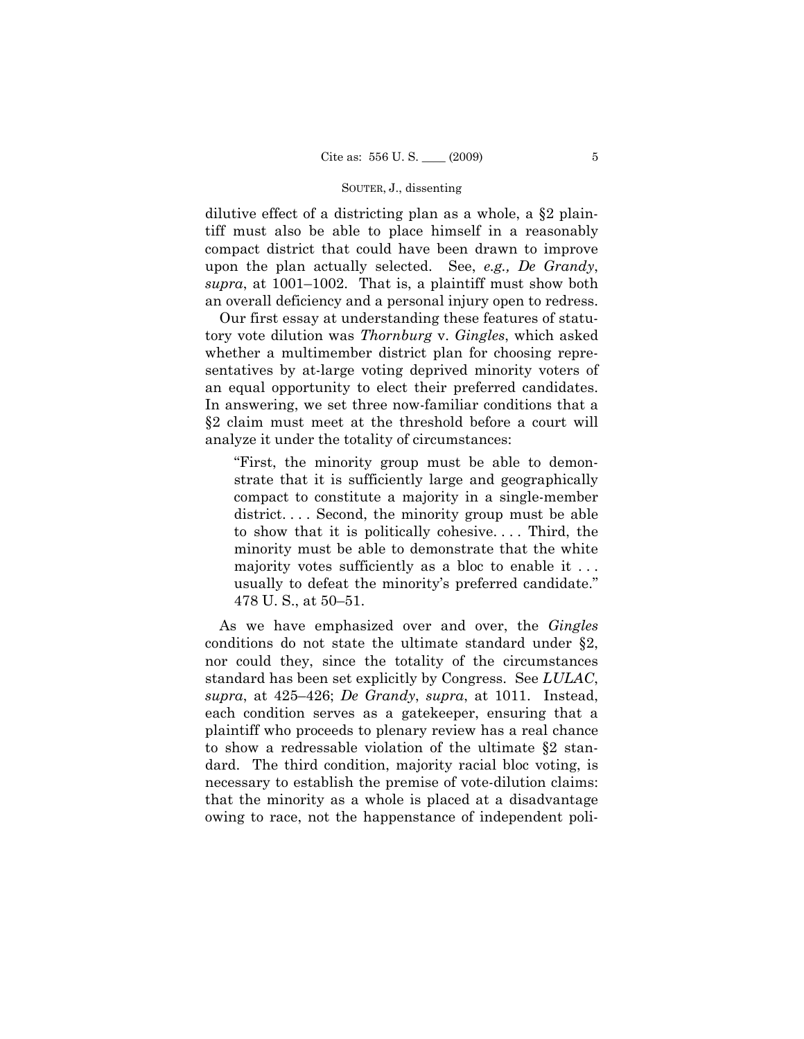dilutive effect of a districting plan as a whole, a §2 plaintiff must also be able to place himself in a reasonably compact district that could have been drawn to improve upon the plan actually selected. See, *e.g., De Grandy*, *supra*, at 1001–1002. That is, a plaintiff must show both an overall deficiency and a personal injury open to redress.

Our first essay at understanding these features of statutory vote dilution was *Thornburg* v. *Gingles*, which asked whether a multimember district plan for choosing representatives by at-large voting deprived minority voters of an equal opportunity to elect their preferred candidates. In answering, we set three now-familiar conditions that a §2 claim must meet at the threshold before a court will analyze it under the totality of circumstances:

"First, the minority group must be able to demonstrate that it is sufficiently large and geographically compact to constitute a majority in a single-member district.... Second, the minority group must be able to show that it is politically cohesive. . . . Third, the minority must be able to demonstrate that the white majority votes sufficiently as a bloc to enable it ... usually to defeat the minority's preferred candidate." 478 U. S., at 50–51.

As we have emphasized over and over, the *Gingles*  conditions do not state the ultimate standard under §2, nor could they, since the totality of the circumstances standard has been set explicitly by Congress. See *LULAC*, *supra*, at 425–426; *De Grandy*, *supra*, at 1011. Instead, each condition serves as a gatekeeper, ensuring that a plaintiff who proceeds to plenary review has a real chance to show a redressable violation of the ultimate §2 standard. The third condition, majority racial bloc voting, is necessary to establish the premise of vote-dilution claims: that the minority as a whole is placed at a disadvantage owing to race, not the happenstance of independent poli-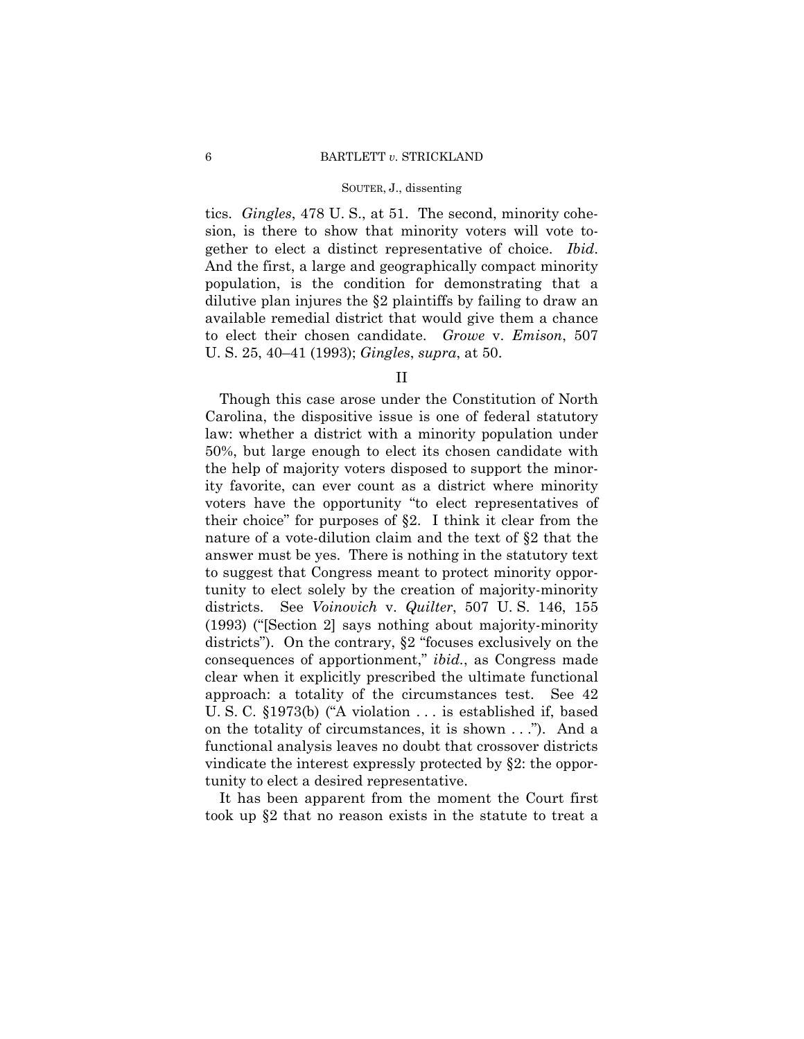tics. *Gingles*, 478 U. S., at 51. The second, minority cohesion, is there to show that minority voters will vote together to elect a distinct representative of choice. *Ibid*. And the first, a large and geographically compact minority population, is the condition for demonstrating that a dilutive plan injures the §2 plaintiffs by failing to draw an available remedial district that would give them a chance to elect their chosen candidate. *Growe* v. *Emison*, 507 U. S. 25, 40–41 (1993); *Gingles*, *supra*, at 50.

## II

Though this case arose under the Constitution of North Carolina, the dispositive issue is one of federal statutory law: whether a district with a minority population under 50%, but large enough to elect its chosen candidate with the help of majority voters disposed to support the minority favorite, can ever count as a district where minority voters have the opportunity "to elect representatives of their choice" for purposes of §2. I think it clear from the nature of a vote-dilution claim and the text of §2 that the answer must be yes. There is nothing in the statutory text to suggest that Congress meant to protect minority opportunity to elect solely by the creation of majority-minority districts. See *Voinovich* v. *Quilter*, 507 U. S. 146, 155 (1993) ("[Section 2] says nothing about majority-minority districts"). On the contrary, §2 "focuses exclusively on the consequences of apportionment," *ibid.*, as Congress made clear when it explicitly prescribed the ultimate functional approach: a totality of the circumstances test. See 42 U. S. C. §1973(b) ("A violation . . . is established if, based on the totality of circumstances, it is shown . . ."). And a functional analysis leaves no doubt that crossover districts vindicate the interest expressly protected by §2: the opportunity to elect a desired representative.

It has been apparent from the moment the Court first took up §2 that no reason exists in the statute to treat a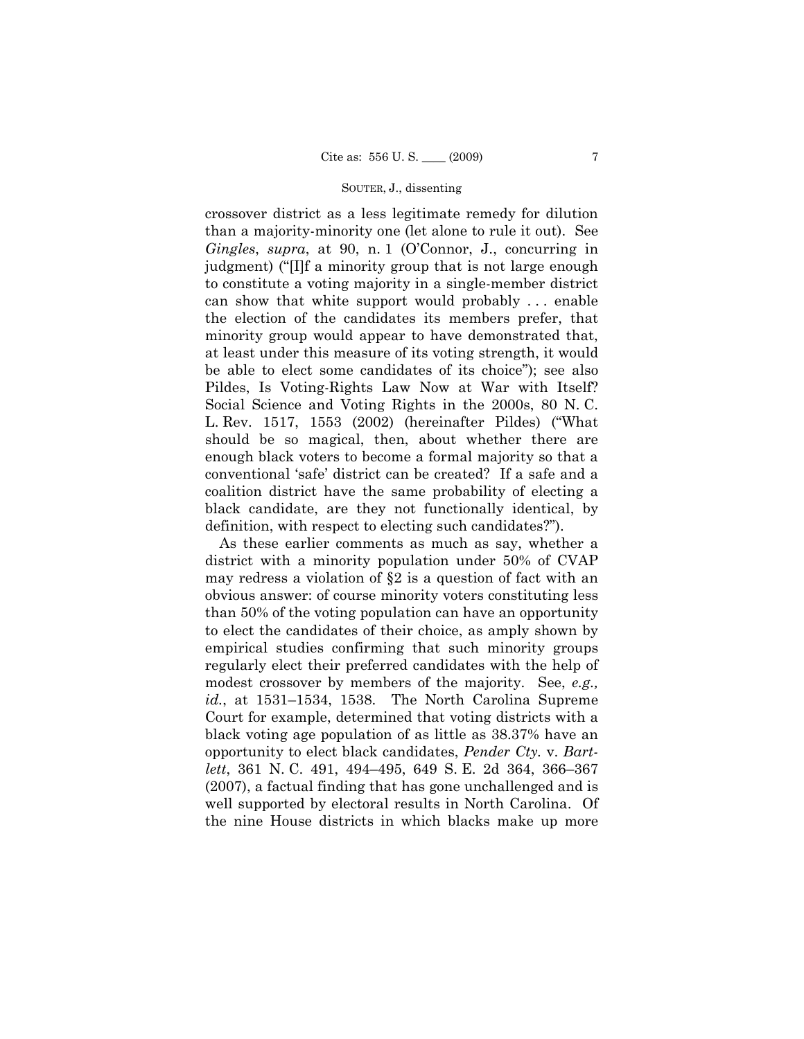crossover district as a less legitimate remedy for dilution than a majority-minority one (let alone to rule it out). See *Gingles*, *supra*, at 90, n. 1 (O'Connor, J., concurring in judgment) ("[I]f a minority group that is not large enough to constitute a voting majority in a single-member district can show that white support would probably . . . enable the election of the candidates its members prefer, that minority group would appear to have demonstrated that, at least under this measure of its voting strength, it would be able to elect some candidates of its choice"); see also Pildes, Is Voting-Rights Law Now at War with Itself? Social Science and Voting Rights in the 2000s, 80 N. C. L. Rev. 1517, 1553 (2002) (hereinafter Pildes) ("What should be so magical, then, about whether there are enough black voters to become a formal majority so that a conventional 'safe' district can be created? If a safe and a coalition district have the same probability of electing a black candidate, are they not functionally identical, by definition, with respect to electing such candidates?").

As these earlier comments as much as say, whether a district with a minority population under 50% of CVAP may redress a violation of §2 is a question of fact with an obvious answer: of course minority voters constituting less than 50% of the voting population can have an opportunity to elect the candidates of their choice, as amply shown by empirical studies confirming that such minority groups regularly elect their preferred candidates with the help of modest crossover by members of the majority. See, *e.g., id.*, at 1531–1534, 1538. The North Carolina Supreme Court for example, determined that voting districts with a black voting age population of as little as 38.37% have an opportunity to elect black candidates, *Pender Cty.* v. *Bartlett*, 361 N. C. 491, 494–495, 649 S. E. 2d 364, 366–367 (2007), a factual finding that has gone unchallenged and is well supported by electoral results in North Carolina. Of the nine House districts in which blacks make up more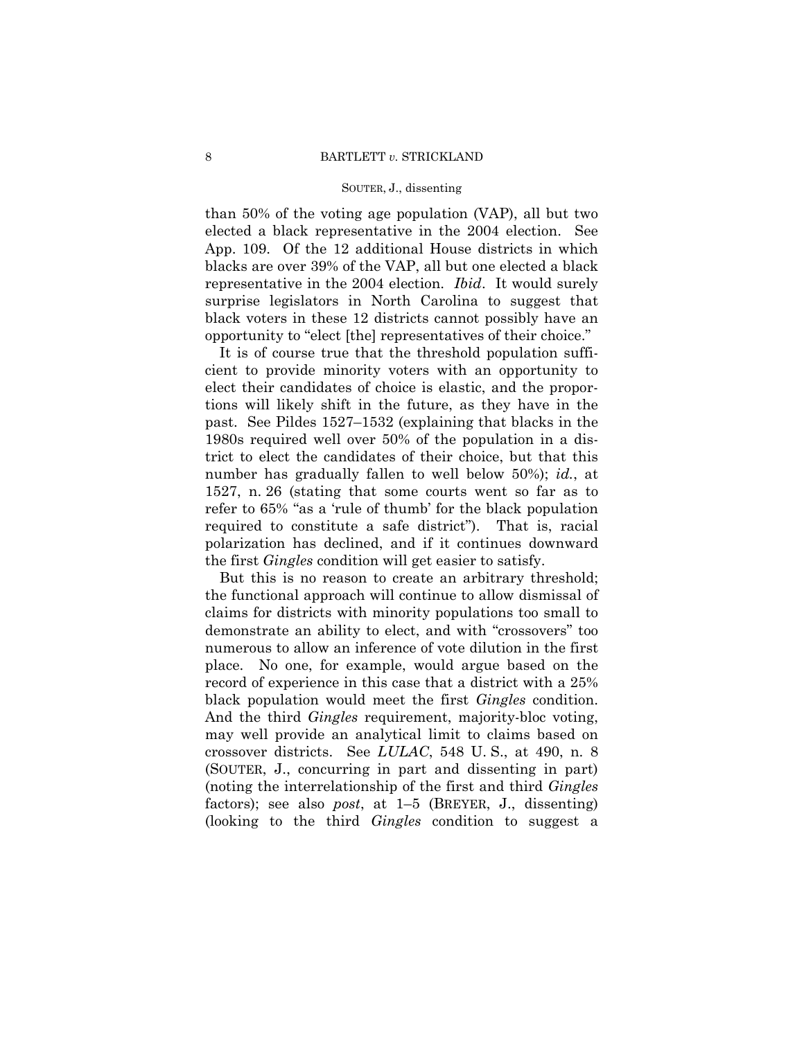than 50% of the voting age population (VAP), all but two elected a black representative in the 2004 election. See App. 109. Of the 12 additional House districts in which blacks are over 39% of the VAP, all but one elected a black representative in the 2004 election. *Ibid*. It would surely surprise legislators in North Carolina to suggest that black voters in these 12 districts cannot possibly have an opportunity to "elect [the] representatives of their choice."

It is of course true that the threshold population sufficient to provide minority voters with an opportunity to elect their candidates of choice is elastic, and the proportions will likely shift in the future, as they have in the past. See Pildes 1527–1532 (explaining that blacks in the 1980s required well over 50% of the population in a district to elect the candidates of their choice, but that this number has gradually fallen to well below 50%); *id.*, at 1527, n. 26 (stating that some courts went so far as to refer to 65% "as a 'rule of thumb' for the black population required to constitute a safe district"). That is, racial polarization has declined, and if it continues downward the first *Gingles* condition will get easier to satisfy.

But this is no reason to create an arbitrary threshold; the functional approach will continue to allow dismissal of claims for districts with minority populations too small to demonstrate an ability to elect, and with "crossovers" too numerous to allow an inference of vote dilution in the first place. No one, for example, would argue based on the record of experience in this case that a district with a 25% black population would meet the first *Gingles* condition. And the third *Gingles* requirement, majority-bloc voting, may well provide an analytical limit to claims based on crossover districts. See *LULAC*, 548 U. S., at 490, n. 8 (SOUTER, J., concurring in part and dissenting in part) (noting the interrelationship of the first and third *Gingles*  factors); see also *post*, at 1–5 (BREYER, J., dissenting) (looking to the third *Gingles* condition to suggest a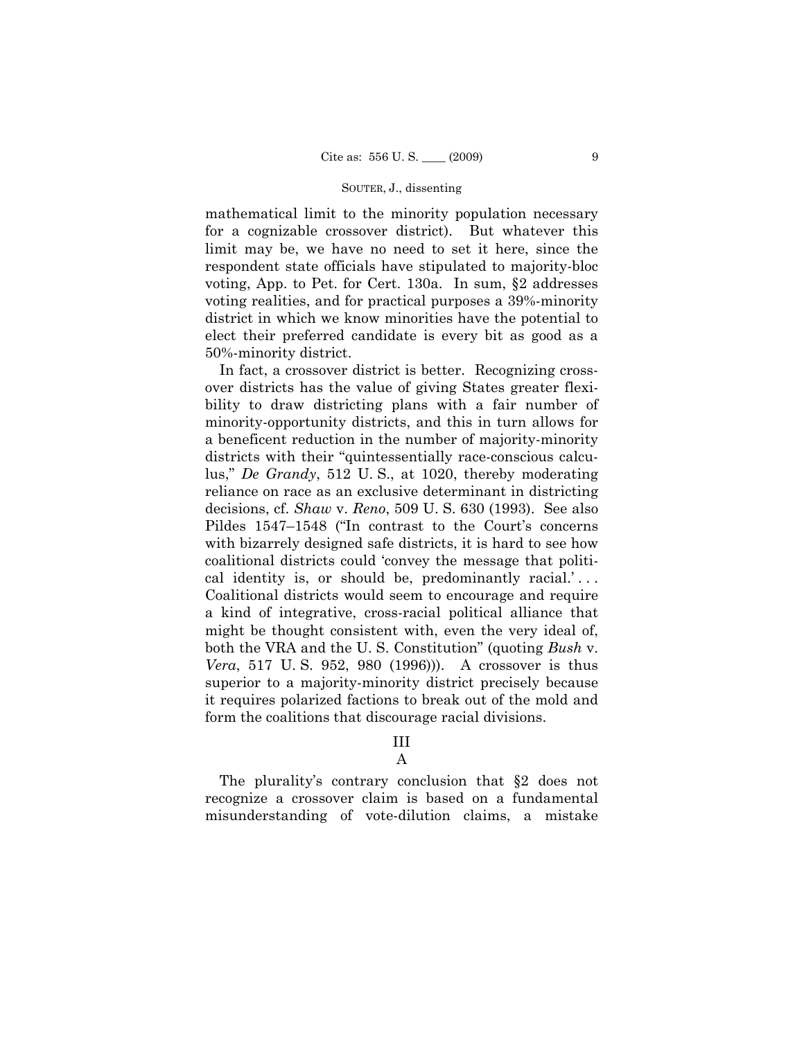mathematical limit to the minority population necessary for a cognizable crossover district). But whatever this limit may be, we have no need to set it here, since the respondent state officials have stipulated to majority-bloc voting, App. to Pet. for Cert. 130a. In sum, §2 addresses voting realities, and for practical purposes a 39%-minority district in which we know minorities have the potential to elect their preferred candidate is every bit as good as a 50%-minority district.

In fact, a crossover district is better. Recognizing crossover districts has the value of giving States greater flexibility to draw districting plans with a fair number of minority-opportunity districts, and this in turn allows for a beneficent reduction in the number of majority-minority districts with their "quintessentially race-conscious calculus," *De Grandy*, 512 U. S., at 1020, thereby moderating reliance on race as an exclusive determinant in districting decisions, cf. *Shaw* v. *Reno*, 509 U. S. 630 (1993). See also Pildes 1547–1548 ("In contrast to the Court's concerns with bizarrely designed safe districts, it is hard to see how coalitional districts could 'convey the message that political identity is, or should be, predominantly racial.'... Coalitional districts would seem to encourage and require a kind of integrative, cross-racial political alliance that might be thought consistent with, even the very ideal of, both the VRA and the U. S. Constitution" (quoting *Bush* v. *Vera*, 517 U. S. 952, 980 (1996))). A crossover is thus superior to a majority-minority district precisely because it requires polarized factions to break out of the mold and form the coalitions that discourage racial divisions.

# III

## A

The plurality's contrary conclusion that §2 does not recognize a crossover claim is based on a fundamental misunderstanding of vote-dilution claims, a mistake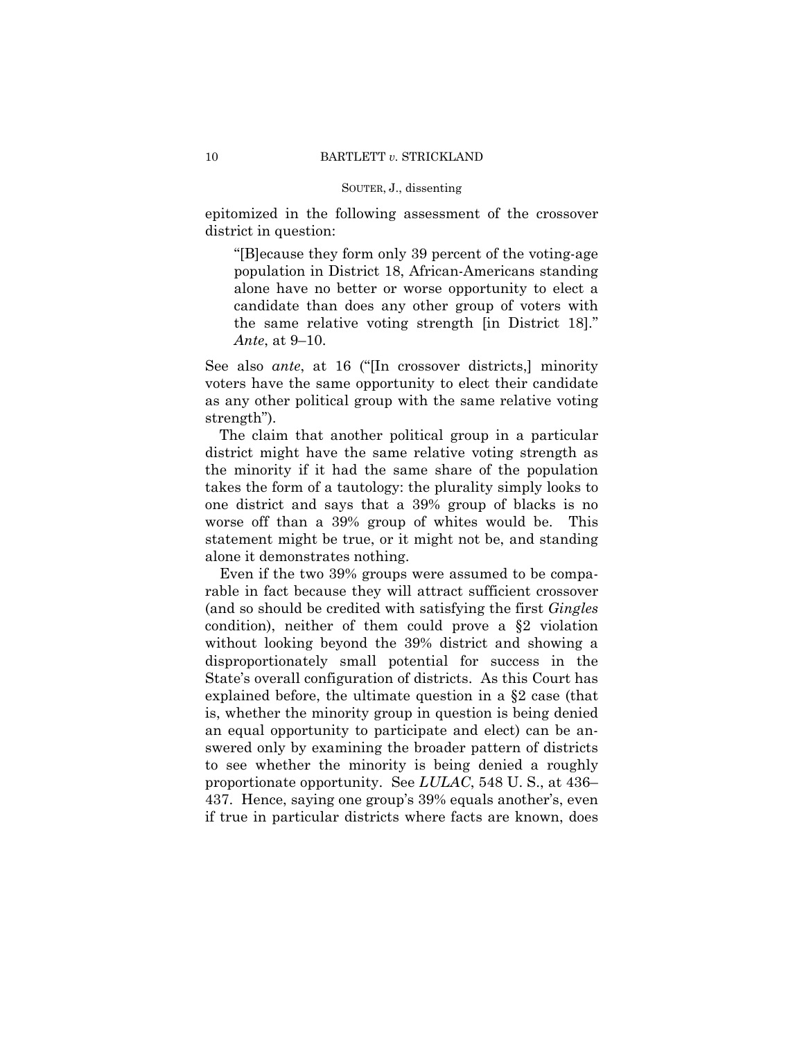epitomized in the following assessment of the crossover district in question:

"[B]ecause they form only 39 percent of the voting-age population in District 18, African-Americans standing alone have no better or worse opportunity to elect a candidate than does any other group of voters with the same relative voting strength [in District 18]." *Ante*, at 9–10.

See also *ante*, at 16 ("[In crossover districts,] minority voters have the same opportunity to elect their candidate as any other political group with the same relative voting strength").

The claim that another political group in a particular district might have the same relative voting strength as the minority if it had the same share of the population takes the form of a tautology: the plurality simply looks to one district and says that a 39% group of blacks is no worse off than a 39% group of whites would be. This statement might be true, or it might not be, and standing alone it demonstrates nothing.

Even if the two 39% groups were assumed to be comparable in fact because they will attract sufficient crossover (and so should be credited with satisfying the first *Gingles* condition), neither of them could prove a §2 violation without looking beyond the 39% district and showing a disproportionately small potential for success in the State's overall configuration of districts. As this Court has explained before, the ultimate question in a §2 case (that is, whether the minority group in question is being denied an equal opportunity to participate and elect) can be answered only by examining the broader pattern of districts to see whether the minority is being denied a roughly proportionate opportunity. See *LULAC*, 548 U. S., at 436– 437. Hence, saying one group's 39% equals another's, even if true in particular districts where facts are known, does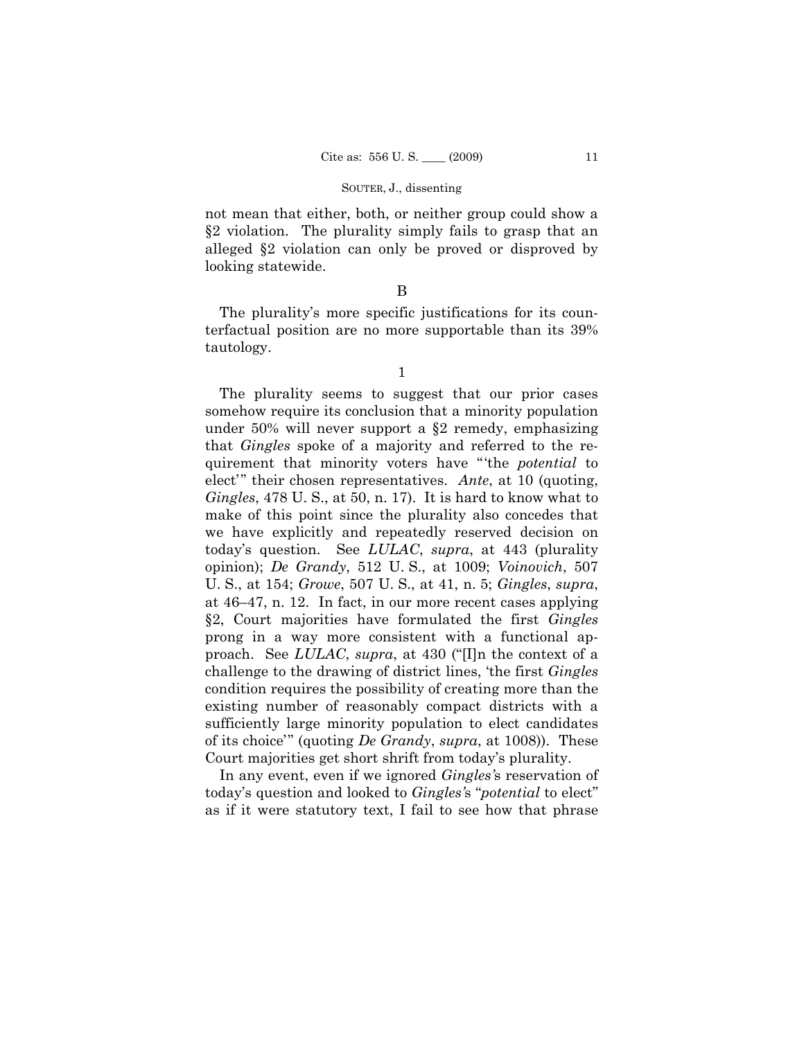not mean that either, both, or neither group could show a §2 violation. The plurality simply fails to grasp that an alleged §2 violation can only be proved or disproved by looking statewide.

## B

The plurality's more specific justifications for its counterfactual position are no more supportable than its 39% tautology.

1

The plurality seems to suggest that our prior cases somehow require its conclusion that a minority population under 50% will never support a §2 remedy, emphasizing that *Gingles* spoke of a majority and referred to the requirement that minority voters have "'the *potential* to elect'" their chosen representatives. *Ante*, at 10 (quoting, *Gingles*, 478 U. S., at 50, n. 17). It is hard to know what to make of this point since the plurality also concedes that we have explicitly and repeatedly reserved decision on today's question. See *LULAC*, *supra*, at 443 (plurality opinion); *De Grandy*, 512 U. S., at 1009; *Voinovich*, 507 U. S., at 154; *Growe*, 507 U. S., at 41, n. 5; *Gingles*, *supra*, at 46–47, n. 12. In fact, in our more recent cases applying §2, Court majorities have formulated the first *Gingles* prong in a way more consistent with a functional approach. See *LULAC*, *supra*, at 430 ("[I]n the context of a challenge to the drawing of district lines, 'the first *Gingles* condition requires the possibility of creating more than the existing number of reasonably compact districts with a sufficiently large minority population to elect candidates of its choice'" (quoting *De Grandy*, *supra*, at 1008)). These Court majorities get short shrift from today's plurality.

In any event, even if we ignored *Gingles'*s reservation of today's question and looked to *Gingles'*s "*potential* to elect" as if it were statutory text, I fail to see how that phrase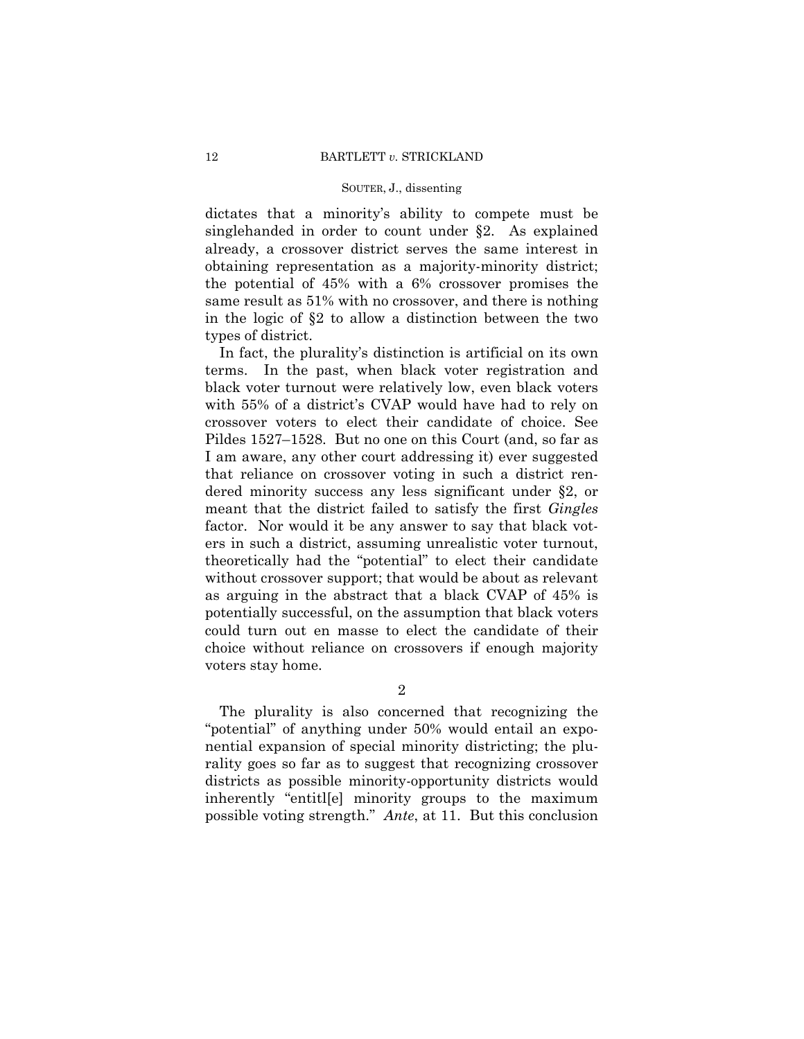dictates that a minority's ability to compete must be singlehanded in order to count under §2. As explained already, a crossover district serves the same interest in obtaining representation as a majority-minority district; the potential of 45% with a 6% crossover promises the same result as 51% with no crossover, and there is nothing in the logic of §2 to allow a distinction between the two types of district.

In fact, the plurality's distinction is artificial on its own terms. In the past, when black voter registration and black voter turnout were relatively low, even black voters with 55% of a district's CVAP would have had to rely on crossover voters to elect their candidate of choice. See Pildes 1527–1528. But no one on this Court (and, so far as I am aware, any other court addressing it) ever suggested that reliance on crossover voting in such a district rendered minority success any less significant under §2, or meant that the district failed to satisfy the first *Gingles*  factor. Nor would it be any answer to say that black voters in such a district, assuming unrealistic voter turnout, theoretically had the "potential" to elect their candidate without crossover support; that would be about as relevant as arguing in the abstract that a black CVAP of 45% is potentially successful, on the assumption that black voters could turn out en masse to elect the candidate of their choice without reliance on crossovers if enough majority voters stay home.

2

The plurality is also concerned that recognizing the "potential" of anything under 50% would entail an exponential expansion of special minority districting; the plurality goes so far as to suggest that recognizing crossover districts as possible minority-opportunity districts would inherently "entitl[e] minority groups to the maximum possible voting strength." *Ante*, at 11. But this conclusion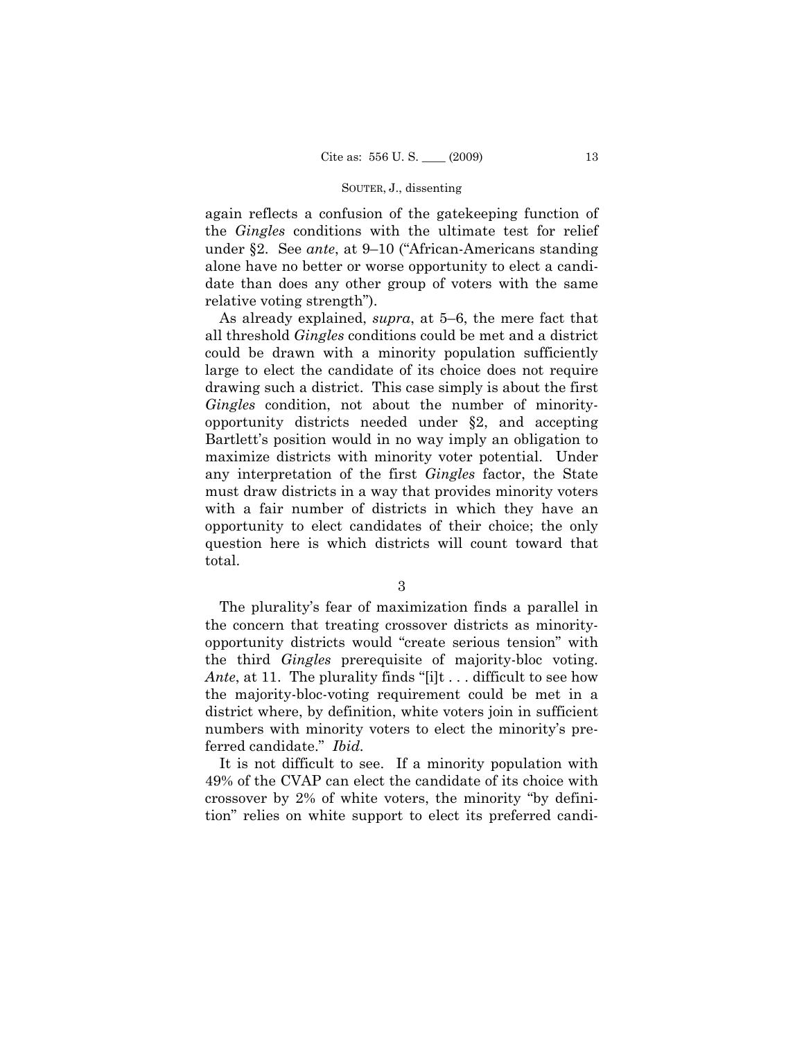again reflects a confusion of the gatekeeping function of the *Gingles* conditions with the ultimate test for relief under §2. See *ante*, at 9–10 ("African-Americans standing alone have no better or worse opportunity to elect a candidate than does any other group of voters with the same relative voting strength").

 As already explained, *supra*, at 5–6, the mere fact that all threshold *Gingles* conditions could be met and a district could be drawn with a minority population sufficiently large to elect the candidate of its choice does not require drawing such a district. This case simply is about the first *Gingles* condition, not about the number of minorityopportunity districts needed under §2, and accepting Bartlett's position would in no way imply an obligation to maximize districts with minority voter potential. Under any interpretation of the first *Gingles* factor, the State must draw districts in a way that provides minority voters with a fair number of districts in which they have an opportunity to elect candidates of their choice; the only question here is which districts will count toward that total.

3

The plurality's fear of maximization finds a parallel in the concern that treating crossover districts as minorityopportunity districts would "create serious tension" with the third *Gingles* prerequisite of majority-bloc voting. *Ante*, at 11. The plurality finds "[i]t . . . difficult to see how the majority-bloc-voting requirement could be met in a district where, by definition, white voters join in sufficient numbers with minority voters to elect the minority's preferred candidate." *Ibid.* 

It is not difficult to see. If a minority population with 49% of the CVAP can elect the candidate of its choice with crossover by 2% of white voters, the minority "by definition" relies on white support to elect its preferred candi-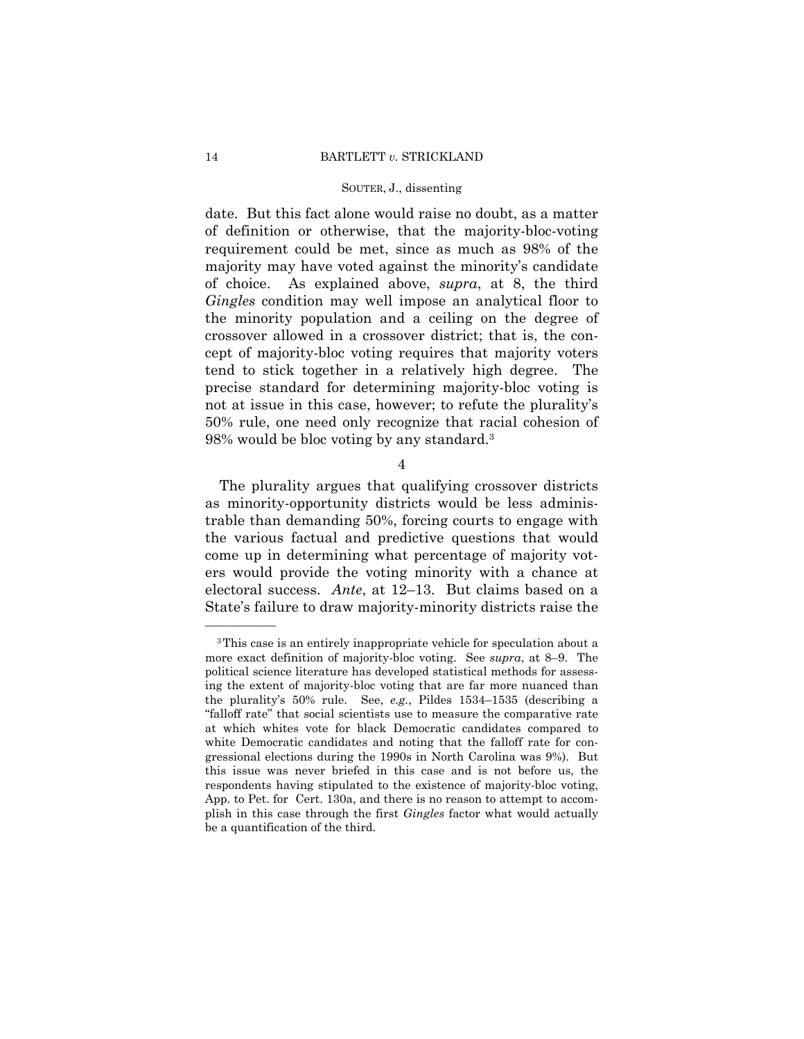date. But this fact alone would raise no doubt, as a matter of definition or otherwise, that the majority-bloc-voting requirement could be met, since as much as 98% of the majority may have voted against the minority's candidate of choice. As explained above, *supra*, at 8, the third *Gingles* condition may well impose an analytical floor to the minority population and a ceiling on the degree of crossover allowed in a crossover district; that is, the concept of majority-bloc voting requires that majority voters tend to stick together in a relatively high degree. The precise standard for determining majority-bloc voting is not at issue in this case, however; to refute the plurality's 50% rule, one need only recognize that racial cohesion of 98% would be bloc voting by any standard.3

4

The plurality argues that qualifying crossover districts as minority-opportunity districts would be less administrable than demanding 50%, forcing courts to engage with the various factual and predictive questions that would come up in determining what percentage of majority voters would provide the voting minority with a chance at electoral success. *Ante*, at 12–13. But claims based on a State's failure to draw majority-minority districts raise the

——————

<sup>3</sup>This case is an entirely inappropriate vehicle for speculation about a more exact definition of majority-bloc voting. See *supra*, at 8–9. The political science literature has developed statistical methods for assessing the extent of majority-bloc voting that are far more nuanced than the plurality's 50% rule. See, *e.g.*, Pildes 1534–1535 (describing a "falloff rate" that social scientists use to measure the comparative rate at which whites vote for black Democratic candidates compared to white Democratic candidates and noting that the falloff rate for congressional elections during the 1990s in North Carolina was 9%). But this issue was never briefed in this case and is not before us, the respondents having stipulated to the existence of majority-bloc voting, App. to Pet. for Cert. 130a, and there is no reason to attempt to accomplish in this case through the first *Gingles* factor what would actually be a quantification of the third.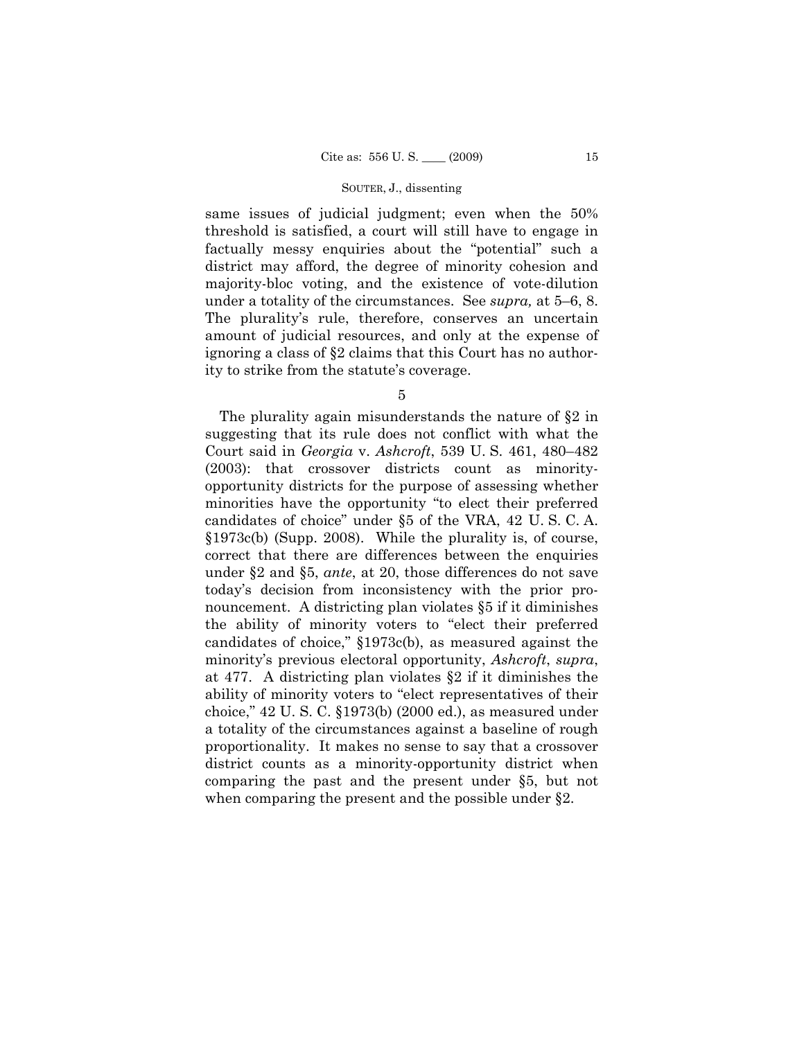same issues of judicial judgment; even when the 50% threshold is satisfied, a court will still have to engage in factually messy enquiries about the "potential" such a district may afford, the degree of minority cohesion and majority-bloc voting, and the existence of vote-dilution under a totality of the circumstances. See *supra,* at 5–6, 8. The plurality's rule, therefore, conserves an uncertain amount of judicial resources, and only at the expense of ignoring a class of §2 claims that this Court has no authority to strike from the statute's coverage.

5

The plurality again misunderstands the nature of §2 in suggesting that its rule does not conflict with what the Court said in *Georgia* v. *Ashcroft*, 539 U. S. 461, 480–482 (2003): that crossover districts count as minorityopportunity districts for the purpose of assessing whether minorities have the opportunity "to elect their preferred candidates of choice" under §5 of the VRA, 42 U. S. C. A. §1973c(b) (Supp. 2008). While the plurality is, of course, correct that there are differences between the enquiries under §2 and §5, *ante*, at 20, those differences do not save today's decision from inconsistency with the prior pronouncement. A districting plan violates §5 if it diminishes the ability of minority voters to "elect their preferred candidates of choice," §1973c(b), as measured against the minority's previous electoral opportunity, *Ashcroft*, *supra*, at 477. A districting plan violates §2 if it diminishes the ability of minority voters to "elect representatives of their choice," 42 U. S. C. §1973(b) (2000 ed.), as measured under a totality of the circumstances against a baseline of rough proportionality. It makes no sense to say that a crossover district counts as a minority-opportunity district when comparing the past and the present under §5, but not when comparing the present and the possible under §2.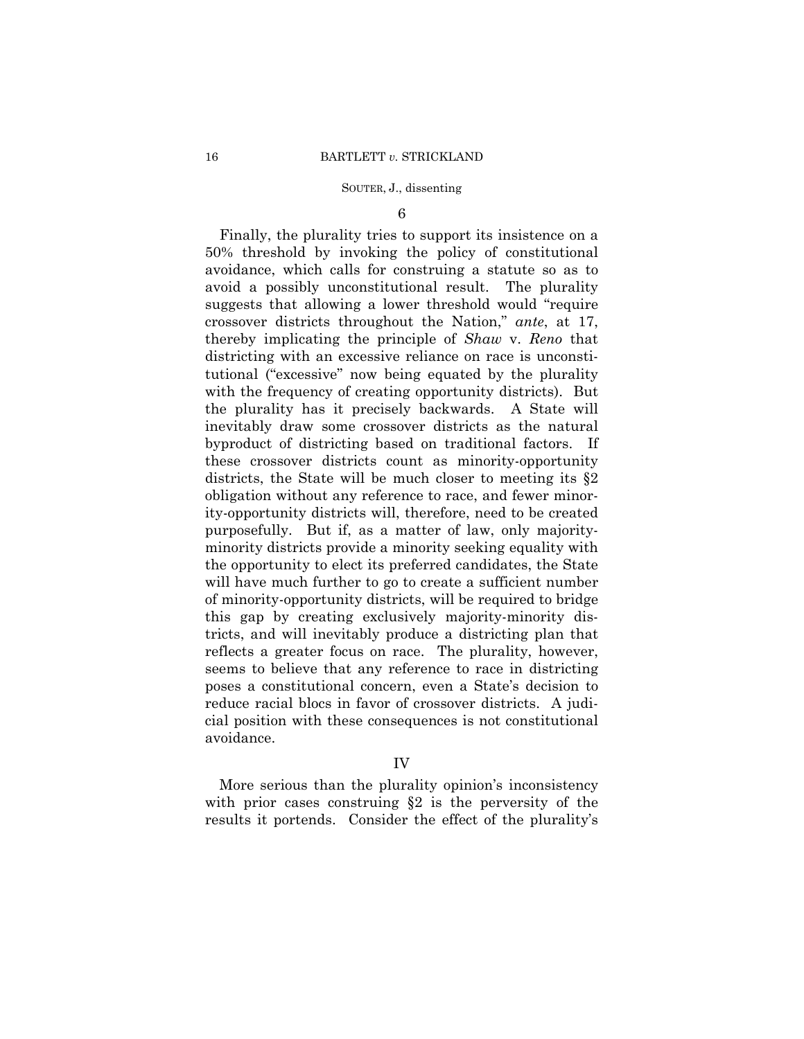6

Finally, the plurality tries to support its insistence on a 50% threshold by invoking the policy of constitutional avoidance, which calls for construing a statute so as to avoid a possibly unconstitutional result. The plurality suggests that allowing a lower threshold would "require crossover districts throughout the Nation," *ante*, at 17, thereby implicating the principle of *Shaw* v. *Reno* that districting with an excessive reliance on race is unconstitutional ("excessive" now being equated by the plurality with the frequency of creating opportunity districts). But the plurality has it precisely backwards. A State will inevitably draw some crossover districts as the natural byproduct of districting based on traditional factors. If these crossover districts count as minority-opportunity districts, the State will be much closer to meeting its §2 obligation without any reference to race, and fewer minority-opportunity districts will, therefore, need to be created purposefully. But if, as a matter of law, only majorityminority districts provide a minority seeking equality with the opportunity to elect its preferred candidates, the State will have much further to go to create a sufficient number of minority-opportunity districts, will be required to bridge this gap by creating exclusively majority-minority districts, and will inevitably produce a districting plan that reflects a greater focus on race. The plurality, however, seems to believe that any reference to race in districting poses a constitutional concern, even a State's decision to reduce racial blocs in favor of crossover districts. A judicial position with these consequences is not constitutional avoidance.

## IV

More serious than the plurality opinion's inconsistency with prior cases construing  $\S2$  is the perversity of the results it portends. Consider the effect of the plurality's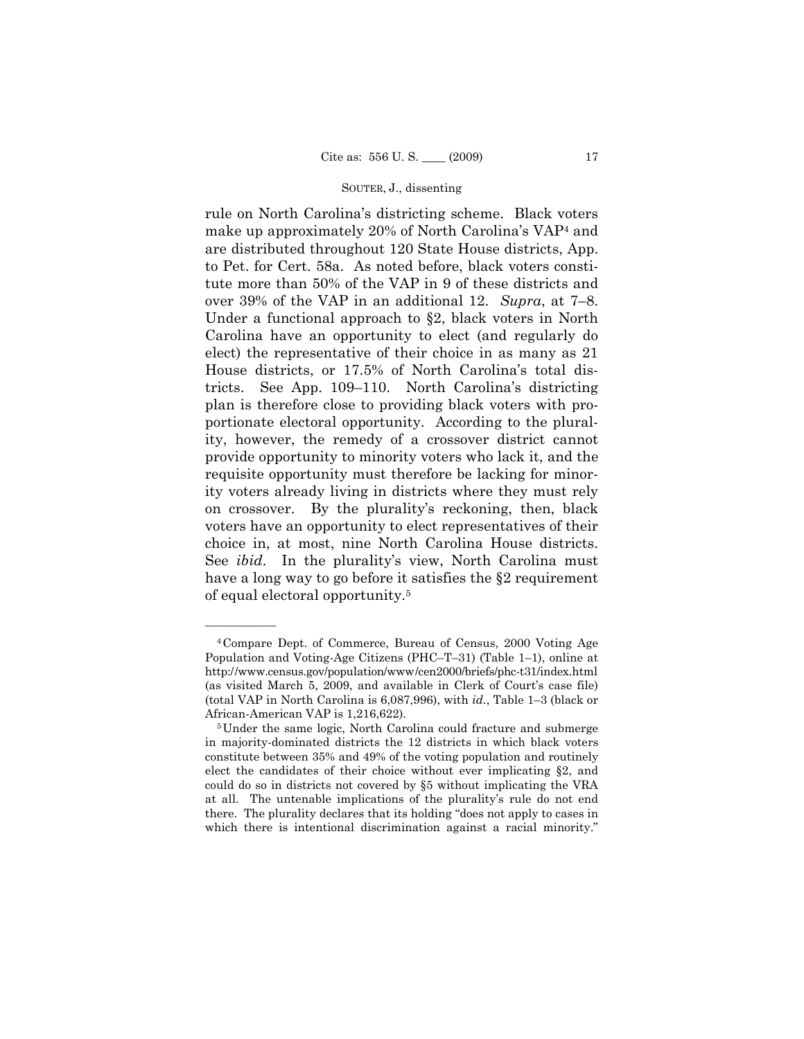rule on North Carolina's districting scheme. Black voters make up approximately 20% of North Carolina's VAP4 and are distributed throughout 120 State House districts, App. to Pet. for Cert. 58a. As noted before, black voters constitute more than 50% of the VAP in 9 of these districts and over 39% of the VAP in an additional 12. *Supra*, at 7–8. Under a functional approach to §2, black voters in North Carolina have an opportunity to elect (and regularly do elect) the representative of their choice in as many as 21 House districts, or 17.5% of North Carolina's total districts. See App. 109–110. North Carolina's districting plan is therefore close to providing black voters with proportionate electoral opportunity. According to the plurality, however, the remedy of a crossover district cannot provide opportunity to minority voters who lack it, and the requisite opportunity must therefore be lacking for minority voters already living in districts where they must rely on crossover. By the plurality's reckoning, then, black voters have an opportunity to elect representatives of their choice in, at most, nine North Carolina House districts. See *ibid*. In the plurality's view, North Carolina must have a long way to go before it satisfies the §2 requirement of equal electoral opportunity.5

——————

<sup>4</sup>Compare Dept. of Commerce, Bureau of Census, 2000 Voting Age Population and Voting-Age Citizens (PHC–T–31) (Table 1–1), online at http://www.census.gov/population/www/cen2000/briefs/phc-t31/index.html (as visited March 5, 2009, and available in Clerk of Court's case file) (total VAP in North Carolina is 6,087,996), with *id.*, Table 1–3 (black or African-American VAP is 1,216,622).<br><sup>5</sup>Under the same logic, North Carolina could fracture and submerge

in majority-dominated districts the 12 districts in which black voters constitute between 35% and 49% of the voting population and routinely elect the candidates of their choice without ever implicating §2, and could do so in districts not covered by §5 without implicating the VRA at all. The untenable implications of the plurality's rule do not end there. The plurality declares that its holding "does not apply to cases in which there is intentional discrimination against a racial minority."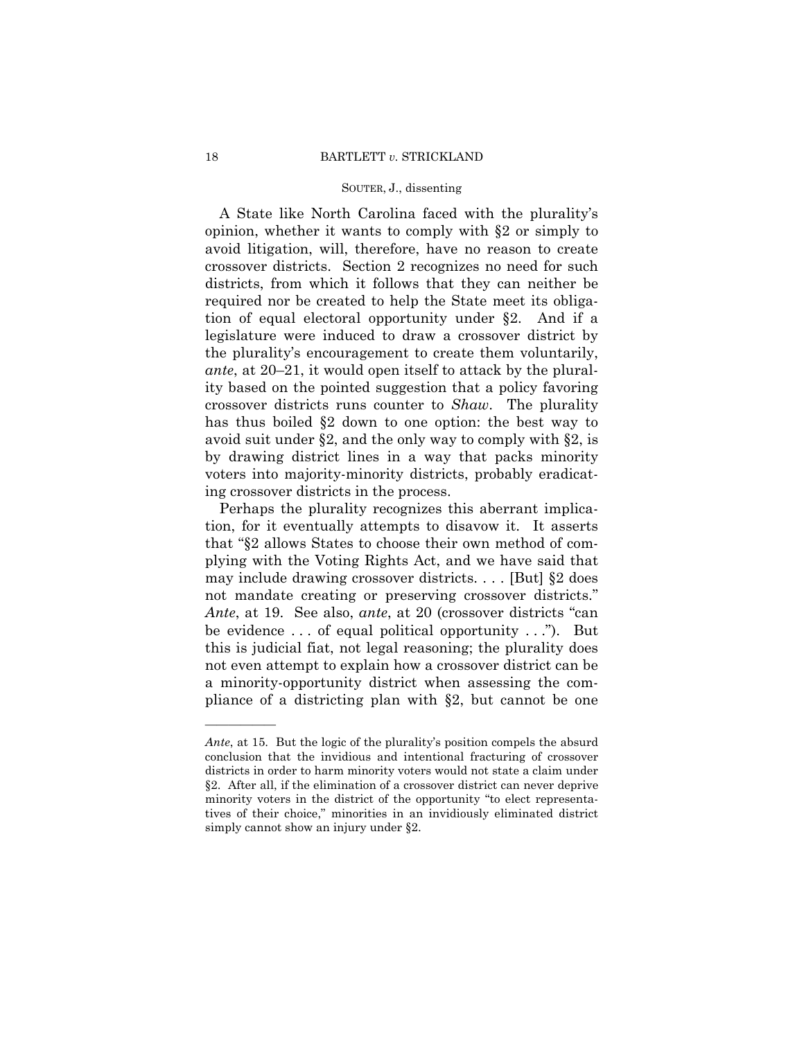A State like North Carolina faced with the plurality's opinion, whether it wants to comply with §2 or simply to avoid litigation, will, therefore, have no reason to create crossover districts. Section 2 recognizes no need for such districts, from which it follows that they can neither be required nor be created to help the State meet its obligation of equal electoral opportunity under §2. And if a legislature were induced to draw a crossover district by the plurality's encouragement to create them voluntarily, *ante*, at 20–21, it would open itself to attack by the plurality based on the pointed suggestion that a policy favoring crossover districts runs counter to *Shaw*. The plurality has thus boiled §2 down to one option: the best way to avoid suit under §2, and the only way to comply with §2, is by drawing district lines in a way that packs minority voters into majority-minority districts, probably eradicating crossover districts in the process.

Perhaps the plurality recognizes this aberrant implication, for it eventually attempts to disavow it. It asserts that "§2 allows States to choose their own method of complying with the Voting Rights Act, and we have said that may include drawing crossover districts. . . . [But] §2 does not mandate creating or preserving crossover districts." *Ante*, at 19. See also, *ante*, at 20 (crossover districts "can be evidence  $\dots$  of equal political opportunity  $\dots$ "). But this is judicial fiat, not legal reasoning; the plurality does not even attempt to explain how a crossover district can be a minority-opportunity district when assessing the compliance of a districting plan with §2, but cannot be one

——————

*Ante*, at 15. But the logic of the plurality's position compels the absurd conclusion that the invidious and intentional fracturing of crossover districts in order to harm minority voters would not state a claim under §2. After all, if the elimination of a crossover district can never deprive minority voters in the district of the opportunity "to elect representatives of their choice," minorities in an invidiously eliminated district simply cannot show an injury under §2.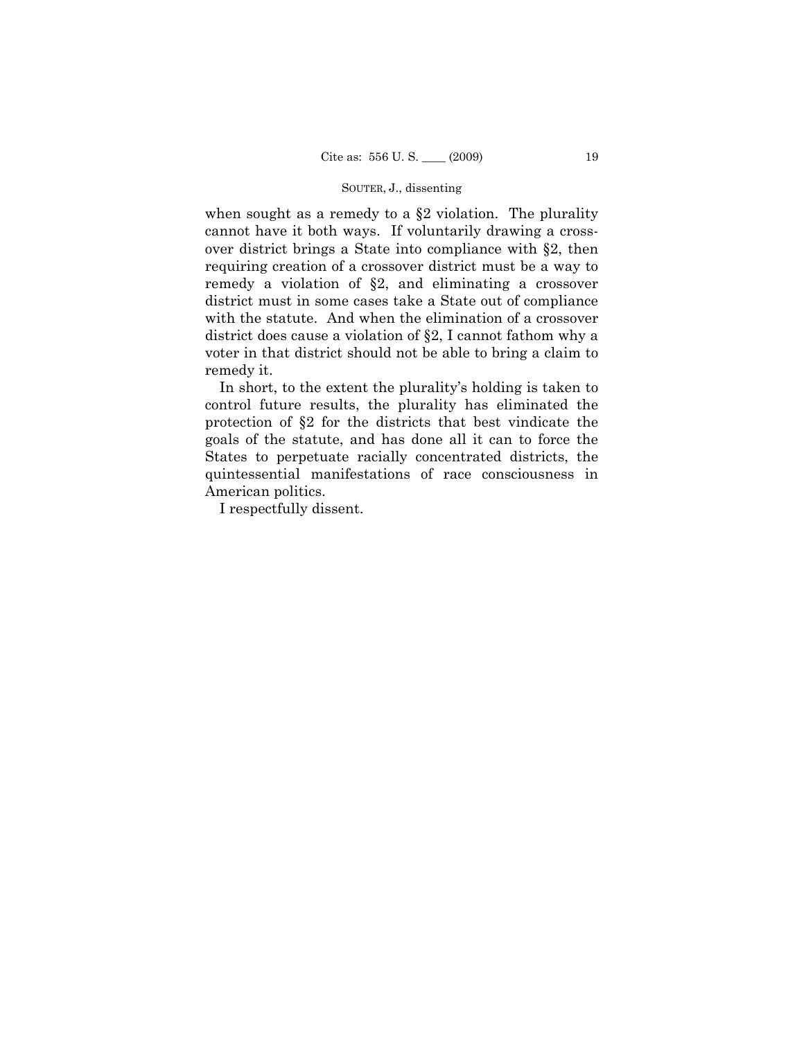when sought as a remedy to a §2 violation. The plurality cannot have it both ways. If voluntarily drawing a crossover district brings a State into compliance with §2, then requiring creation of a crossover district must be a way to remedy a violation of §2, and eliminating a crossover district must in some cases take a State out of compliance with the statute. And when the elimination of a crossover district does cause a violation of §2, I cannot fathom why a voter in that district should not be able to bring a claim to remedy it.

In short, to the extent the plurality's holding is taken to control future results, the plurality has eliminated the protection of §2 for the districts that best vindicate the goals of the statute, and has done all it can to force the States to perpetuate racially concentrated districts, the quintessential manifestations of race consciousness in American politics.

I respectfully dissent.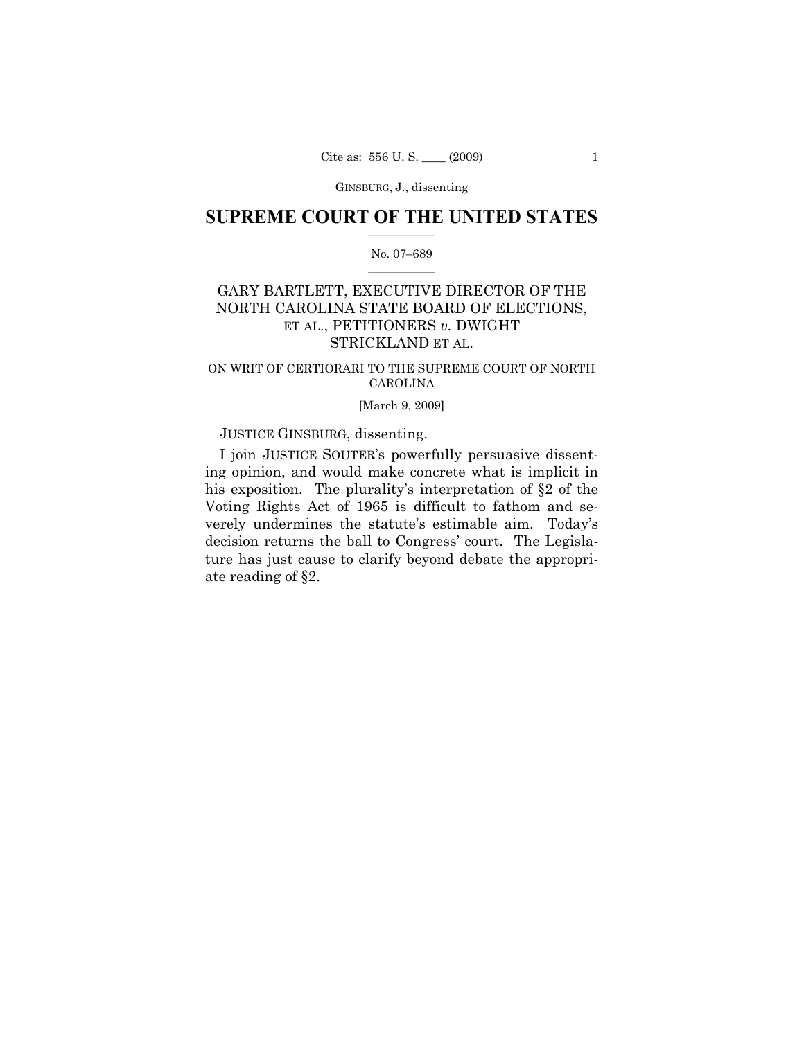GINSBURG, J., dissenting

## $\frac{1}{2}$  ,  $\frac{1}{2}$  ,  $\frac{1}{2}$  ,  $\frac{1}{2}$  ,  $\frac{1}{2}$  ,  $\frac{1}{2}$  ,  $\frac{1}{2}$ **SUPREME COURT OF THE UNITED STATES**

## $\frac{1}{2}$  ,  $\frac{1}{2}$  ,  $\frac{1}{2}$  ,  $\frac{1}{2}$  ,  $\frac{1}{2}$  ,  $\frac{1}{2}$ No. 07–689

# GARY BARTLETT, EXECUTIVE DIRECTOR OF THE NORTH CAROLINA STATE BOARD OF ELECTIONS, ET AL., PETITIONERS *v.* DWIGHT STRICKLAND ET AL.

## ON WRIT OF CERTIORARI TO THE SUPREME COURT OF NORTH CAROLINA

## [March 9, 2009]

## JUSTICE GINSBURG, dissenting.

I join JUSTICE SOUTER's powerfully persuasive dissenting opinion, and would make concrete what is implicit in his exposition. The plurality's interpretation of §2 of the Voting Rights Act of 1965 is difficult to fathom and severely undermines the statute's estimable aim. Today's decision returns the ball to Congress' court. The Legislature has just cause to clarify beyond debate the appropriate reading of §2.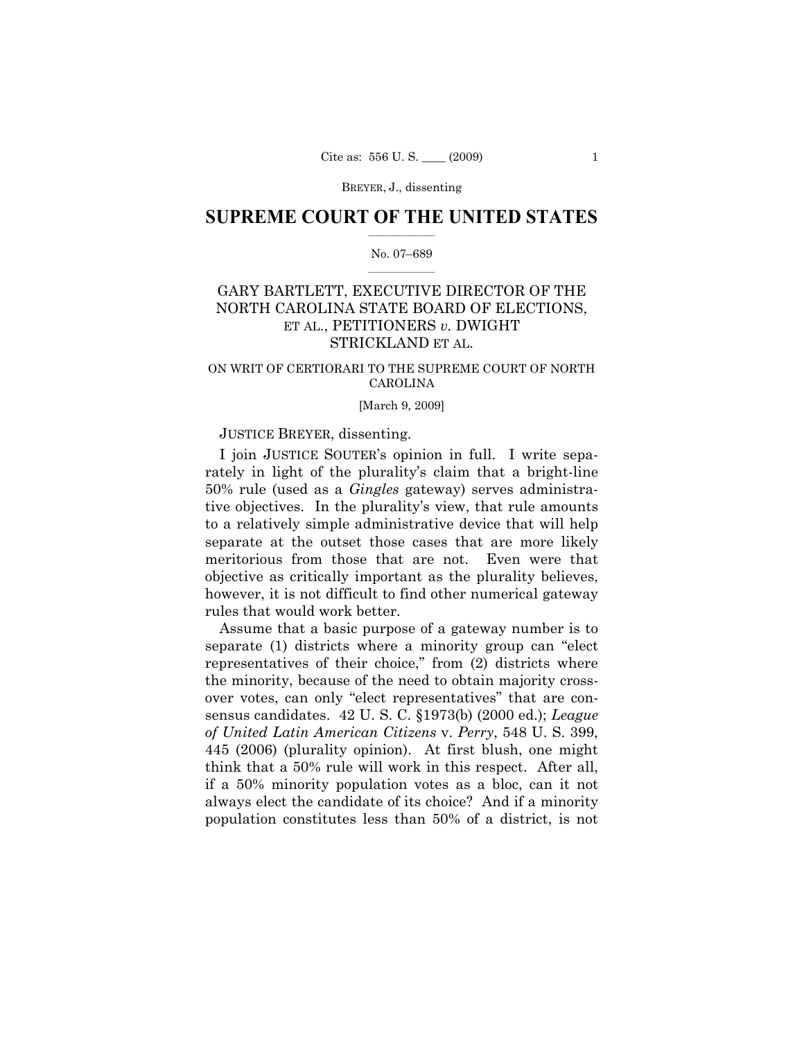## $\frac{1}{2}$  ,  $\frac{1}{2}$  ,  $\frac{1}{2}$  ,  $\frac{1}{2}$  ,  $\frac{1}{2}$  ,  $\frac{1}{2}$  ,  $\frac{1}{2}$ **SUPREME COURT OF THE UNITED STATES**

## $\frac{1}{2}$  ,  $\frac{1}{2}$  ,  $\frac{1}{2}$  ,  $\frac{1}{2}$  ,  $\frac{1}{2}$  ,  $\frac{1}{2}$ No. 07–689

# GARY BARTLETT, EXECUTIVE DIRECTOR OF THE NORTH CAROLINA STATE BOARD OF ELECTIONS, ET AL., PETITIONERS *v.* DWIGHT STRICKLAND ET AL.

## ON WRIT OF CERTIORARI TO THE SUPREME COURT OF NORTH CAROLINA

### [March 9, 2009]

## JUSTICE BREYER, dissenting.

I join JUSTICE SOUTER's opinion in full. I write separately in light of the plurality's claim that a bright-line 50% rule (used as a *Gingles* gateway) serves administrative objectives. In the plurality's view, that rule amounts to a relatively simple administrative device that will help separate at the outset those cases that are more likely meritorious from those that are not. Even were that objective as critically important as the plurality believes, however, it is not difficult to find other numerical gateway rules that would work better.

Assume that a basic purpose of a gateway number is to separate (1) districts where a minority group can "elect representatives of their choice," from (2) districts where the minority, because of the need to obtain majority crossover votes, can only "elect representatives" that are consensus candidates. 42 U. S. C. §1973(b) (2000 ed.); *League of United Latin American Citizens* v. *Perry*, 548 U. S. 399, 445 (2006) (plurality opinion). At first blush, one might think that a 50% rule will work in this respect. After all, if a 50% minority population votes as a bloc, can it not always elect the candidate of its choice? And if a minority population constitutes less than 50% of a district, is not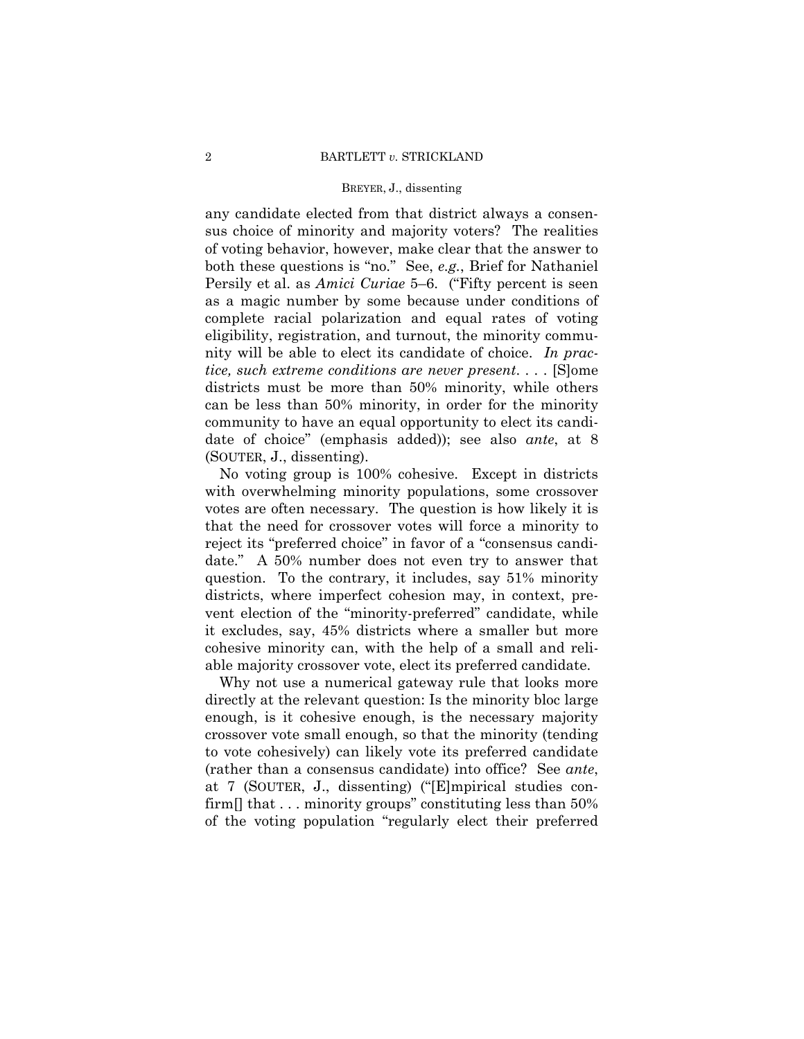any candidate elected from that district always a consensus choice of minority and majority voters? The realities of voting behavior, however, make clear that the answer to both these questions is "no." See, *e.g.*, Brief for Nathaniel Persily et al. as *Amici Curiae* 5–6. ("Fifty percent is seen as a magic number by some because under conditions of complete racial polarization and equal rates of voting eligibility, registration, and turnout, the minority community will be able to elect its candidate of choice. *In practice, such extreme conditions are never present*. . . . [S]ome districts must be more than 50% minority, while others can be less than 50% minority, in order for the minority community to have an equal opportunity to elect its candidate of choice" (emphasis added)); see also *ante*, at 8 (SOUTER, J., dissenting).

No voting group is 100% cohesive. Except in districts with overwhelming minority populations, some crossover votes are often necessary. The question is how likely it is that the need for crossover votes will force a minority to reject its "preferred choice" in favor of a "consensus candidate." A 50% number does not even try to answer that question. To the contrary, it includes, say 51% minority districts, where imperfect cohesion may, in context, prevent election of the "minority-preferred" candidate, while it excludes, say, 45% districts where a smaller but more cohesive minority can, with the help of a small and reliable majority crossover vote, elect its preferred candidate.

Why not use a numerical gateway rule that looks more directly at the relevant question: Is the minority bloc large enough, is it cohesive enough, is the necessary majority crossover vote small enough, so that the minority (tending to vote cohesively) can likely vote its preferred candidate (rather than a consensus candidate) into office? See *ante*, at 7 (SOUTER, J., dissenting) ("[E]mpirical studies confirm  $\left[ \right]$  that ... minority groups" constituting less than 50% of the voting population "regularly elect their preferred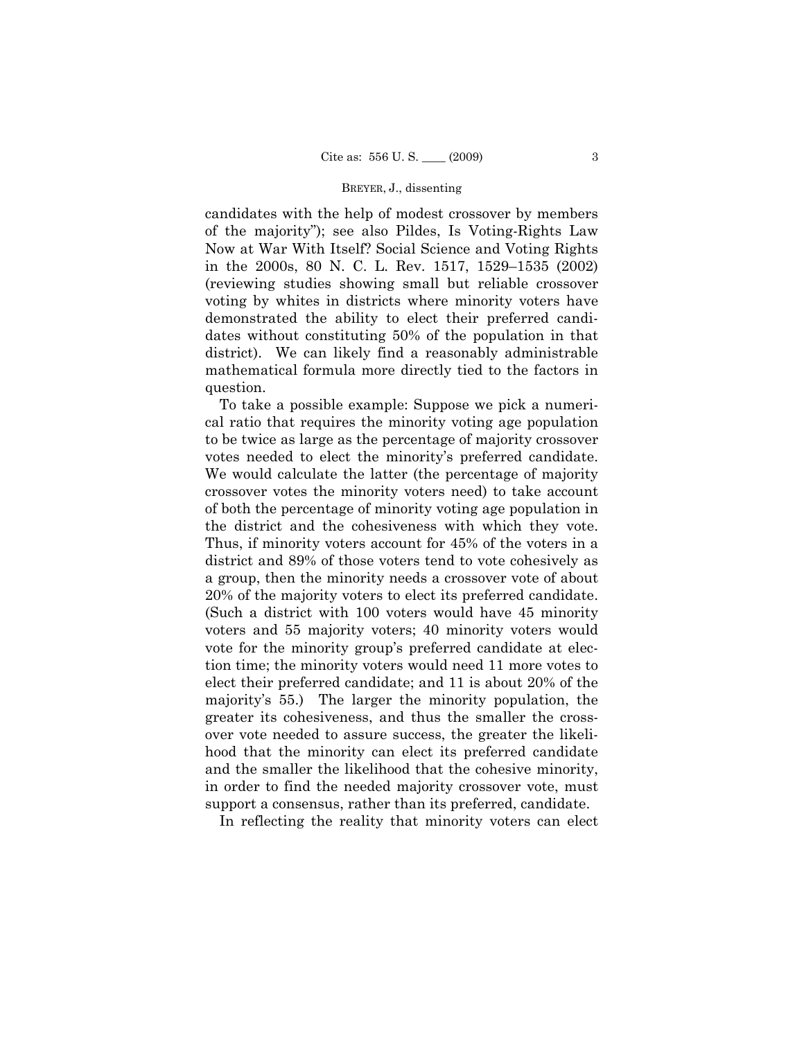candidates with the help of modest crossover by members of the majority"); see also Pildes, Is Voting-Rights Law Now at War With Itself? Social Science and Voting Rights in the 2000s, 80 N. C. L. Rev. 1517, 1529–1535 (2002) (reviewing studies showing small but reliable crossover voting by whites in districts where minority voters have demonstrated the ability to elect their preferred candidates without constituting 50% of the population in that district). We can likely find a reasonably administrable mathematical formula more directly tied to the factors in question.

To take a possible example: Suppose we pick a numerical ratio that requires the minority voting age population to be twice as large as the percentage of majority crossover votes needed to elect the minority's preferred candidate. We would calculate the latter (the percentage of majority crossover votes the minority voters need) to take account of both the percentage of minority voting age population in the district and the cohesiveness with which they vote. Thus, if minority voters account for 45% of the voters in a district and 89% of those voters tend to vote cohesively as a group, then the minority needs a crossover vote of about 20% of the majority voters to elect its preferred candidate. (Such a district with 100 voters would have 45 minority voters and 55 majority voters; 40 minority voters would vote for the minority group's preferred candidate at election time; the minority voters would need 11 more votes to elect their preferred candidate; and 11 is about 20% of the majority's 55.) The larger the minority population, the greater its cohesiveness, and thus the smaller the crossover vote needed to assure success, the greater the likelihood that the minority can elect its preferred candidate and the smaller the likelihood that the cohesive minority, in order to find the needed majority crossover vote, must support a consensus, rather than its preferred, candidate.

In reflecting the reality that minority voters can elect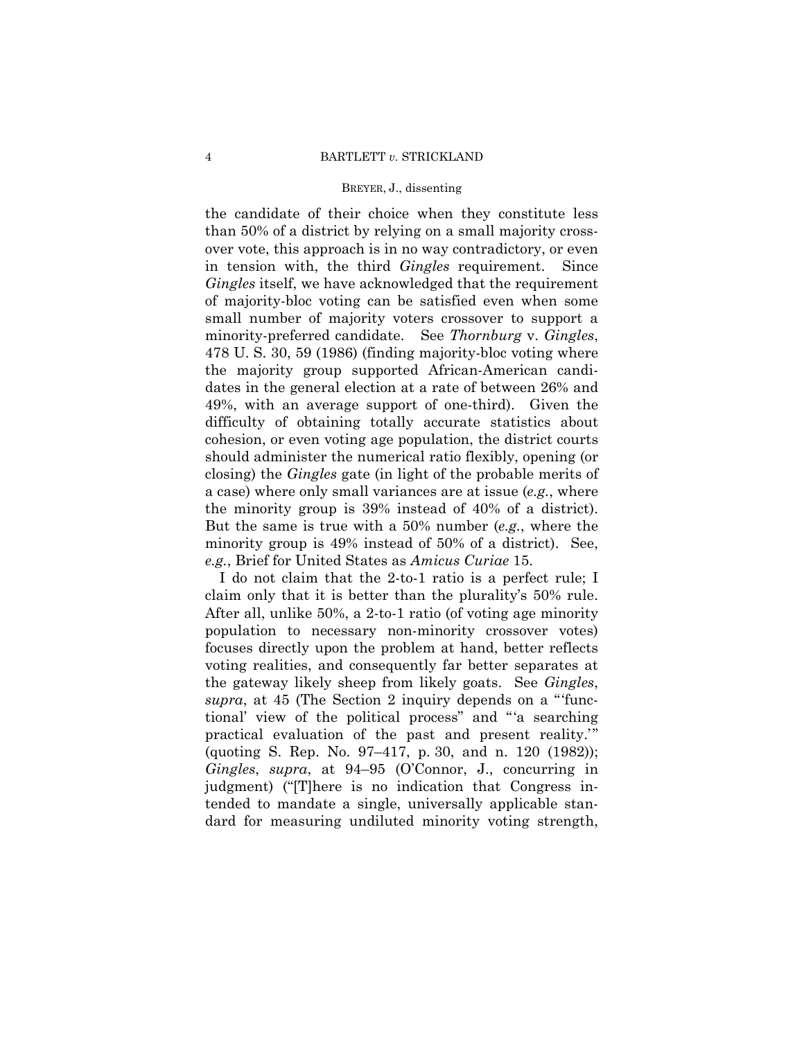the candidate of their choice when they constitute less than 50% of a district by relying on a small majority crossover vote, this approach is in no way contradictory, or even in tension with, the third *Gingles* requirement. Since *Gingles* itself, we have acknowledged that the requirement of majority-bloc voting can be satisfied even when some small number of majority voters crossover to support a minority-preferred candidate. See *Thornburg* v. *Gingles*, 478 U. S. 30, 59 (1986) (finding majority-bloc voting where the majority group supported African-American candidates in the general election at a rate of between 26% and 49%, with an average support of one-third). Given the difficulty of obtaining totally accurate statistics about cohesion, or even voting age population, the district courts should administer the numerical ratio flexibly, opening (or closing) the *Gingles* gate (in light of the probable merits of a case) where only small variances are at issue (*e.g.*, where the minority group is 39% instead of 40% of a district). But the same is true with a 50% number (*e.g.*, where the minority group is 49% instead of 50% of a district). See, *e.g.*, Brief for United States as *Amicus Curiae* 15.

I do not claim that the 2-to-1 ratio is a perfect rule; I claim only that it is better than the plurality's 50% rule. After all, unlike 50%, a 2-to-1 ratio (of voting age minority population to necessary non-minority crossover votes) focuses directly upon the problem at hand, better reflects voting realities, and consequently far better separates at the gateway likely sheep from likely goats. See *Gingles*, *supra*, at 45 (The Section 2 inquiry depends on a "'functional' view of the political process" and "'a searching practical evaluation of the past and present reality." (quoting S. Rep. No. 97–417, p. 30, and n. 120 (1982)); *Gingles*, *supra*, at 94–95 (O'Connor, J., concurring in judgment) ("[T]here is no indication that Congress intended to mandate a single, universally applicable standard for measuring undiluted minority voting strength,